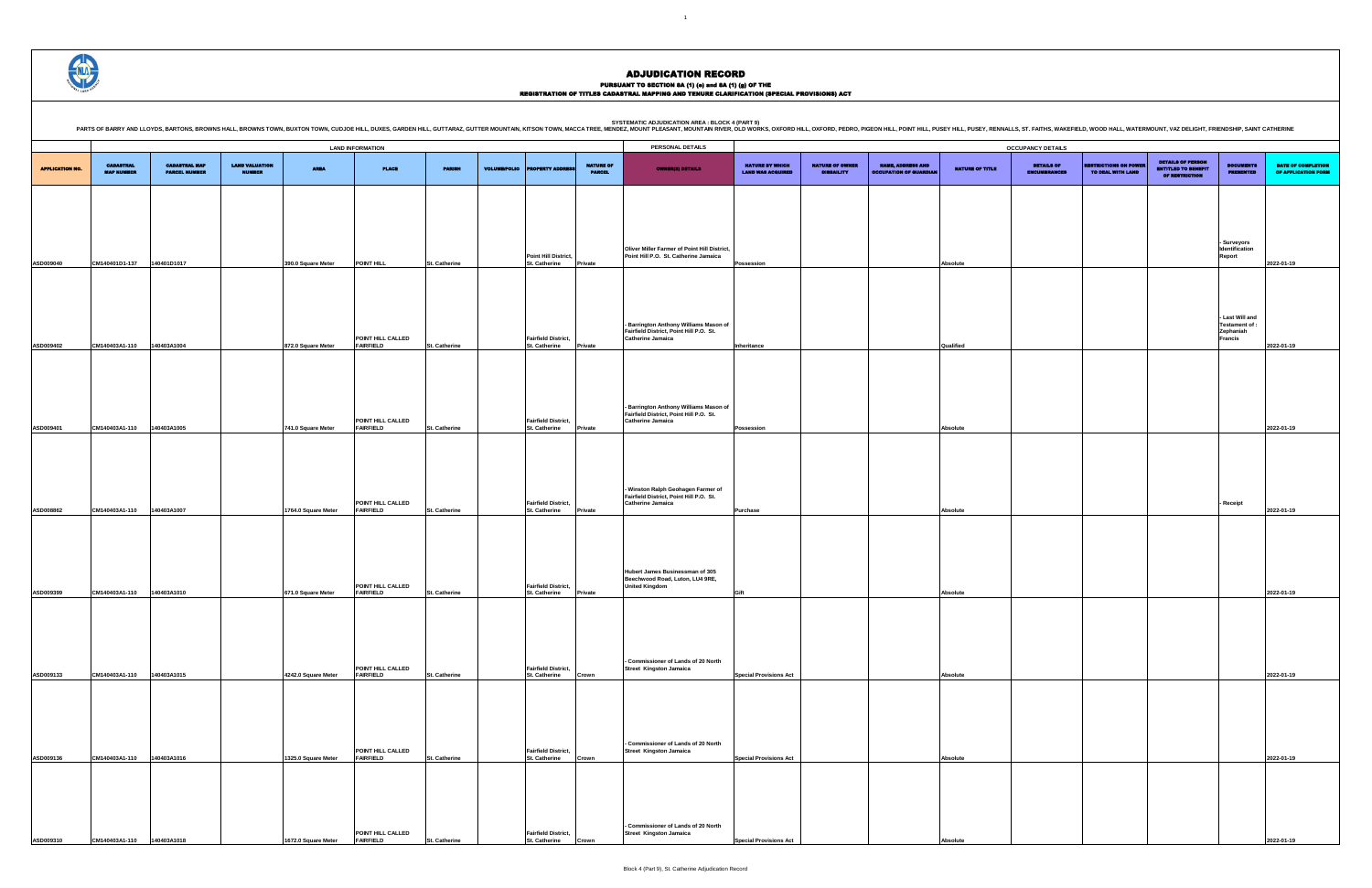DETAILS OF ENCUMBRANCES RESTRICTIONS ON POWER TO DEAL WITH LAND DETAILS OF PERSON ENTITLED TO BENEFIT OF RESTRICTION DOCUMENTS PRESENTED DATE OF COMPLETION OF APPLICATION FORM **- Surveyors Identification Report 2022-01-19 - Last Will and Testament of : Zephaniah Francis 2022-01-19 Possession Absolute 2022-01-19 - Receipt 2022-01-19 Gift Absolute 2022-01-19 Special Provisions Act Absolute 2022-01-19 Special Provisions Act Absolute 2022-01-19**

ADJUDICATION RECORD

### PURSUANT TO SECTION 8A (1) (0) and 8A (1) (g) OF THE<br>REGISTRATION OF TITLES CADASTRAL MAPPING AND TENURE CLARIFICATION (SPECIAL PROVISIONS) ACT

**SYSTEMATIC ADJUDICATION AREA : BLOCK 4 (PART 9)**

-<br>ENNALLS, ST. FAITHS, WAKEFIELD, WOOD HALL, WATERMOUNT, VAZ DELIGHT, FRIENDSHIP, SAINT CATHERINE

|                        |                                       |                                              |                                        |                     |                                       |                      |                     |                                                     |                                   | PARTS OF BARRY AND LLOYDS, BARTONS, BROWNS HALL, BROWNS TOWN, BUXTON TOWN, CUDJOE HILL, DUJOE HILL, DUJOE HILL, DUJTE, MOJINE HILL, DUTTARAZ, GUITTER MOUNTAIN, KITSON TOWN, MACCA TREE, MENDEZ, MOUNT PLEASANT, MOUNTAIN RIVE |                                             |                                             |                                                           |                        |                                          |                                                  |                                                                                 |                                      |                                   |
|------------------------|---------------------------------------|----------------------------------------------|----------------------------------------|---------------------|---------------------------------------|----------------------|---------------------|-----------------------------------------------------|-----------------------------------|--------------------------------------------------------------------------------------------------------------------------------------------------------------------------------------------------------------------------------|---------------------------------------------|---------------------------------------------|-----------------------------------------------------------|------------------------|------------------------------------------|--------------------------------------------------|---------------------------------------------------------------------------------|--------------------------------------|-----------------------------------|
|                        |                                       |                                              |                                        |                     | <b>LAND INFORMATION</b>               |                      |                     |                                                     |                                   | PERSONAL DETAILS                                                                                                                                                                                                               |                                             |                                             |                                                           |                        | <b>OCCUPANCY DETAILS</b>                 |                                                  |                                                                                 |                                      |                                   |
| <b>APPLICATION NO.</b> | <b>CADASTRAL</b><br><b>MAP NUMBER</b> | <b>CADASTRAL MAP</b><br><b>PARCEL NUMBER</b> | <b>LAND VALUATION</b><br><b>NUMBER</b> | <b>AREA</b>         | <b>PLACE</b>                          | <b>PARISH</b>        | <b>VOLUME/FOLIO</b> | <b>ERTY ADDRES</b>                                  | <b>NATURE OF</b><br><b>PARCEL</b> | <b>OWNER(8) DETAILS</b>                                                                                                                                                                                                        | NATURE BY WHICH<br><b>LAND WAS ACQUIRED</b> | <b>NATURE OF OWNER</b><br><b>DISBAILITY</b> | <b>NAME, ADDRESS AND</b><br><b>OCCUPATION OF GUARDIAN</b> | <b>NATURE OF TITLE</b> | <b>DETAILS OF</b><br><b>ENCUMBRANCES</b> | <b>ISTRICTIONS ON POWER</b><br>TO DEAL WITH LAND | <b>DETAILS OF PERSON</b><br><b>ENTITLED TO BENEFIT</b><br><b>OF RESTRICTION</b> | <b>DOCUMENTS</b><br><b>PRESENTED</b> | <b>DATE OF</b><br><b>OF APPLI</b> |
|                        |                                       |                                              |                                        |                     |                                       |                      |                     |                                                     |                                   |                                                                                                                                                                                                                                |                                             |                                             |                                                           |                        |                                          |                                                  |                                                                                 |                                      |                                   |
|                        |                                       |                                              |                                        |                     |                                       |                      |                     |                                                     |                                   |                                                                                                                                                                                                                                |                                             |                                             |                                                           |                        |                                          |                                                  |                                                                                 |                                      |                                   |
|                        |                                       |                                              |                                        |                     |                                       |                      |                     |                                                     |                                   | Oliver Miller Farmer of Point Hill District,                                                                                                                                                                                   |                                             |                                             |                                                           |                        |                                          |                                                  |                                                                                 | - Surveyors<br>Identification        |                                   |
| ASD009040              | CM140401D1-137                        | 140401D1017                                  |                                        | 390.0 Square Meter  | POINT HILL                            | St. Catherine        |                     | <b>Point Hill District,</b><br><b>St. Catherine</b> | <b>Private</b>                    | Point Hill P.O. St. Catherine Jamaica                                                                                                                                                                                          | Possession                                  |                                             |                                                           | Absolute               |                                          |                                                  |                                                                                 | Report                               | 2022-01-19                        |
|                        |                                       |                                              |                                        |                     |                                       |                      |                     |                                                     |                                   |                                                                                                                                                                                                                                |                                             |                                             |                                                           |                        |                                          |                                                  |                                                                                 |                                      |                                   |
|                        |                                       |                                              |                                        |                     |                                       |                      |                     |                                                     |                                   | - Barrington Anthony Williams Mason of                                                                                                                                                                                         |                                             |                                             |                                                           |                        |                                          |                                                  |                                                                                 | - Last Will and<br>Testament of :    |                                   |
| ASD009402              | CM140403A1-110                        | 140403A1004                                  |                                        | 872.0 Square Meter  | POINT HILL CALLED<br><b>FAIRFIELD</b> | St. Catherine        |                     | <b>Fairfield District,</b><br><b>St. Catherine</b>  | Private                           | Fairfield District, Point Hill P.O. St.<br><b>Catherine Jamaica</b>                                                                                                                                                            | Inheritance                                 |                                             |                                                           | Qualified              |                                          |                                                  |                                                                                 | Zephaniah<br><b>Francis</b>          | 2022-01-19                        |
|                        |                                       |                                              |                                        |                     |                                       |                      |                     |                                                     |                                   |                                                                                                                                                                                                                                |                                             |                                             |                                                           |                        |                                          |                                                  |                                                                                 |                                      |                                   |
|                        |                                       |                                              |                                        |                     |                                       |                      |                     |                                                     |                                   |                                                                                                                                                                                                                                |                                             |                                             |                                                           |                        |                                          |                                                  |                                                                                 |                                      |                                   |
|                        |                                       |                                              |                                        |                     | POINT HILL CALLED                     |                      |                     | <b>Fairfield District,</b>                          |                                   | - Barrington Anthony Williams Mason of<br>Fairfield District, Point Hill P.O. St.<br><b>Catherine Jamaica</b>                                                                                                                  |                                             |                                             |                                                           |                        |                                          |                                                  |                                                                                 |                                      |                                   |
| ASD009401              | CM140403A1-110                        | 140403A1005                                  |                                        | 741.0 Square Meter  | <b>FAIRFIELD</b>                      | St. Catherine        |                     | <b>St. Catherine</b>                                | Private                           |                                                                                                                                                                                                                                | Possession                                  |                                             |                                                           | Absolute               |                                          |                                                  |                                                                                 |                                      | 2022-01-19                        |
|                        |                                       |                                              |                                        |                     |                                       |                      |                     |                                                     |                                   |                                                                                                                                                                                                                                |                                             |                                             |                                                           |                        |                                          |                                                  |                                                                                 |                                      |                                   |
|                        |                                       |                                              |                                        |                     |                                       |                      |                     |                                                     |                                   | Winston Ralph Geohagen Farmer of<br>Fairfield District, Point Hill P.O. St.                                                                                                                                                    |                                             |                                             |                                                           |                        |                                          |                                                  |                                                                                 |                                      |                                   |
| ASD008862              | CM140403A1-110                        | 140403A1007                                  |                                        | 1764.0 Square Meter | POINT HILL CALLED<br><b>FAIRFIELD</b> | St. Catherine        |                     | <b>Fairfield District,</b><br><b>St. Catherine</b>  | Private                           | <b>Catherine Jamaica</b>                                                                                                                                                                                                       | Purchase                                    |                                             |                                                           | Absolute               |                                          |                                                  |                                                                                 | - Receipt                            | 2022-01-19                        |
|                        |                                       |                                              |                                        |                     |                                       |                      |                     |                                                     |                                   |                                                                                                                                                                                                                                |                                             |                                             |                                                           |                        |                                          |                                                  |                                                                                 |                                      |                                   |
|                        |                                       |                                              |                                        |                     |                                       |                      |                     |                                                     |                                   | Hubert James Businessman of 305                                                                                                                                                                                                |                                             |                                             |                                                           |                        |                                          |                                                  |                                                                                 |                                      |                                   |
| <b>ASD009399</b>       | CM140403A1-110                        | 140403A1010                                  |                                        | 671.0 Square Meter  | POINT HILL CALLED<br><b>FAIRFIELD</b> | St. Catherine        |                     | <b>Fairfield District,</b><br><b>St. Catherine</b>  | Private                           | Beechwood Road, Luton, LU4 9RE,<br><b>United Kingdom</b>                                                                                                                                                                       | Gift                                        |                                             |                                                           | Absolute               |                                          |                                                  |                                                                                 |                                      | 2022-01-19                        |
|                        |                                       |                                              |                                        |                     |                                       |                      |                     |                                                     |                                   |                                                                                                                                                                                                                                |                                             |                                             |                                                           |                        |                                          |                                                  |                                                                                 |                                      |                                   |
|                        |                                       |                                              |                                        |                     |                                       |                      |                     |                                                     |                                   |                                                                                                                                                                                                                                |                                             |                                             |                                                           |                        |                                          |                                                  |                                                                                 |                                      |                                   |
| ASD009133              | CM140403A1-110                        | 140403A1015                                  |                                        | 4242.0 Square Meter | POINT HILL CALLED<br><b>FAIRFIELD</b> | St. Catherine        |                     | <b>Fairfield District,</b><br>St. Catherine         | Crown                             | - Commissioner of Lands of 20 North<br><b>Street Kingston Jamaica</b>                                                                                                                                                          | <b>Special Provisions Act</b>               |                                             |                                                           | Absolute               |                                          |                                                  |                                                                                 |                                      | 2022-01-19                        |
|                        |                                       |                                              |                                        |                     |                                       |                      |                     |                                                     |                                   |                                                                                                                                                                                                                                |                                             |                                             |                                                           |                        |                                          |                                                  |                                                                                 |                                      |                                   |
|                        |                                       |                                              |                                        |                     |                                       |                      |                     |                                                     |                                   |                                                                                                                                                                                                                                |                                             |                                             |                                                           |                        |                                          |                                                  |                                                                                 |                                      |                                   |
|                        |                                       |                                              |                                        |                     | POINT HILL CALLED                     |                      |                     | <b>Fairfield District,</b>                          |                                   | - Commissioner of Lands of 20 North<br><b>Street Kingston Jamaica</b>                                                                                                                                                          |                                             |                                             |                                                           |                        |                                          |                                                  |                                                                                 |                                      |                                   |
| ASD009136              | CM140403A1-110                        | 140403A1016                                  |                                        | 1325.0 Square Meter | <b>FAIRFIELD</b>                      | St. Catherine        |                     | <b>St. Catherine</b>                                | Crown                             |                                                                                                                                                                                                                                | <b>Special Provisions Act</b>               |                                             |                                                           | Absolute               |                                          |                                                  |                                                                                 |                                      | 2022-01-19                        |
|                        |                                       |                                              |                                        |                     |                                       |                      |                     |                                                     |                                   |                                                                                                                                                                                                                                |                                             |                                             |                                                           |                        |                                          |                                                  |                                                                                 |                                      |                                   |
|                        |                                       |                                              |                                        |                     |                                       |                      |                     |                                                     |                                   | - Commissioner of Lands of 20 North                                                                                                                                                                                            |                                             |                                             |                                                           |                        |                                          |                                                  |                                                                                 |                                      |                                   |
| <b>ASD009310</b>       | CM140403A1-110                        | 140403A1018                                  |                                        | 1672.0 Square Meter | POINT HILL CALLED<br><b>FAIRFIELD</b> | <b>St. Catherine</b> |                     | <b>Fairfield District,</b><br><b>St. Catherine</b>  | Crown                             | <b>Street Kingston Jamaica</b>                                                                                                                                                                                                 | <b>Special Provisions Act</b>               |                                             |                                                           | Absolute               |                                          |                                                  |                                                                                 |                                      | 2022-01-19                        |



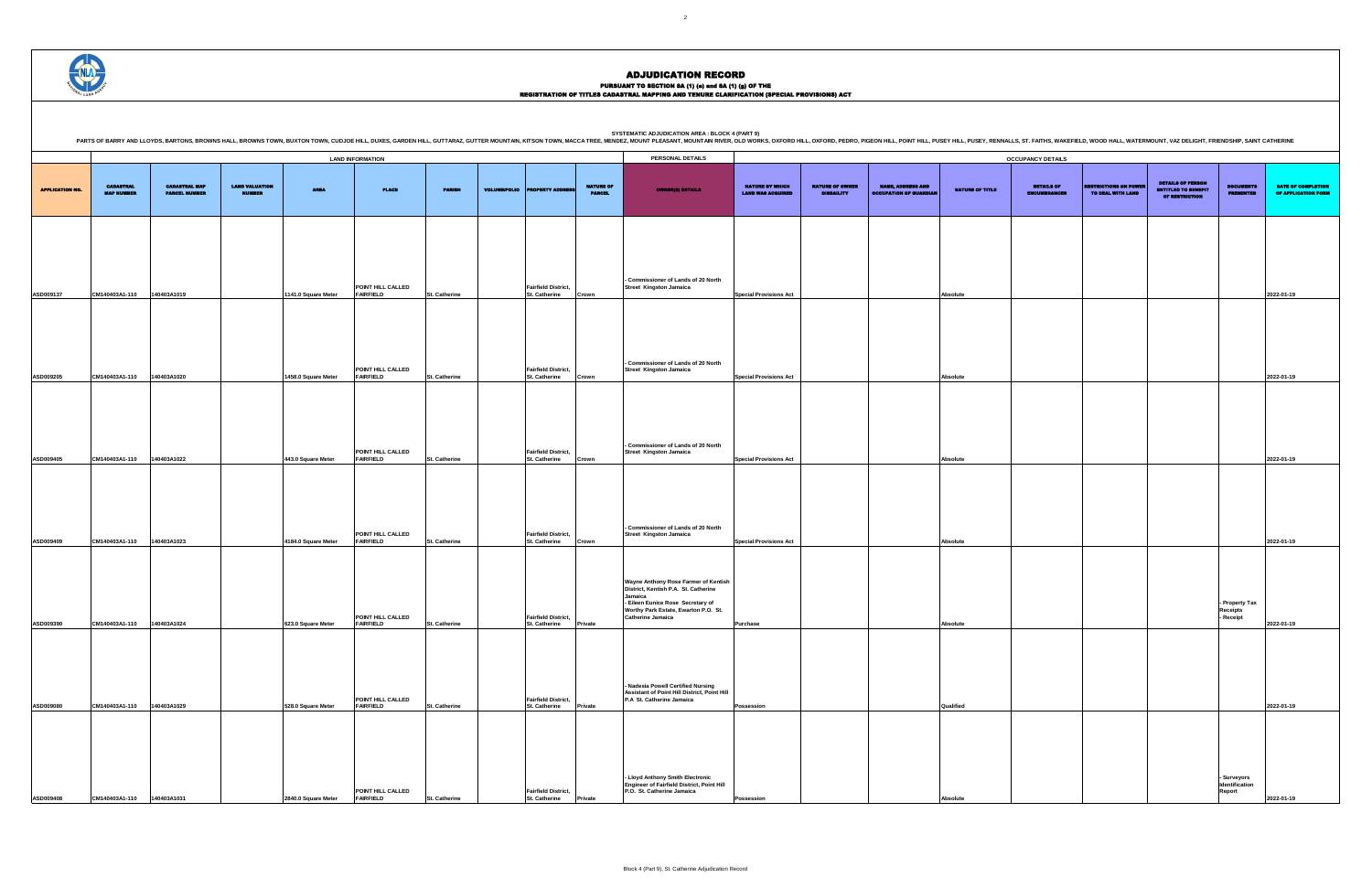### PURSUANT TO SECTION 8A (1) (0) and 8A (1) (g) OF THE<br>REGISTRATION OF TITLES CADASTRAL MAPPING AND TENURE CLARIFICATION (SPECIAL PROVISIONS) ACT

DETAILS OF ENCUMBRANCES RESTRICTIONS ON POWER TO DEAL WITH LAND DETAILS OF PERSON ENTITLED TO BENEFIT OF RESTRICTION DOCUMENTS PRESENTED DATE OF COMPLETION OF APPLICATION FORM **Special Provisions Act Absolute 2022-01-19 Special Provisions Act Absolute 2022-01-19 Special Provisions Act Absolute 2022-01-19 Special Provisions Act Absolute 2022-01-19 - Property Tax Receipts - Receipt 2022-01-19 Possession Qualified 2022-01-19 - Surveyors Identification Report 2022-01-19**

|                        |                                       |                                              |                                 |                     | <b>LAND INFORMATION</b>               |               |                     |                                                    |                                   | PERSONAL DETAILS                                                                                                                                                                                 |                                                    |                                             |                                                           |                        | <b>OCCUPANCY DETAILS</b>                 |
|------------------------|---------------------------------------|----------------------------------------------|---------------------------------|---------------------|---------------------------------------|---------------|---------------------|----------------------------------------------------|-----------------------------------|--------------------------------------------------------------------------------------------------------------------------------------------------------------------------------------------------|----------------------------------------------------|---------------------------------------------|-----------------------------------------------------------|------------------------|------------------------------------------|
| <b>APPLICATION NO.</b> | <b>CADASTRAL</b><br><b>MAP NUMBER</b> | <b>CADASTRAL MAP</b><br><b>PARCEL NUMBER</b> | <b>LAND VALUATION</b><br>NUMBER | <b>AREA</b>         | <b>PLACE</b>                          | <b>PARISH</b> | <b>VOLUME/FOLIO</b> | <b>PROPERTY ADDRESS</b>                            | <b>NATURE OF</b><br><b>PARCEL</b> | <b>OWNER(8) DETAILS</b>                                                                                                                                                                          | <b>NATURE BY WHICH</b><br><b>LAND WAS ACQUIRED</b> | <b>NATURE OF OWNER</b><br><b>DISBAILITY</b> | <b>NAME, ADDRESS AND</b><br><b>OCCUPATION OF GUARDIAN</b> | <b>NATURE OF TITLE</b> | <b>DETAILS OF</b><br><b>ENCUMBRANCES</b> |
| ASD009137              | CM140403A1-110                        | 140403A1019                                  |                                 | 1141.0 Square Meter | POINT HILL CALLED<br><b>FAIRFIELD</b> | St. Catherine |                     | <b>Fairfield District,</b><br><b>St. Catherine</b> | Crown                             | - Commissioner of Lands of 20 North<br><b>Street Kingston Jamaica</b>                                                                                                                            | <b>Special Provisions Act</b>                      |                                             |                                                           | Absolute               |                                          |
| ASD009205              | CM140403A1-110                        | 140403A1020                                  |                                 | 1458.0 Square Meter | POINT HILL CALLED<br><b>FAIRFIELD</b> | St. Catherine |                     | <b>Fairfield District,</b><br><b>St. Catherine</b> | Crown                             | - Commissioner of Lands of 20 North<br><b>Street Kingston Jamaica</b>                                                                                                                            | <b>Special Provisions Act</b>                      |                                             |                                                           | Absolute               |                                          |
| ASD009405              | CM140403A1-110                        | 140403A1022                                  |                                 | 443.0 Square Meter  | POINT HILL CALLED<br><b>FAIRFIELD</b> | St. Catherine |                     | <b>Fairfield District,</b><br><b>St. Catherine</b> | Crown                             | - Commissioner of Lands of 20 North<br><b>Street Kingston Jamaica</b>                                                                                                                            | <b>Special Provisions Act</b>                      |                                             |                                                           | Absolute               |                                          |
| ASD009409              | CM140403A1-110                        | 140403A1023                                  |                                 | 4184.0 Square Meter | POINT HILL CALLED<br><b>FAIRFIELD</b> | St. Catherine |                     | <b>Fairfield District,</b><br><b>St. Catherine</b> | Crown                             | - Commissioner of Lands of 20 North<br><b>Street Kingston Jamaica</b>                                                                                                                            | <b>Special Provisions Act</b>                      |                                             |                                                           | Absolute               |                                          |
| ASD009390              | CM140403A1-110                        | 140403A1024                                  |                                 | 623.0 Square Meter  | POINT HILL CALLED<br><b>FAIRFIELD</b> | St. Catherine |                     | <b>Fairfield District,</b><br><b>St. Catherine</b> | Private                           | Wayne Anthony Rose Farmer of Kentish<br>District, Kentish P.A. St. Catherine<br>Jamaica<br>- Eileen Eunice Rose Secretary of<br>Worthy Park Estate, Ewarton P.O. St.<br><b>Catherine Jamaica</b> | <b>Purchase</b>                                    |                                             |                                                           | Absolute               |                                          |
| ASD009080              | CM140403A1-110                        | 140403A1029                                  |                                 | 528.0 Square Meter  | POINT HILL CALLED<br><b>FAIRFIELD</b> | St. Catherine |                     | <b>Fairfield District,</b><br><b>St. Catherine</b> | Private                           | - Nadesia Powell Certified Nursing<br>Assistant of Point Hill District, Point Hill<br>P.A St. Catherine Jamaica                                                                                  | Possession                                         |                                             |                                                           | Qualified              |                                          |
| ASD009408              | CM140403A1-110                        | 140403A1031                                  |                                 | 2840.0 Square Meter | POINT HILL CALLED<br><b>FAIRFIELD</b> | St. Catherine |                     | <b>Fairfield District,</b><br><b>St. Catherine</b> | Private                           | - Lloyd Anthony Smith Electronic<br>Engineer of Fairfield District, Point Hill<br>P.O. St. Catherine Jamaica                                                                                     | Possession                                         |                                             |                                                           | Absolute               |                                          |

PARTS OF BARRY AND LLOYDS, BARTONS, BROWNS HALL, BROWNS TOWN, BUXTON TOWN, OUDJOE HILL, DUXES, GARDEN HILL, DUXTS, GARDEN HILL, GUITTARAZ, GUITTER MOUNTAIN, KITSON TOWN, MACCA TREE, MENDEZ, MOUNTAIN RIVER, OLD WORKS, OXFOR



## ADJUDICATION RECORD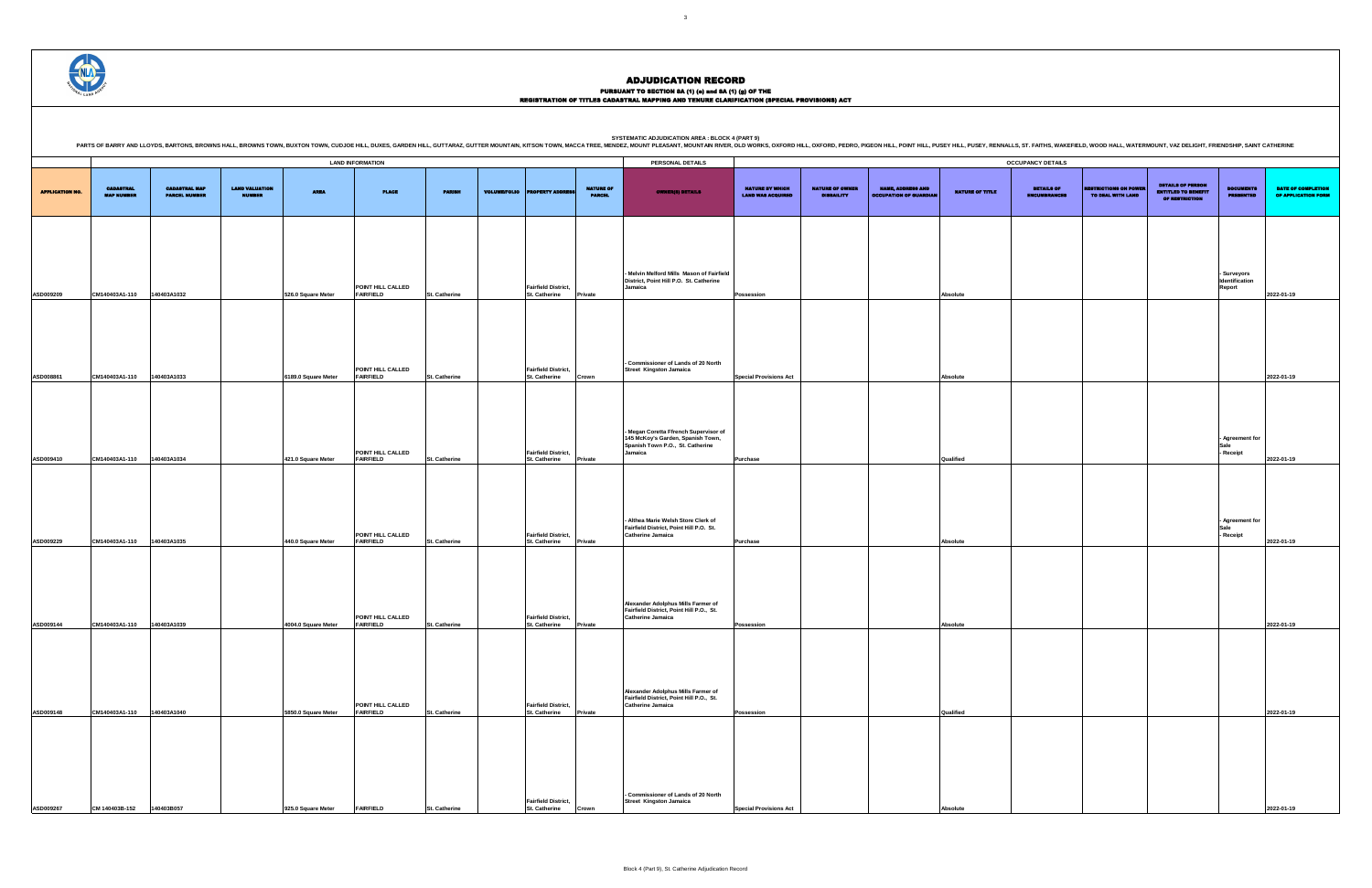|                                             |                                             |                                                           |                 | <b>OCCUPANCY DETAILS</b>                 |                                                   |                                                                          |                                      |                                           |
|---------------------------------------------|---------------------------------------------|-----------------------------------------------------------|-----------------|------------------------------------------|---------------------------------------------------|--------------------------------------------------------------------------|--------------------------------------|-------------------------------------------|
| NATURE BY WHICH<br><b>LAND WAS ACQUIRED</b> | <b>NATURE OF OWNER</b><br><b>DISBAILITY</b> | <b>NAME, ADDRESS AND</b><br><b>OCCUPATION OF GUARDIAN</b> | NATURE OF TITLE | <b>DETAILS OF</b><br><b>ENCUMBRANCES</b> | <b>RESTRICTIONS ON POWER</b><br>TO DEAL WITH LAND | <b>DETAILS OF PERSON</b><br><b>ENTITLED TO BENEFIT</b><br>OF RESTRICTION | <b>DOCUMENTS</b><br><b>PRESENTED</b> | DATE OF COMPLETION<br>OF APPLICATION FORM |
|                                             |                                             |                                                           |                 |                                          |                                                   |                                                                          | - Surveyors                          |                                           |
| Possession                                  |                                             |                                                           | Absolute        |                                          |                                                   |                                                                          | Identification<br>Report             | 2022-01-19                                |
|                                             |                                             |                                                           |                 |                                          |                                                   |                                                                          |                                      |                                           |
| <b>Special Provisions Act</b>               |                                             |                                                           | Absolute        |                                          |                                                   |                                                                          |                                      | 2022-01-19                                |
| Purchase                                    |                                             |                                                           | Qualified       |                                          |                                                   |                                                                          | - Agreement for<br>Sale<br>Receipt   | 2022-01-19                                |
| Purchase                                    |                                             |                                                           | Absolute        |                                          |                                                   |                                                                          | - Agreement for<br>Sale<br>Receipt   | 2022-01-19                                |
| Possession                                  |                                             |                                                           | <b>Absolute</b> |                                          |                                                   |                                                                          |                                      | 2022-01-19                                |
| Possession                                  |                                             |                                                           | Qualified       |                                          |                                                   |                                                                          |                                      | 2022-01-19                                |
| <b>Special Provisions Act</b>               |                                             |                                                           | Absolute        |                                          |                                                   |                                                                          |                                      | 2022-01-19                                |

ADJUDICATION RECORD

|                        |                                       |                                              |                                        |                     | <b>LAND INFORMATION</b>               |                      |                     |                                                    |                                   | <b>PERSONAL DETAILS</b>                                                                                                 |                                                    |                                             |                                                           |                        | <b>OCCUPANCY DETAILS</b>                 |
|------------------------|---------------------------------------|----------------------------------------------|----------------------------------------|---------------------|---------------------------------------|----------------------|---------------------|----------------------------------------------------|-----------------------------------|-------------------------------------------------------------------------------------------------------------------------|----------------------------------------------------|---------------------------------------------|-----------------------------------------------------------|------------------------|------------------------------------------|
| <b>APPLICATION NO.</b> | <b>CADASTRAL</b><br><b>MAP NUMBER</b> | <b>CADASTRAL MAP</b><br><b>PARCEL NUMBER</b> | <b>LAND VALUATION</b><br><b>NUMBER</b> | <b>AREA</b>         | <b>PLACE</b>                          | <b>PARISH</b>        | <b>VOLUME/FOLIO</b> | <b>PROPERTY ADDRESS</b>                            | <b>NATURE OF</b><br><b>PARCEL</b> | <b>OWNER(8) DETAILS</b>                                                                                                 | <b>NATURE BY WHICH</b><br><b>LAND WAS ACQUIRED</b> | <b>NATURE OF OWNER</b><br><b>DISBAILITY</b> | <b>NAME, ADDRESS AND</b><br><b>OCCUPATION OF GUARDIAN</b> | <b>NATURE OF TITLE</b> | <b>DETAILS OF</b><br><b>ENCUMBRANCES</b> |
|                        |                                       |                                              |                                        |                     | POINT HILL CALLED                     |                      |                     | <b>Fairfield District,</b>                         |                                   | Melvin Melford Mills Mason of Fairfield<br>District, Point Hill P.O. St. Catherine<br>Jamaica                           |                                                    |                                             |                                                           |                        |                                          |
| ASD009209              | CM140403A1-110                        | 140403A1032                                  |                                        | 526.0 Square Meter  | <b>FAIRFIELD</b>                      | St. Catherine        |                     | St. Catherine                                      | Private                           |                                                                                                                         | Possession                                         |                                             |                                                           | Absolute               |                                          |
| ASD008861              | CM140403A1-110                        | 140403A1033                                  |                                        | 6189.0 Square Meter | POINT HILL CALLED<br><b>FAIRFIELD</b> | St. Catherine        |                     | <b>Fairfield District,</b><br><b>St. Catherine</b> | Crown                             | Commissioner of Lands of 20 North<br>Street Kingston Jamaica                                                            | <b>Special Provisions Act</b>                      |                                             |                                                           | Absolute               |                                          |
|                        |                                       |                                              |                                        |                     | POINT HILL CALLED                     |                      |                     | <b>Fairfield District,</b>                         |                                   | Megan Coretta Ffrench Supervisor of<br>145 McKoy's Garden, Spanish Town,<br>Spanish Town P.O., St. Catherine<br>Jamaica |                                                    |                                             |                                                           |                        |                                          |
| ASD009410              | CM140403A1-110                        | 140403A1034                                  |                                        | 421.0 Square Meter  | <b>FAIRFIELD</b>                      | St. Catherine        |                     | St. Catherine                                      | Private                           |                                                                                                                         | Purchase                                           |                                             |                                                           | Qualified              |                                          |
| <b>ASD009229</b>       | CM140403A1-110                        | 140403A1035                                  |                                        | 440.0 Square Meter  | POINT HILL CALLED<br><b>FAIRFIELD</b> | St. Catherine        |                     | <b>Fairfield District,</b><br><b>St. Catherine</b> | Private                           | Althea Marie Welsh Store Clerk of<br>Fairfield District, Point Hill P.O. St.<br><b>Catherine Jamaica</b>                | Purchase                                           |                                             |                                                           | Absolute               |                                          |
|                        |                                       |                                              |                                        |                     |                                       |                      |                     |                                                    |                                   | Alexander Adolphus Mills Farmer of<br>Fairfield District, Point Hill P.O., St.                                          |                                                    |                                             |                                                           |                        |                                          |
| ASD009144              | CM140403A1-110                        | 140403A1039                                  |                                        | 4004.0 Square Meter | POINT HILL CALLED<br><b>FAIRFIELD</b> | St. Catherine        |                     | <b>Fairfield District,</b><br><b>St. Catherine</b> | Private                           | <b>Catherine Jamaica</b>                                                                                                | Possession                                         |                                             |                                                           | Absolute               |                                          |
| ASD009148              | CM140403A1-110                        | 140403A1040                                  |                                        | 5850.0 Square Meter | POINT HILL CALLED<br><b>FAIRFIELD</b> | St. Catherine        |                     | <b>Fairfield District,</b><br>St. Catherine        | Private                           | Alexander Adolphus Mills Farmer of<br>Fairfield District, Point Hill P.O., St.<br><b>Catherine Jamaica</b>              | Possession                                         |                                             |                                                           | Qualified              |                                          |
|                        |                                       |                                              |                                        |                     |                                       |                      |                     |                                                    |                                   |                                                                                                                         |                                                    |                                             |                                                           |                        |                                          |
|                        |                                       |                                              |                                        |                     |                                       |                      |                     | <b>Fairfield District,</b>                         |                                   | <b>Commissioner of Lands of 20 North</b><br><b>Street Kingston Jamaica</b>                                              |                                                    |                                             |                                                           |                        |                                          |
| ASD009267              | CM 140403B-152                        | 140403B057                                   |                                        | 925.0 Square Meter  | <b>FAIRFIELD</b>                      | <b>St. Catherine</b> |                     | <b>St. Catherine</b>                               | Crown                             |                                                                                                                         | <b>Special Provisions Act</b>                      |                                             |                                                           | Absolute               |                                          |

SYSTEMATIC ADJUDICATION AREA : BLOCK 4 (PART 9)<br>PARTS OF BARRY AND LLOYDS, BARTONS, BROWNS HALL, BROWNS HALL, BROWNS TOWN, BUXTON TOWN, CUDJOE HILL, DUXES, GARDEN HILL, GUTTARAZ, GUTTER MOUNTAIN, KITSON TOWN, MACCA TREE, M



PURSUANT TO SECTION 8A (1) (0) and 8A (1) (g) OF THE<br>REGISTRATION OF TITLES CADASTRAL MAPPING AND TENURE CLARIFICATION (SPECIAL PROVISIONS) ACT

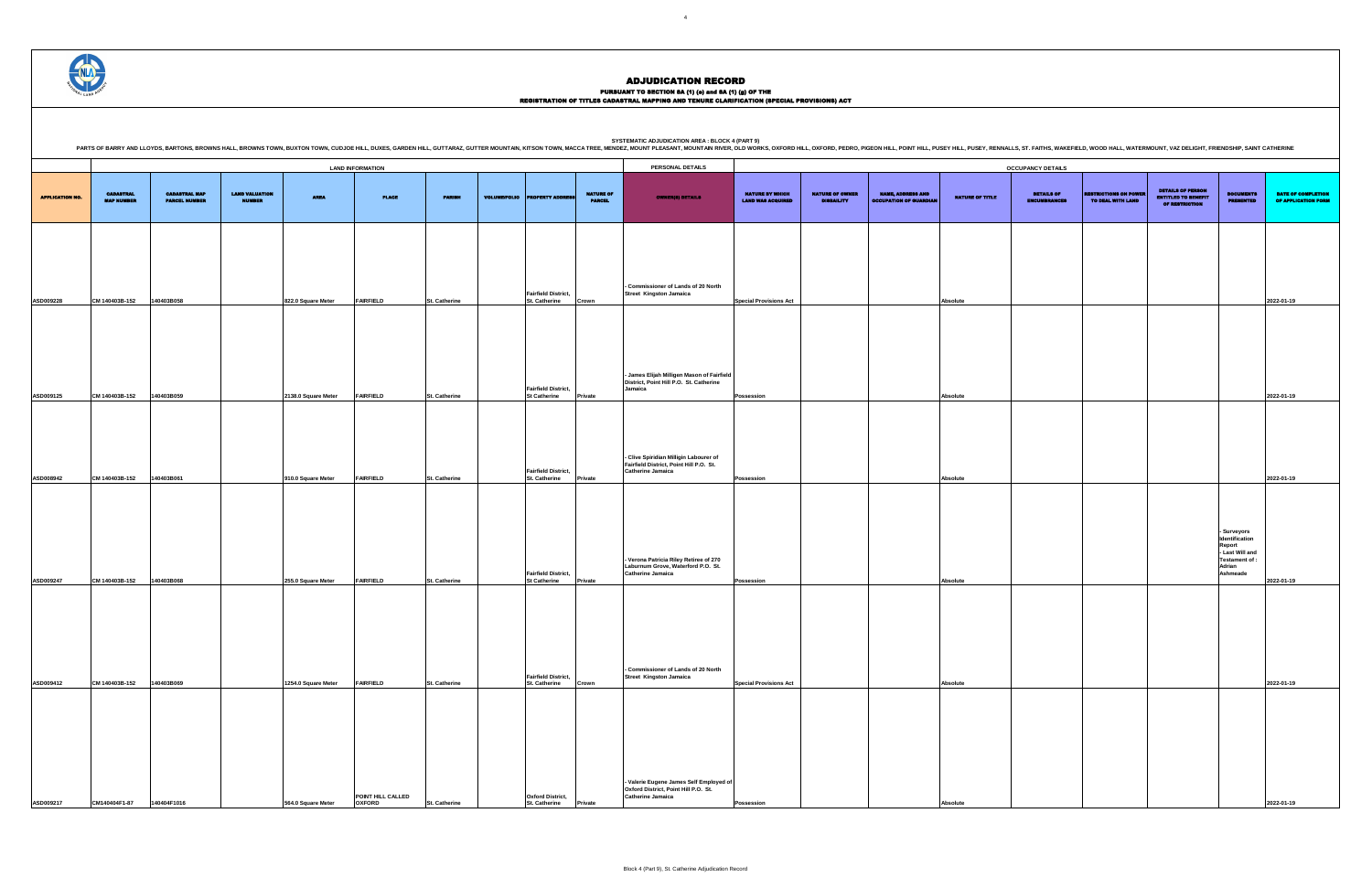PURSUANT TO SECTION 8A (1) (0) and 8A (1) (g) OF THE<br>REGISTRATION OF TITLES CADASTRAL MAPPING AND TENURE CLARIFICATION (SPECIAL PROVISIONS) ACT

SYSTEMATIC ADJUDICATION AREA : BLOCK 4 (PART 9)<br>PARTS OF BARRY AND LLOYDS, BARTONS, BROWNS HALL, BROWNS HALL, BROWNS TOWN, BUXTON TOWN, CUDJOE HILL, DUXES, GARDEN HILL, GUTTARAZ, GUTTER MOUNTAIN, KITSON TOWN, MACCA TREE, M

DETAILS OF ENCUMBRANCES RESTRICTIONS ON POWER TO DEAL WITH LAND DETAILS OF PERSON ENTITLED TO BENEFIT OF RESTRICTION DOCUMENTS PRESENTED DATE OF COMPLETION OF APPLICATION FORM **Special Provisions Act Absolute 2022-01-19 Possession Absolute 2022-01-19 Possession Absolute 2022-01-19 - Surveyors Identification Report - Last Will and Testament of : Adrian Ashmeade 2022-01-19 Special Provisions Act Absolute 2022-01-19**

|                        |                                       |                                              |                                        |                     | <b>LAND INFORMATION</b>            |                      |                     |                                                    |                                   | PERSONAL DETAILS                                                                                              |                                                    |                                             |                                                           |                        | <b>OCCUPANCY DETAILS</b>                 |                                                   |                                                                                 |                                                                                                  |                                  |
|------------------------|---------------------------------------|----------------------------------------------|----------------------------------------|---------------------|------------------------------------|----------------------|---------------------|----------------------------------------------------|-----------------------------------|---------------------------------------------------------------------------------------------------------------|----------------------------------------------------|---------------------------------------------|-----------------------------------------------------------|------------------------|------------------------------------------|---------------------------------------------------|---------------------------------------------------------------------------------|--------------------------------------------------------------------------------------------------|----------------------------------|
| <b>APPLICATION NO.</b> | <b>CADASTRAL</b><br><b>MAP NUMBER</b> | <b>CADASTRAL MAP</b><br><b>PARCEL NUMBER</b> | <b>LAND VALUATION</b><br><b>NUMBER</b> | <b>AREA</b>         | <b>PLACE</b>                       | <b>PARISH</b>        | <b>VOLUME/FOLIO</b> | <b>PROPERTY ADDRE</b>                              | <b>NATURE OF</b><br><b>PARCEL</b> | <b>OWNER(8) DETAILS</b>                                                                                       | <b>NATURE BY WHICH</b><br><b>LAND WAS ACQUIRED</b> | <b>NATURE OF OWNER</b><br><b>DISBAILITY</b> | <b>NAME, ADDRESS AND</b><br><b>OCCUPATION OF GUARDIAN</b> | <b>NATURE OF TITLE</b> | <b>DETAILS OF</b><br><b>ENCUMBRANCES</b> | <b>RESTRICTIONS ON POWER</b><br>TO DEAL WITH LAND | <b>DETAILS OF PERSON</b><br><b>ENTITLED TO BENEFIT</b><br><b>OF RESTRICTION</b> | <b>DOCUMENTS</b><br><b>PRESENTED</b>                                                             | <b>DATE OF</b><br><b>OF APPL</b> |
|                        |                                       |                                              |                                        |                     |                                    |                      |                     |                                                    |                                   |                                                                                                               |                                                    |                                             |                                                           |                        |                                          |                                                   |                                                                                 |                                                                                                  |                                  |
|                        |                                       |                                              |                                        |                     |                                    |                      |                     |                                                    |                                   | - Commissioner of Lands of 20 North                                                                           |                                                    |                                             |                                                           |                        |                                          |                                                   |                                                                                 |                                                                                                  |                                  |
| ASD009228              | CM 140403B-152                        | 140403B058                                   |                                        | 822.0 Square Meter  | <b>FAIRFIELD</b>                   | <b>St. Catherine</b> |                     | <b>Fairfield District,</b><br>St. Catherine        | Crown                             | <b>Street Kingston Jamaica</b>                                                                                | <b>Special Provisions Act</b>                      |                                             |                                                           | Absolute               |                                          |                                                   |                                                                                 |                                                                                                  | 2022-01-19                       |
|                        |                                       |                                              |                                        |                     |                                    |                      |                     |                                                    |                                   |                                                                                                               |                                                    |                                             |                                                           |                        |                                          |                                                   |                                                                                 |                                                                                                  |                                  |
|                        |                                       |                                              |                                        |                     |                                    |                      |                     | <b>Fairfield District,</b>                         |                                   | - James Elijah Milligen Mason of Fairfield<br>District, Point Hill P.O. St. Catherine<br>Jamaica              |                                                    |                                             |                                                           |                        |                                          |                                                   |                                                                                 |                                                                                                  |                                  |
| ASD009125              | CM 140403B-152                        | 140403B059                                   |                                        | 2138.0 Square Meter | <b>FAIRFIELD</b>                   | <b>St. Catherine</b> |                     | <b>St Catherine</b>                                | Private                           |                                                                                                               | <b>Possession</b>                                  |                                             |                                                           | Absolute               |                                          |                                                   |                                                                                 |                                                                                                  | 2022-01-19                       |
| ASD008942              | CM 140403B-152                        | 140403B061                                   |                                        | 910.0 Square Meter  | <b>FAIRFIELD</b>                   | <b>St. Catherine</b> |                     | <b>Fairfield District,</b><br><b>St. Catherine</b> | Private                           | - Clive Spiridian Milligin Labourer of<br>Fairfield District, Point Hill P.O. St.<br><b>Catherine Jamaica</b> | Possession                                         |                                             |                                                           | Absolute               |                                          |                                                   |                                                                                 |                                                                                                  | 2022-01-19                       |
|                        |                                       |                                              |                                        |                     |                                    |                      |                     |                                                    |                                   |                                                                                                               |                                                    |                                             |                                                           |                        |                                          |                                                   |                                                                                 |                                                                                                  |                                  |
| ASD009247              | CM 140403B-152                        | 140403B068                                   |                                        | 255.0 Square Meter  | <b>FAIRFIELD</b>                   | St. Catherine        |                     | <b>Fairfield District,</b><br><b>St Catherine</b>  | Private                           | - Verona Patricia Riley Retiree of 270<br>Laburnum Grove, Waterford P.O. St.<br><b>Catherine Jamaica</b>      | Possession                                         |                                             |                                                           | Absolute               |                                          |                                                   |                                                                                 | Surveyors<br>Identification<br>Report<br>- Last Will and<br>Testament of :<br>Adrian<br>Ashmeade | 2022-01-19                       |
|                        |                                       |                                              |                                        |                     |                                    |                      |                     |                                                    |                                   | - Commissioner of Lands of 20 North                                                                           |                                                    |                                             |                                                           |                        |                                          |                                                   |                                                                                 |                                                                                                  |                                  |
| ASD009412              | CM 140403B-152                        | 140403B069                                   |                                        | 1254.0 Square Meter | <b>FAIRFIELD</b>                   | <b>St. Catherine</b> |                     | <b>Fairfield District,</b><br><b>St. Catherine</b> | Crown                             | <b>Street Kingston Jamaica</b>                                                                                | <b>Special Provisions Act</b>                      |                                             |                                                           | Absolute               |                                          |                                                   |                                                                                 |                                                                                                  | 2022-01-19                       |
| ASD009217              | CM140404F1-87 140404F1016             |                                              |                                        | 564.0 Square Meter  | POINT HILL CALLED<br><b>OXFORD</b> | <b>St. Catherine</b> |                     | <b>Oxford District,</b><br>St. Catherine           | Private                           | - Valerie Eugene James Self Employed of<br>Oxford District, Point Hill P.O. St.<br><b>Catherine Jamaica</b>   | Possession                                         |                                             |                                                           | Absolut                |                                          |                                                   |                                                                                 |                                                                                                  | 2022-01-19                       |

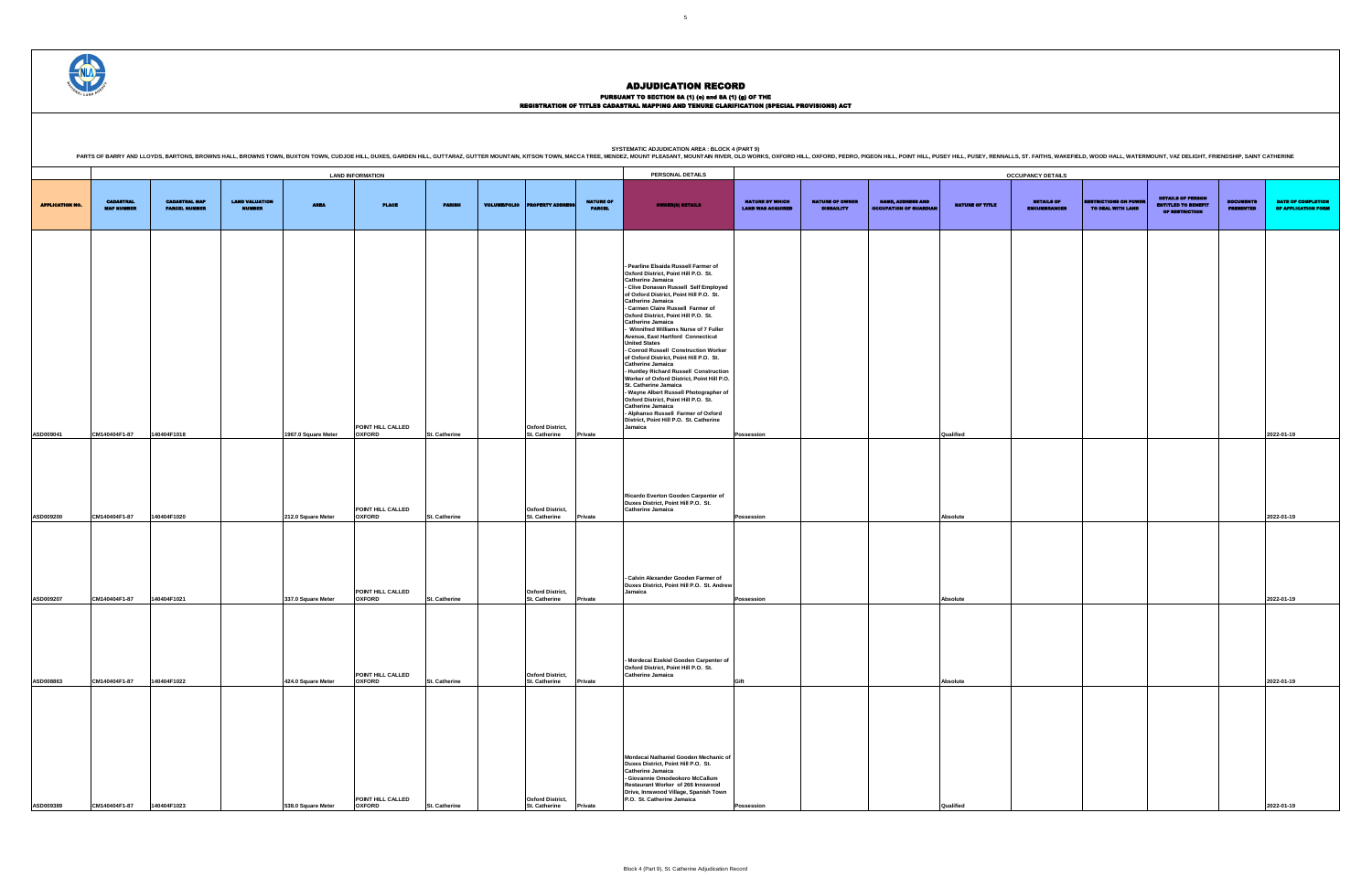### PURSUANT TO SECTION 8A (1) (0) and 8A (1) (g) OF THE<br>REGISTRATION OF TITLES CADASTRAL MAPPING AND TENURE CLARIFICATION (SPECIAL PROVISIONS) ACT

DETAILS OF ENCUMBRANCES RESTRICTIONS ON POWER TO DEAL WITH LAND DETAILS OF PERSON ENTITLED TO BENEFIT OF RESTRICTION DOCUMENTS PRESENTED DATE OF COMPLETION OF APPLICATION FORM **Possession Qualified 2022-01-19 Possession Absolute 2022-01-19 Possession Absolute 2022-01-19 Gift Absolute 2022-01-19**

|                        |                                       |                                              |                                        |                     | <b>LAND INFORMATION</b>                                 |                      |                                                                            |                                   | PERSONAL DETAILS                                                                                                                                                                                                                                                                                                                                                                                                                                                                                                                                                                                                                                                                                                                                                                                                                                                         |                                                    |                                             |                                                           |                        | <b>OCCUPANCY DETAILS</b>                 |                                                   |                                                                                 |                                      |                                 |
|------------------------|---------------------------------------|----------------------------------------------|----------------------------------------|---------------------|---------------------------------------------------------|----------------------|----------------------------------------------------------------------------|-----------------------------------|--------------------------------------------------------------------------------------------------------------------------------------------------------------------------------------------------------------------------------------------------------------------------------------------------------------------------------------------------------------------------------------------------------------------------------------------------------------------------------------------------------------------------------------------------------------------------------------------------------------------------------------------------------------------------------------------------------------------------------------------------------------------------------------------------------------------------------------------------------------------------|----------------------------------------------------|---------------------------------------------|-----------------------------------------------------------|------------------------|------------------------------------------|---------------------------------------------------|---------------------------------------------------------------------------------|--------------------------------------|---------------------------------|
| <b>APPLICATION NO.</b> | <b>CADASTRAL</b><br><b>MAP NUMBER</b> | <b>CADASTRAL MAP</b><br><b>PARCEL NUMBER</b> | <b>LAND VALUATION</b><br><b>NUMBER</b> | <b>AREA</b>         | <b>PLACE</b>                                            | <b>PARISH</b>        | <b>VOLUME/FOLIO PROPERTY ADDRES</b>                                        | <b>NATURE OF</b><br><b>PARCEL</b> | <b>OWNER(8) DETAILS</b>                                                                                                                                                                                                                                                                                                                                                                                                                                                                                                                                                                                                                                                                                                                                                                                                                                                  | <b>NATURE BY WHICH</b><br><b>LAND WAS ACQUIRED</b> | <b>NATURE OF OWNER</b><br><b>DISBAILITY</b> | <b>NAME, ADDRESS AND</b><br><b>OCCUPATION OF GUARDIAN</b> | <b>NATURE OF TITLE</b> | <b>DETAILS OF</b><br><b>ENCUMBRANCES</b> | <b>RESTRICTIONS ON POWER</b><br>TO DEAL WITH LAND | <b>DETAILS OF PERSON</b><br><b>ENTITLED TO BENEFIT</b><br><b>OF RESTRICTION</b> | <b>DOCUMENTS</b><br><b>PRESENTED</b> | <b>DATE O</b><br><b>OF APPL</b> |
|                        |                                       |                                              |                                        |                     |                                                         |                      |                                                                            |                                   | - Pearline Elsaida Russell Farmer of<br>Oxford District, Point Hill P.O. St.<br><b>Catherine Jamaica</b><br>- Clive Donavan Russell Self Employed<br>of Oxford District, Point Hill P.O. St.<br><b>Catherine Jamaica</b><br>- Carmen Claire Russell Farmer of<br>Oxford District, Point Hill P.O. St.<br><b>Catherine Jamaica</b><br>- Winnifred Williams Nurse of 7 Fuller<br>Avenue, East Hartford Connecticut<br><b>United States</b><br>- Conrod Russell Construction Worker<br>of Oxford District, Point Hill P.O. St.<br><b>Catherine Jamaica</b><br>- Huntley Richard Russell Construction<br>Worker of Oxford District, Point Hill P.O.<br>St. Catherine Jamaica<br>- Wayne Albert Russell Photographer of<br>Oxford District, Point Hill P.O. St.<br><b>Catherine Jamaica</b><br>- Alphanso Russell Farmer of Oxford<br>District, Point Hill P.O. St. Catherine |                                                    |                                             |                                                           |                        |                                          |                                                   |                                                                                 |                                      |                                 |
| ASD009041              | CM140404F1-87                         | 140404F1018                                  |                                        | 1967.0 Square Meter | POINT HILL CALLED<br><b>OXFORD</b>                      | St. Catherine        | <b>Oxford District,</b><br>St. Catherine                                   | Private                           | Jamaica                                                                                                                                                                                                                                                                                                                                                                                                                                                                                                                                                                                                                                                                                                                                                                                                                                                                  | Possession                                         |                                             |                                                           | Qualified              |                                          |                                                   |                                                                                 |                                      | 2022-01-19                      |
| ASD009200              | CM140404F1-87                         | 140404F1020                                  |                                        | 212.0 Square Meter  | POINT HILL CALLED<br><b>OXFORD</b><br>POINT HILL CALLED | <b>St. Catherine</b> | <b>Oxford District,</b><br><b>St. Catherine</b><br><b>Oxford District,</b> | Private                           | Ricardo Everton Gooden Carpenter of<br>Duxes District, Point Hill P.O. St.<br><b>Catherine Jamaica</b><br>- Calvin Alexander Gooden Farmer of<br>Duxes District, Point Hill P.O. St. Andrew<br>Jamaica                                                                                                                                                                                                                                                                                                                                                                                                                                                                                                                                                                                                                                                                   | Possession                                         |                                             |                                                           | Absolute               |                                          |                                                   |                                                                                 |                                      | 2022-01-19                      |
| ASD009207              | CM140404F1-87                         | 140404F1021                                  |                                        | 337.0 Square Meter  | <b>OXFORD</b>                                           | St. Catherine        | St. Catherine                                                              | Private                           |                                                                                                                                                                                                                                                                                                                                                                                                                                                                                                                                                                                                                                                                                                                                                                                                                                                                          | Possession                                         |                                             |                                                           | Absolute               |                                          |                                                   |                                                                                 |                                      | 2022-01-19                      |
| ASD008863              | CM140404F1-87                         | 140404F1022                                  |                                        | 424.0 Square Meter  | POINT HILL CALLED<br><b>OXFORD</b>                      | St. Catherine        | <b>Oxford District,</b><br><b>St. Catherine</b>                            | Private                           | - Mordecai Ezekiel Gooden Carpenter of<br>Oxford District, Point Hill P.O. St.<br><b>Catherine Jamaica</b>                                                                                                                                                                                                                                                                                                                                                                                                                                                                                                                                                                                                                                                                                                                                                               | Gift                                               |                                             |                                                           | <b>Absolute</b>        |                                          |                                                   |                                                                                 |                                      | 2022-01-19                      |
| ASD009389              | CM140404F1-87                         | 140404F1023                                  |                                        | 538.0 Square Meter  | POINT HILL CALLED<br><b>OXFORD</b>                      | <b>St. Catherine</b> | <b>Oxford District,</b><br>St. Catherine                                   | Private                           | Mordecai Nathaniel Gooden Mechanic of<br>Duxes District, Point Hill P.O. St.<br><b>Catherine Jamaica</b><br>- Giovannie Omodeokoro McCallum<br>Restaurant Worker of 266 Innswood<br>Drive, Innswood Village, Spanish Town<br>P.O. St. Catherine Jamaica                                                                                                                                                                                                                                                                                                                                                                                                                                                                                                                                                                                                                  | Possession                                         |                                             |                                                           | Qualified              |                                          |                                                   |                                                                                 |                                      | 2022-01-19                      |

SYSTEMATIC ADJUDICATION AREA : BLOCK 4 (PART 9)<br>PARTS OF BARRY AND LLOYDS, BARTONS, BROWNS HALL, BROWNS HALL, BROWNS TOWN, BUXTON TOWN, CUDJOE HILL, DUXES, GARDEN HILL, GUTTARAZ, GUTTER MOUNTAIN, KITSON TOWN, MACCA TREE, M

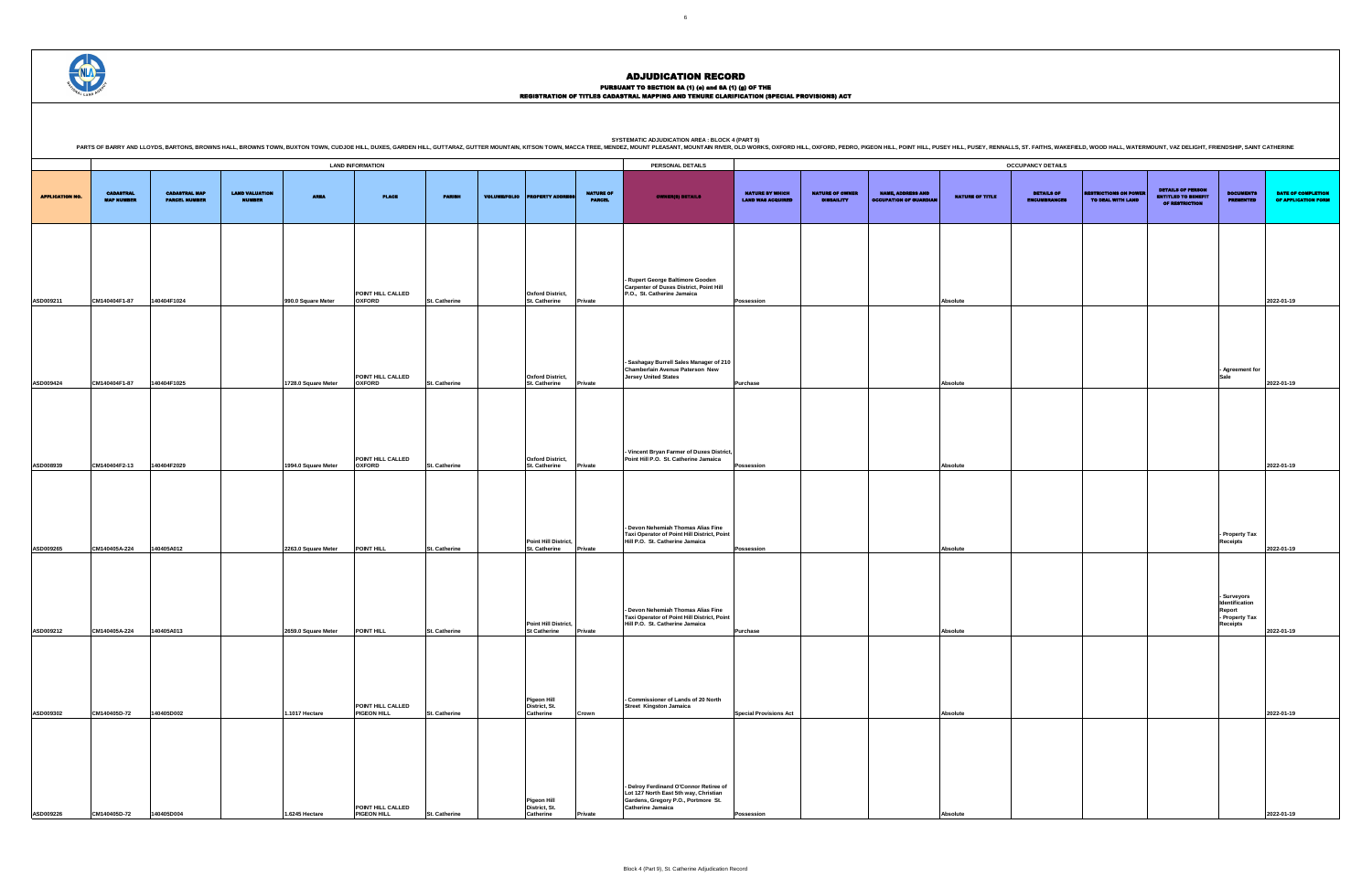### PURSUANT TO SECTION 8A (1) (0) and 8A (1) (g) OF THE<br>REGISTRATION OF TITLES CADASTRAL MAPPING AND TENURE CLARIFICATION (SPECIAL PROVISIONS) ACT

SYSTEMATIC ADJUDICATION AREA : BLOCK 4 (PART 9)<br>PARTS OF BARRY AND LLOYDS, BARTONS, BROWNS HALL, BROWNS HALL, BROWNS TOWN, BUXTON TOWN, CUDJOE HILL, DUXES, GARDEN HILL, GUTTARAZ, GUTTER MOUNTAIN, KITSON TOWN, MACCA TREE, M

|                                             |                                             |                                                           |                        | <b>OCCUPANCY DETAILS</b>          |                                                   |                                                                                 |                                                                              |                                                  |
|---------------------------------------------|---------------------------------------------|-----------------------------------------------------------|------------------------|-----------------------------------|---------------------------------------------------|---------------------------------------------------------------------------------|------------------------------------------------------------------------------|--------------------------------------------------|
| NATURE BY WHICH<br><b>LAND WAS ACQUIRED</b> | <b>NATURE OF OWNER</b><br><b>DISBAILITY</b> | <b>NAME, ADDRESS AND</b><br><b>OCCUPATION OF GUARDIAN</b> | <b>NATURE OF TITLE</b> | DETAILS OF<br><b>ENCUMBRANCES</b> | <b>RESTRICTIONS ON POWER</b><br>TO DEAL WITH LAND | <b>DETAILS OF PERSON</b><br><b>ENTITLED TO BENEFIT</b><br><b>OF RESTRICTION</b> | <b>DOCUMENTS</b><br><b>PRESENTED</b>                                         | <b>DATE OF COMPLETION</b><br>OF APPLICATION FORM |
|                                             |                                             |                                                           |                        |                                   |                                                   |                                                                                 |                                                                              |                                                  |
| Possession                                  |                                             |                                                           | Absolute               |                                   |                                                   |                                                                                 |                                                                              | 2022-01-19                                       |
|                                             |                                             |                                                           |                        |                                   |                                                   |                                                                                 |                                                                              |                                                  |
| Purchase                                    |                                             |                                                           | Absolute               |                                   |                                                   |                                                                                 | - Agreement for<br>Sale                                                      | 2022-01-19                                       |
|                                             |                                             |                                                           |                        |                                   |                                                   |                                                                                 |                                                                              |                                                  |
|                                             |                                             |                                                           |                        |                                   |                                                   |                                                                                 |                                                                              |                                                  |
| Possession                                  |                                             |                                                           | Absolute               |                                   |                                                   |                                                                                 |                                                                              | 2022-01-19                                       |
|                                             |                                             |                                                           |                        |                                   |                                                   |                                                                                 | - Property Tax                                                               |                                                  |
| Possession                                  |                                             |                                                           | Absolute               |                                   |                                                   |                                                                                 | <b>Receipts</b>                                                              | 2022-01-19                                       |
|                                             |                                             |                                                           |                        |                                   |                                                   |                                                                                 | - Surveyors<br>Identification<br>Report<br>- Property Tax<br><b>Receipts</b> |                                                  |
| Purchase                                    |                                             |                                                           | Absolute               |                                   |                                                   |                                                                                 |                                                                              | 2022-01-19                                       |
|                                             |                                             |                                                           |                        |                                   |                                                   |                                                                                 |                                                                              |                                                  |
| <b>Special Provisions Act</b>               |                                             |                                                           | Absolute               |                                   |                                                   |                                                                                 |                                                                              | 2022-01-19                                       |
|                                             |                                             |                                                           |                        |                                   |                                                   |                                                                                 |                                                                              |                                                  |
|                                             |                                             |                                                           |                        |                                   |                                                   |                                                                                 |                                                                              |                                                  |
| Possession                                  |                                             |                                                           | Absolute               |                                   |                                                   |                                                                                 |                                                                              | 2022-01-19                                       |



|                        |                                       |                                              |                                        |                     | <b>LAND INFORMATION</b>            |               |                     |                                                  |                                   | PERSONAL DETAILS                                                                                                                                   |                                                    |                                             |                                                           |                        | <b>OCCUPANCY DETAILS</b>                 |
|------------------------|---------------------------------------|----------------------------------------------|----------------------------------------|---------------------|------------------------------------|---------------|---------------------|--------------------------------------------------|-----------------------------------|----------------------------------------------------------------------------------------------------------------------------------------------------|----------------------------------------------------|---------------------------------------------|-----------------------------------------------------------|------------------------|------------------------------------------|
| <b>APPLICATION NO.</b> | <b>CADASTRAL</b><br><b>MAP NUMBER</b> | <b>CADASTRAL MAP</b><br><b>PARCEL NUMBER</b> | <b>LAND VALUATION</b><br><b>NUMBER</b> | <b>AREA</b>         | <b>PLACE</b>                       | <b>PARISH</b> | <b>VOLUME/FOLIO</b> | <b>PROPERTY ADDRE</b>                            | <b>NATURE OF</b><br><b>PARCEL</b> | <b>OWNER(8) DETAILS</b>                                                                                                                            | <b>NATURE BY WHICH</b><br><b>LAND WAS ACQUIRED</b> | <b>NATURE OF OWNER</b><br><b>DISBAILITY</b> | <b>NAME, ADDRESS AND</b><br><b>OCCUPATION OF GUARDIAN</b> | <b>NATURE OF TITLE</b> | <b>DETAILS OF</b><br><b>ENCUMBRANCES</b> |
|                        |                                       |                                              |                                        |                     |                                    |               |                     |                                                  |                                   |                                                                                                                                                    |                                                    |                                             |                                                           |                        |                                          |
| ASD009211              | CM140404F1-87                         | 140404F1024                                  |                                        | 990.0 Square Meter  | POINT HILL CALLED<br><b>OXFORD</b> | St. Catherine |                     | <b>Oxford District,</b><br>St. Catherine         | Private                           | - Rupert George Baltimore Gooden<br><b>Carpenter of Duxes District, Point Hill</b><br>P.O., St. Catherine Jamaica                                  | Possession                                         |                                             |                                                           | Absolute               |                                          |
|                        |                                       |                                              |                                        |                     |                                    |               |                     |                                                  |                                   |                                                                                                                                                    |                                                    |                                             |                                                           |                        |                                          |
|                        |                                       |                                              |                                        |                     | POINT HILL CALLED                  |               |                     | <b>Oxford District,</b>                          |                                   | - Sashagay Burrell Sales Manager of 210<br>Chamberlain Avenue Paterson New<br><b>Jersey United States</b>                                          |                                                    |                                             |                                                           |                        |                                          |
| ASD009424              | CM140404F1-87                         | 140404F1025                                  |                                        | 1728.0 Square Meter | <b>OXFORD</b>                      | St. Catherine |                     | St. Catherine                                    | Private                           |                                                                                                                                                    | <b>Purchase</b>                                    |                                             |                                                           | Absolute               |                                          |
| ASD008939              | CM140404F2-13                         | 140404F2029                                  |                                        | 1994.0 Square Meter | POINT HILL CALLED<br><b>OXFORD</b> | St. Catherine |                     | <b>Oxford District,</b><br><b>St. Catherine</b>  | Private                           | - Vincent Bryan Farmer of Duxes District,<br>Point Hill P.O. St. Catherine Jamaica                                                                 | Possession                                         |                                             |                                                           | Absolute               |                                          |
| ASD009265              | CM140405A-224                         | 140405A012                                   |                                        | 2263.0 Square Meter | POINT HILL                         | St. Catherine |                     | Point Hill District,<br><b>St. Catherine</b>     | Private                           | - Devon Nehemiah Thomas Alias Fine<br>Taxi Operator of Point Hill District, Point<br>Hill P.O. St. Catherine Jamaica                               | Possession                                         |                                             |                                                           | Absolute               |                                          |
| ASD009212              | CM140405A-224                         | 140405A013                                   |                                        | 2659.0 Square Meter | POINT HILL                         | St. Catherine |                     | Point Hill District,<br><b>St Catherine</b>      | Private                           | Devon Nehemiah Thomas Alias Fine<br>Taxi Operator of Point Hill District, Point<br>Hill P.O. St. Catherine Jamaica                                 | Purchase                                           |                                             |                                                           | Absolute               |                                          |
| ASD009302              | CM140405D-72                          | 140405D002                                   |                                        | 1.1017 Hectare      | POINT HILL CALLED<br>PIGEON HILL   | St. Catherine |                     | <b>Pigeon Hill</b><br>District, St.<br>Catherine | Crown                             | Commissioner of Lands of 20 North<br><b>Street Kingston Jamaica</b>                                                                                | <b>Special Provisions Act</b>                      |                                             |                                                           | Absolute               |                                          |
| ASD009226              | CM140405D-72                          | 140405D004                                   |                                        | 1.6245 Hectare      | POINT HILL CALLED<br>PIGEON HILL   | St. Catherine |                     | <b>Pigeon Hill</b><br>District, St.<br>Catherine | Private                           | - Delroy Ferdinand O'Connor Retiree of<br>Lot 127 North East 5th way, Christian<br>Gardens, Gregory P.O., Portmore St.<br><b>Catherine Jamaica</b> | Possession                                         |                                             |                                                           | Absolute               |                                          |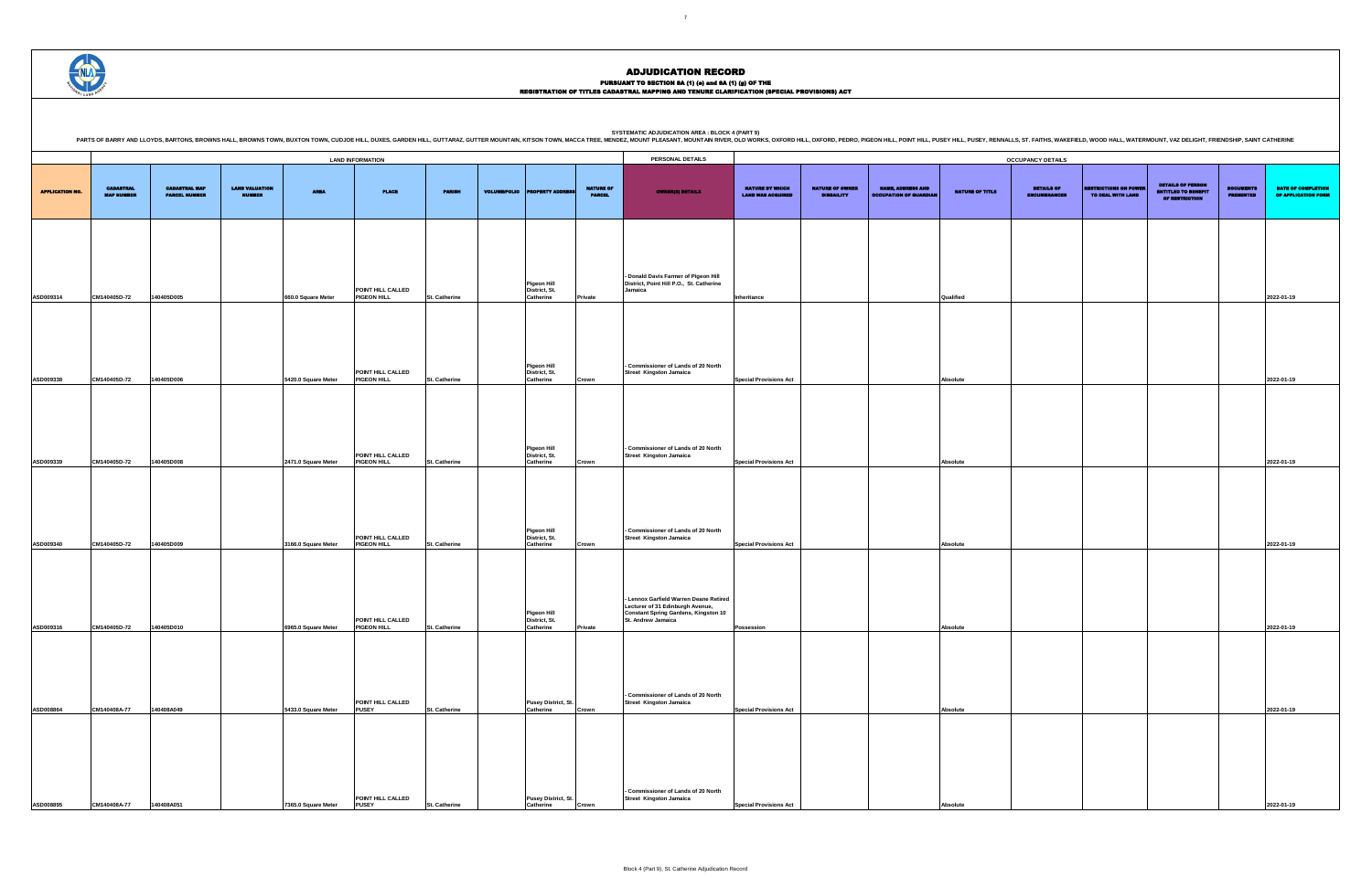SYSTEMATIC ADJUDICATION AREA : BLOCK 4 (PART 9)<br>PARTS OF BARRY AND LLOYDS, BARTONS, BROWNS HALL, BROWNS HALL, BROWNS TOWN, BUXTON TOWN, CUDJOE HILL, DUXES, GARDEN HILL, GUTTARAZ, GUTTER MOUNTAIN, KITSON TOWN, MACCA TREE, M

DETAILS OF ENCUMBRANCES RESTRICTIONS ON POWER TO DEAL WITH LAND DETAILS OF PERSON ENTITLED TO BENEFIT OF RESTRICTION DOCUMENTS PRESENTED DATE OF COMPLETION OF APPLICATION FORM **Inheritance Qualified 2022-01-19 Special Provisions Act Absolute 2022-01-19 Special Provisions Act Absolute 2022-01-19 Special Provisions Act Absolute 2022-01-19 Possession Absolute 2022-01-19 Special Provisions Act Absolute 2022-01-19**

|                        |                                       |                                              |                                        |                     | <b>LAND INFORMATION</b>                 |                      |                     |                                                  |                                   | PERSONAL DETAILS                                                                                                          |                                                    |                                             |                                                           |                        | <b>OCCUPANCY DETAILS</b>                 |                                                  |                                                                                 |                                      |                                  |
|------------------------|---------------------------------------|----------------------------------------------|----------------------------------------|---------------------|-----------------------------------------|----------------------|---------------------|--------------------------------------------------|-----------------------------------|---------------------------------------------------------------------------------------------------------------------------|----------------------------------------------------|---------------------------------------------|-----------------------------------------------------------|------------------------|------------------------------------------|--------------------------------------------------|---------------------------------------------------------------------------------|--------------------------------------|----------------------------------|
| <b>APPLICATION NO.</b> | <b>CADASTRAL</b><br><b>MAP NUMBER</b> | <b>CADASTRAL MAP</b><br><b>PARCEL NUMBER</b> | <b>LAND VALUATION</b><br><b>NUMBER</b> | <b>AREA</b>         | <b>PLACE</b>                            | <b>PARISH</b>        | <b>VOLUME/FOLIO</b> | <b>PROPERTY ADDRE</b>                            | <b>NATURE OF</b><br><b>PARCEL</b> | <b>OWNER(8) DETAILS</b>                                                                                                   | <b>NATURE BY WHICH</b><br><b>LAND WAS ACQUIRED</b> | <b>NATURE OF OWNER</b><br><b>DISBAILITY</b> | <b>NAME, ADDRESS AND</b><br><b>OCCUPATION OF GUARDIAN</b> | <b>NATURE OF TITLE</b> | <b>DETAILS OF</b><br><b>ENCUMBRANCES</b> | <b>RESTRICTIONS ON POWE</b><br>TO DEAL WITH LAND | <b>DETAILS OF PERSON</b><br><b>ENTITLED TO BENEFIT</b><br><b>OF RESTRICTION</b> | <b>DOCUMENTS</b><br><b>PRESENTED</b> | <b>DATE OF</b><br><b>OF APPL</b> |
|                        |                                       |                                              |                                        |                     |                                         |                      |                     |                                                  |                                   |                                                                                                                           |                                                    |                                             |                                                           |                        |                                          |                                                  |                                                                                 |                                      |                                  |
| ASD009314              | CM140405D-72                          | 140405D005                                   |                                        | 660.0 Square Meter  | POINT HILL CALLED<br><b>PIGEON HILL</b> | <b>St. Catherine</b> |                     | <b>Pigeon Hill</b><br>District, St.<br>Catherine | Private                           | - Donald Davis Farmer of Pigeon Hill<br>District, Point Hill P.O., St. Catherine<br>Jamaica                               | Inheritance                                        |                                             |                                                           | Qualified              |                                          |                                                  |                                                                                 |                                      | 2022-01-19                       |
|                        |                                       |                                              |                                        |                     |                                         |                      |                     |                                                  |                                   |                                                                                                                           |                                                    |                                             |                                                           |                        |                                          |                                                  |                                                                                 |                                      |                                  |
| ASD009338              | CM140405D-72                          | 140405D006                                   |                                        | 5420.0 Square Meter | POINT HILL CALLED<br>PIGEON HILL        | St. Catherine        |                     | <b>Pigeon Hill</b><br>District, St.<br>Catherine | Crown                             | - Commissioner of Lands of 20 North<br><b>Street Kingston Jamaica</b>                                                     | <b>Special Provisions Act</b>                      |                                             |                                                           | Absolute               |                                          |                                                  |                                                                                 |                                      | 2022-01-19                       |
|                        |                                       |                                              |                                        |                     |                                         |                      |                     |                                                  |                                   |                                                                                                                           |                                                    |                                             |                                                           |                        |                                          |                                                  |                                                                                 |                                      |                                  |
| ASD009339              | CM140405D-72                          | 140405D008                                   |                                        | 2471.0 Square Meter | POINT HILL CALLED<br><b>PIGEON HILL</b> | <b>St. Catherine</b> |                     | <b>Pigeon Hill</b><br>District, St.<br>Catherine | Crown                             | - Commissioner of Lands of 20 North<br><b>Street Kingston Jamaica</b>                                                     | <b>Special Provisions Act</b>                      |                                             |                                                           | Absolute               |                                          |                                                  |                                                                                 |                                      | 2022-01-19                       |
|                        |                                       |                                              |                                        |                     |                                         |                      |                     |                                                  |                                   |                                                                                                                           |                                                    |                                             |                                                           |                        |                                          |                                                  |                                                                                 |                                      |                                  |
| ASD009340              | CM140405D-72                          | 140405D009                                   |                                        | 3166.0 Square Meter | POINT HILL CALLED<br>PIGEON HILL        | <b>St. Catherine</b> |                     | Pigeon Hill<br>District, St.<br>Catherine        | Crown                             | - Commissioner of Lands of 20 North<br><b>Street Kingston Jamaica</b>                                                     | <b>Special Provisions Act</b>                      |                                             |                                                           | Absolute               |                                          |                                                  |                                                                                 |                                      | 2022-01-19                       |
|                        |                                       |                                              |                                        |                     |                                         |                      |                     |                                                  |                                   | - Lennox Garfield Warren Deane Retired<br>Lecturer of 31 Edinburgh Avenue,<br><b>Constant Spring Gardens, Kingston 10</b> |                                                    |                                             |                                                           |                        |                                          |                                                  |                                                                                 |                                      |                                  |
| ASD009316              | CM140405D-72                          | 140405D010                                   |                                        | 6965.0 Square Meter | POINT HILL CALLED<br><b>PIGEON HILL</b> | <b>St. Catherine</b> |                     | Pigeon Hill<br>District, St.<br>Catherine        | Private                           | St. Andrew Jamaica                                                                                                        | <b>Possession</b>                                  |                                             |                                                           | Absolute               |                                          |                                                  |                                                                                 |                                      | 2022-01-19                       |
|                        |                                       |                                              |                                        |                     | POINT HILL CALLED                       |                      |                     |                                                  |                                   | - Commissioner of Lands of 20 North                                                                                       |                                                    |                                             |                                                           |                        |                                          |                                                  |                                                                                 |                                      |                                  |
| ASD008864              | CM140408A-77                          | 140408A049                                   |                                        | 5433.0 Square Meter | <b>PUSEY</b>                            | <b>St. Catherine</b> |                     | Pusey District, St.<br>Catherine                 | Crown                             | <b>Street Kingston Jamaica</b>                                                                                            | <b>Special Provisions Act</b>                      |                                             |                                                           | <b>Absolute</b>        |                                          |                                                  |                                                                                 |                                      | 2022-01-19                       |
|                        |                                       |                                              |                                        |                     |                                         |                      |                     |                                                  |                                   |                                                                                                                           |                                                    |                                             |                                                           |                        |                                          |                                                  |                                                                                 |                                      |                                  |
| ASD008895              | CM140408A-77                          | 140408A051                                   |                                        | 7365.0 Square Meter | POINT HILL CALLED<br><b>PUSEY</b>       | <b>St. Catherine</b> |                     | Pusey District, St.<br>Catherine                 | :rowr                             | - Commissioner of Lands of 20 North<br><b>Street Kingston Jamaica</b>                                                     | <b>Special Provisions Act</b>                      |                                             |                                                           | Absolu                 |                                          |                                                  |                                                                                 |                                      | 2022-01-19                       |



# ADJUDICATION RECORD

PURSUANT TO SECTION 8A (1) (0) and 8A (1) (g) OF THE<br>REGISTRATION OF TITLES CADASTRAL MAPPING AND TENURE CLARIFICATION (SPECIAL PROVISIONS) ACT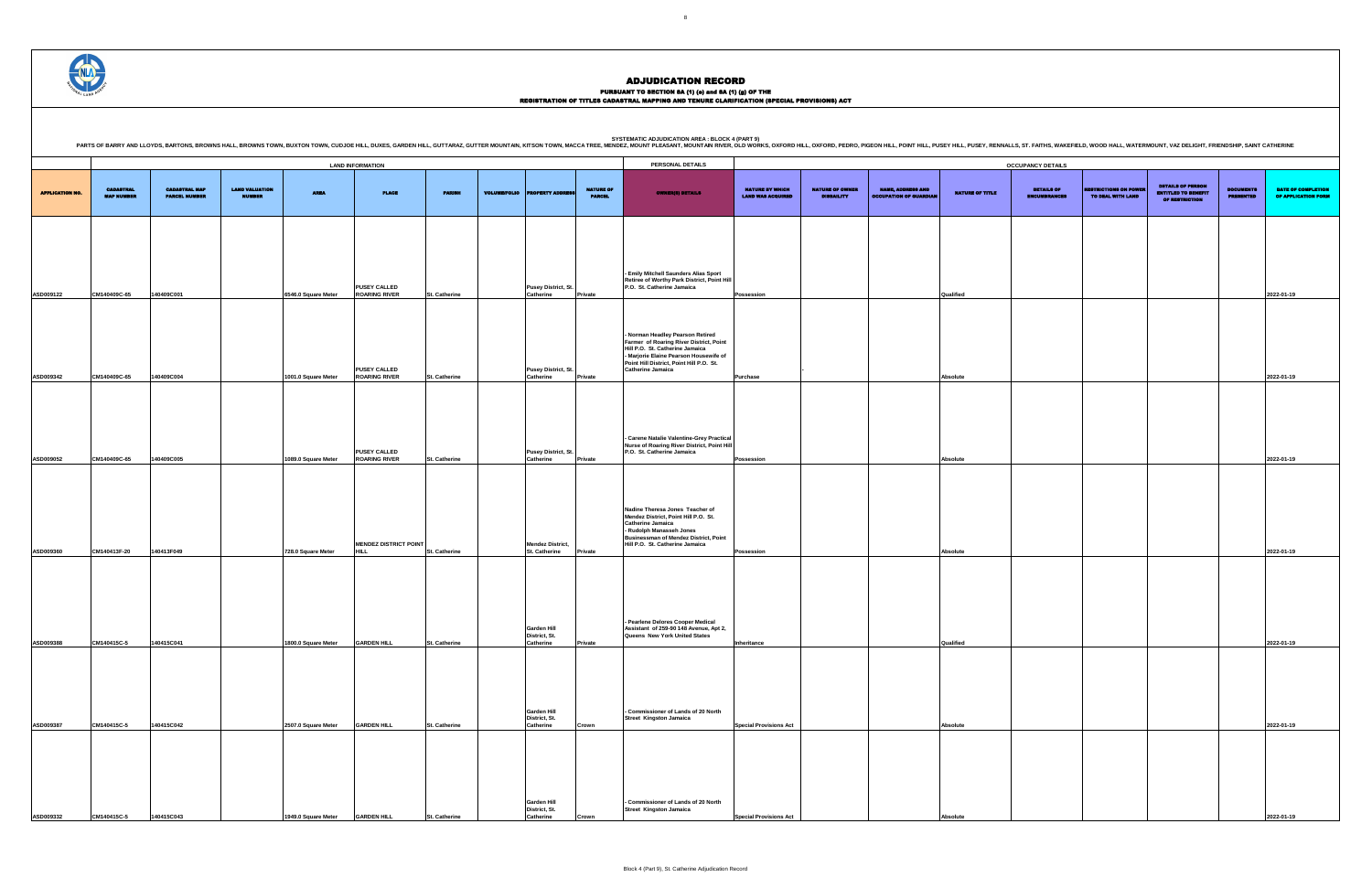SYSTEMATIC ADJUDICATION AREA : BLOCK 4 (PART 9)<br>PARTS OF BARRY AND LLOYDS, BARTONS, BROWNS HALL, BROWNS HALL, BROWNS TOWN, BUXTON TOWN, CUDJOE HILL, DUXES, GARDEN HILL, GUTTARAZ, GUTTER MOUNTAIN, KITSON TOWN, MACCA TREE, M

|                        |                                       |                                              |                                        |                                 | <b>LAND INFORMATION</b>                     |                      |                     |                                                  |                                   | PERSONAL DETAILS                                                                                                                                                                                                   |                                                    |                                             |                                                           |                        | <b>OCCUPANCY DETAILS</b>                 |                                                  |                                                                                 |                                      |                                  |
|------------------------|---------------------------------------|----------------------------------------------|----------------------------------------|---------------------------------|---------------------------------------------|----------------------|---------------------|--------------------------------------------------|-----------------------------------|--------------------------------------------------------------------------------------------------------------------------------------------------------------------------------------------------------------------|----------------------------------------------------|---------------------------------------------|-----------------------------------------------------------|------------------------|------------------------------------------|--------------------------------------------------|---------------------------------------------------------------------------------|--------------------------------------|----------------------------------|
| <b>APPLICATION NO.</b> | <b>CADASTRAL</b><br><b>MAP NUMBER</b> | <b>CADASTRAL MAP</b><br><b>PARCEL NUMBER</b> | <b>LAND VALUATION</b><br><b>NUMBER</b> | <b>AREA</b>                     | <b>PLACE</b>                                | <b>PARISH</b>        | <b>VOLUME/FOLIO</b> | <b>PERTY ADDRES</b>                              | <b>NATURE OF</b><br><b>PARCEL</b> | <b>OWNER(S) DETAILS</b>                                                                                                                                                                                            | <b>NATURE BY WHICH</b><br><b>LAND WAS ACQUIRED</b> | <b>NATURE OF OWNER</b><br><b>DISBAILITY</b> | <b>NAME, ADDRESS AND</b><br><b>OCCUPATION OF GUARDIAN</b> | <b>NATURE OF TITLE</b> | <b>DETAILS OF</b><br><b>ENCUMBRANCES</b> | <b>RESTRICTIONS ON POWE</b><br>TO DEAL WITH LAND | <b>DETAILS OF PERSON</b><br><b>ENTITLED TO BENEFIT</b><br><b>OF RESTRICTION</b> | <b>DOCUMENTS</b><br><b>PRESENTED</b> | <b>DATE OF</b><br><b>OF APPL</b> |
|                        |                                       |                                              |                                        |                                 |                                             |                      |                     |                                                  |                                   |                                                                                                                                                                                                                    |                                                    |                                             |                                                           |                        |                                          |                                                  |                                                                                 |                                      |                                  |
| ASD009122              | CM140409C-65                          | 140409C001                                   |                                        | 6546.0 Square Meter             | <b>PUSEY CALLED</b><br><b>ROARING RIVER</b> | St. Catherine        |                     | <b>Pusey District, St.</b><br>Catherine          | Private                           | - Emily Mitchell Saunders Alias Sport<br>Retiree of Worthy Park District, Point Hill<br>P.O. St. Catherine Jamaica                                                                                                 | Possession                                         |                                             |                                                           | Qualified              |                                          |                                                  |                                                                                 |                                      | 2022-01-19                       |
|                        |                                       |                                              |                                        |                                 |                                             |                      |                     |                                                  |                                   | - Norman Headley Pearson Retired<br>Farmer of Roaring River District, Point<br>Hill P.O. St. Catherine Jamaica<br>- Marjorie Elaine Pearson Housewife of                                                           |                                                    |                                             |                                                           |                        |                                          |                                                  |                                                                                 |                                      |                                  |
| ASD009342              | CM140409C-65                          | 140409C004                                   |                                        | 1001.0 Square Meter             | <b>PUSEY CALLED</b><br><b>ROARING RIVER</b> | St. Catherine        |                     | <b>Pusey District, St.</b><br>Catherine          | Private                           | Point Hill District, Point Hill P.O. St.<br><b>Catherine Jamaica</b>                                                                                                                                               | <b>Purchase</b>                                    |                                             |                                                           | Absolute               |                                          |                                                  |                                                                                 |                                      | 2022-01-19                       |
|                        |                                       |                                              |                                        |                                 |                                             |                      |                     |                                                  |                                   |                                                                                                                                                                                                                    |                                                    |                                             |                                                           |                        |                                          |                                                  |                                                                                 |                                      |                                  |
| ASD009052              | CM140409C-65                          | 140409C005                                   |                                        | 1089.0 Square Meter             | <b>PUSEY CALLED</b><br><b>ROARING RIVER</b> | St. Catherine        |                     | Pusey District, St.<br>Catherine                 | <b>Private</b>                    | - Carene Natalie Valentine-Grey Practical<br>Nurse of Roaring River District, Point Hill<br>P.O. St. Catherine Jamaica                                                                                             | Possession                                         |                                             |                                                           | Absolute               |                                          |                                                  |                                                                                 |                                      | 2022-01-19                       |
|                        |                                       |                                              |                                        |                                 |                                             |                      |                     |                                                  |                                   |                                                                                                                                                                                                                    |                                                    |                                             |                                                           |                        |                                          |                                                  |                                                                                 |                                      |                                  |
|                        |                                       |                                              |                                        |                                 | <b>MENDEZ DISTRICT POINT</b>                |                      |                     |                                                  |                                   | Nadine Theresa Jones Teacher of<br>Mendez District, Point Hill P.O. St.<br><b>Catherine Jamaica</b><br>- Rudolph Manasseh Jones<br><b>Businessman of Mendez District, Point</b><br>Hill P.O. St. Catherine Jamaica |                                                    |                                             |                                                           |                        |                                          |                                                  |                                                                                 |                                      |                                  |
| ASD009360              | CM140413F-20                          | 140413F049                                   |                                        | 728.0 Square Meter              | <b>HILL</b>                                 | St. Catherine        |                     | <b>Mendez District,</b><br>St. Catherine         | Private                           |                                                                                                                                                                                                                    | <b>Possession</b>                                  |                                             |                                                           | Absolute               |                                          |                                                  |                                                                                 |                                      | 2022-01-19                       |
|                        |                                       |                                              |                                        |                                 |                                             |                      |                     | <b>Garden Hill</b>                               |                                   | - Pearlene Delores Cooper Medical<br>Assistant of 259-90 148 Avenue, Apt 2,                                                                                                                                        |                                                    |                                             |                                                           |                        |                                          |                                                  |                                                                                 |                                      |                                  |
| <b>ASD009388</b>       | CM140415C-5                           | 140415C041                                   |                                        | 1800.0 Square Meter             | <b>GARDEN HILL</b>                          | St. Catherine        |                     | District, St.<br>Catherine                       | Private                           | Queens New York United States                                                                                                                                                                                      | Inheritance                                        |                                             |                                                           | Qualified              |                                          |                                                  |                                                                                 |                                      | 2022-01-19                       |
|                        |                                       |                                              |                                        |                                 |                                             |                      |                     | Garden Hill                                      |                                   | - Commissioner of Lands of 20 North                                                                                                                                                                                |                                                    |                                             |                                                           |                        |                                          |                                                  |                                                                                 |                                      |                                  |
| ASD009387              | CM140415C-5                           | 140415C042                                   |                                        | 2507.0 Square Meter             | <b>GARDEN HILL</b>                          | St. Catherine        |                     | District, St.<br>Catherine                       | Crown                             | <b>Street Kingston Jamaica</b>                                                                                                                                                                                     | <b>Special Provisions Act</b>                      |                                             |                                                           | <b>Absolute</b>        |                                          |                                                  |                                                                                 |                                      | 2022-01-19                       |
|                        |                                       |                                              |                                        |                                 |                                             |                      |                     |                                                  |                                   |                                                                                                                                                                                                                    |                                                    |                                             |                                                           |                        |                                          |                                                  |                                                                                 |                                      |                                  |
| ASD009332              | CM140415C-5                           | 140415C043                                   |                                        | 1949.0 Square Meter GARDEN HILL |                                             | <b>St. Catherine</b> |                     | <b>Garden Hill</b><br>District, St.<br>Catherine | ∶rown                             | - Commissioner of Lands of 20 North<br><b>Street Kingston Jamaica</b>                                                                                                                                              | <b>Special Provisions Act</b>                      |                                             |                                                           | Absolute               |                                          |                                                  |                                                                                 |                                      | 2022-01-19                       |

DETAILS OF ENCUMBRANCES RESTRICTIONS ON POWER TO DEAL WITH LAND DETAILS OF PERSON ENTITLED TO BENEFIT OF RESTRICTION DOCUMENTS PRESENTED DATE OF COMPLETION OF APPLICATION FORM **Possession Qualified 2022-01-19 Absolute 2022-01-19 Possession Absolute 2022-01-19 Possession Absolute 2022-01-19 Inheritance Qualified 2022-01-19 Special Provisions Act Absolute 2022-01-19**



#### ADJUDICATION RECORD

PURSUANT TO SECTION 8A (1) (0) and 8A (1) (g) OF THE<br>REGISTRATION OF TITLES CADASTRAL MAPPING AND TENURE CLARIFICATION (SPECIAL PROVISIONS) ACT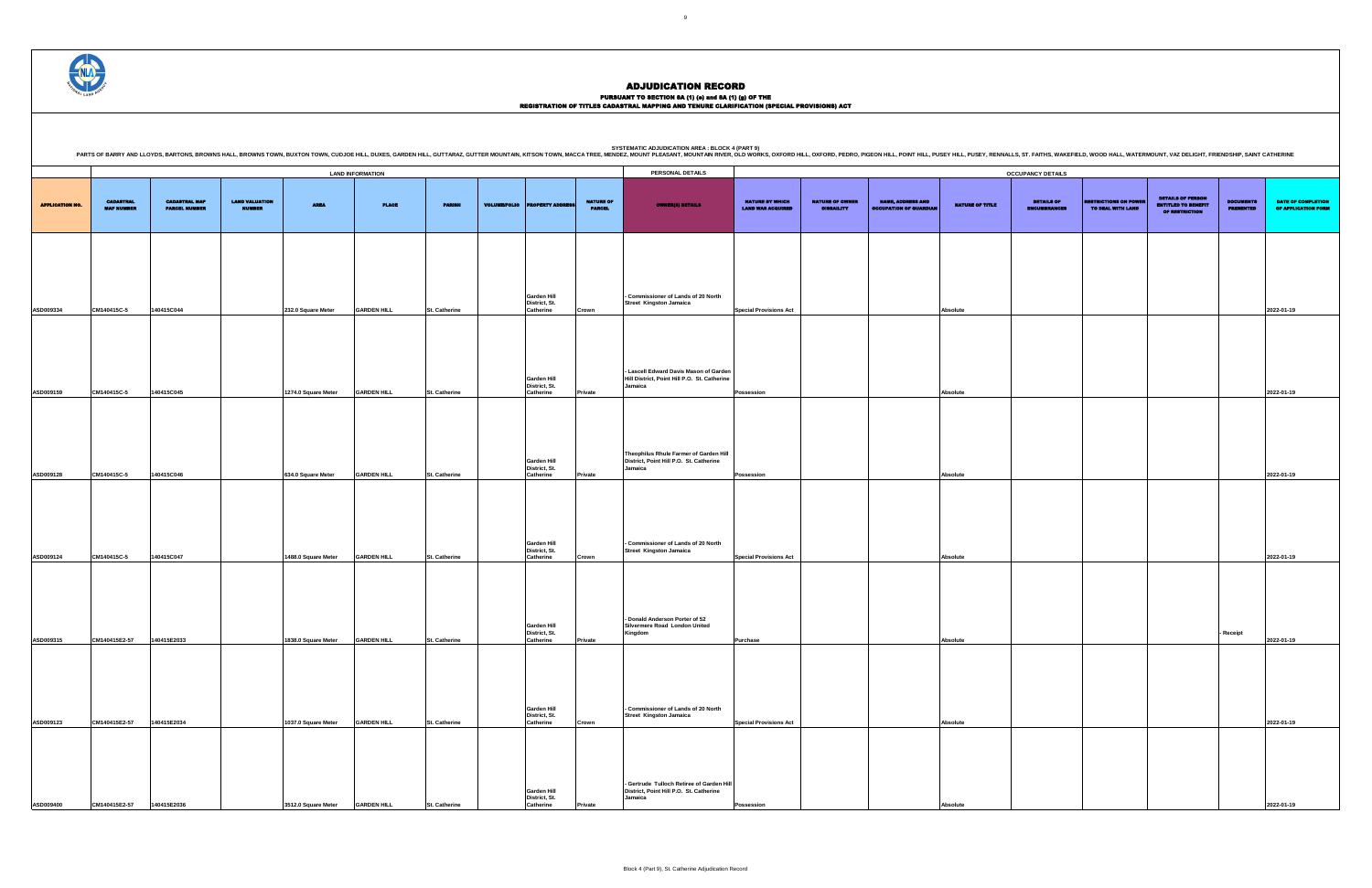### PURSUANT TO SECTION 8A (1) (0) and 8A (1) (g) OF THE<br>REGISTRATION OF TITLES CADASTRAL MAPPING AND TENURE CLARIFICATION (SPECIAL PROVISIONS) ACT

|                        |                                       |                                              |                                        |                     |                         |                      |                     |                                                         |                                   | PARTS OF BARRY AND LLOYDS, BARTONS, BROWNS HALL, BROWNS TOWN, BUXTON TOWN, CUDJOE HILL, DUJOE HILL, DUJIES, GARDEN HILL, GUITTARAZ, GUITTER MOUNTAIN, KITSON TOWN, MACCA TREE, MEDIDEZ, MOUNT PLEASANT, MOUNTAIN RIVER, OLD WO |                                                    |                                             |                                                           |                        |                                          |                                                  |                                                                                 |                                      |                                                  |
|------------------------|---------------------------------------|----------------------------------------------|----------------------------------------|---------------------|-------------------------|----------------------|---------------------|---------------------------------------------------------|-----------------------------------|--------------------------------------------------------------------------------------------------------------------------------------------------------------------------------------------------------------------------------|----------------------------------------------------|---------------------------------------------|-----------------------------------------------------------|------------------------|------------------------------------------|--------------------------------------------------|---------------------------------------------------------------------------------|--------------------------------------|--------------------------------------------------|
|                        |                                       |                                              |                                        |                     | <b>LAND INFORMATION</b> |                      |                     |                                                         |                                   | PERSONAL DETAILS                                                                                                                                                                                                               |                                                    |                                             |                                                           |                        | <b>OCCUPANCY DETAILS</b>                 |                                                  |                                                                                 |                                      |                                                  |
| <b>APPLICATION NO.</b> | <b>CADASTRAL</b><br><b>MAP NUMBER</b> | <b>CADASTRAL MAP</b><br><b>PARCEL NUMBER</b> | <b>LAND VALUATION</b><br><b>NUMBER</b> | <b>AREA</b>         | <b>PLACE</b>            | <b>PARISH</b>        | <b>VOLUME/FOLIO</b> | <b>OPERTY ADDRE</b>                                     | <b>NATURE OF</b><br><b>PARCEL</b> | <b>OWNER(S) DETAILS</b>                                                                                                                                                                                                        | <b>NATURE BY WHICH</b><br><b>LAND WAS ACQUIRED</b> | <b>NATURE OF OWNER</b><br><b>DISBAILITY</b> | <b>NAME, ADDRESS AND</b><br><b>OCCUPATION OF GUARDIAL</b> | <b>NATURE OF TITLE</b> | <b>DETAILS OF</b><br><b>ENCUMBRANCES</b> | <b>RESTRICTIONS ON POWI</b><br>TO DEAL WITH LAND | <b>DETAILS OF PERSON</b><br><b>ENTITLED TO BENEFIT</b><br><b>OF RESTRICTION</b> | <b>DOCUMENTS</b><br><b>PRESENTED</b> | <b>DATE OF COMPLETION</b><br>OF APPLICATION FORM |
|                        |                                       |                                              |                                        |                     |                         |                      |                     |                                                         |                                   |                                                                                                                                                                                                                                |                                                    |                                             |                                                           |                        |                                          |                                                  |                                                                                 |                                      |                                                  |
| ASD009334              | CM140415C-5                           | 140415C044                                   |                                        | 232.0 Square Meter  | <b>GARDEN HILL</b>      | St. Catherine        |                     | Garden Hill<br>District, St.<br>Catherine               | Crown                             | - Commissioner of Lands of 20 North<br>Street Kingston Jamaica                                                                                                                                                                 | <b>Special Provisions Act</b>                      |                                             |                                                           | Absolute               |                                          |                                                  |                                                                                 |                                      | 2022-01-19                                       |
|                        |                                       |                                              |                                        |                     |                         |                      |                     | <b>Garden Hill</b>                                      |                                   | - Lascell Edward Davis Mason of Garden<br>Hill District, Point Hill P.O. St. Catherine                                                                                                                                         |                                                    |                                             |                                                           |                        |                                          |                                                  |                                                                                 |                                      |                                                  |
| ASD009159              | CM140415C-5                           | 140415C045                                   |                                        | 1274.0 Square Meter | <b>GARDEN HILL</b>      | St. Catherine        |                     | District, St.<br>Catherine                              | Private                           | Jamaica                                                                                                                                                                                                                        | Possession                                         |                                             |                                                           | Absolute               |                                          |                                                  |                                                                                 |                                      | 2022-01-19                                       |
|                        |                                       |                                              |                                        |                     |                         |                      |                     |                                                         |                                   | Theophilus Rhule Farmer of Garden Hill                                                                                                                                                                                         |                                                    |                                             |                                                           |                        |                                          |                                                  |                                                                                 |                                      |                                                  |
| ASD009128              | CM140415C-5                           | 140415C046                                   |                                        | 634.0 Square Meter  | <b>GARDEN HILL</b>      | St. Catherine        |                     | <b>Garden Hill</b><br>District, St.<br>Catherine        | Private                           | District, Point Hill P.O. St. Catherine<br>Jamaica                                                                                                                                                                             | Possession                                         |                                             |                                                           | Absolute               |                                          |                                                  |                                                                                 |                                      | 2022-01-19                                       |
|                        |                                       |                                              |                                        |                     |                         |                      |                     | Garden Hill<br>District, St.                            |                                   | - Commissioner of Lands of 20 North<br><b>Street Kingston Jamaica</b>                                                                                                                                                          |                                                    |                                             |                                                           |                        |                                          |                                                  |                                                                                 |                                      |                                                  |
| ASD009124              | CM140415C-5                           | 140415C047                                   |                                        | 1488.0 Square Meter | <b>GARDEN HILL</b>      | St. Catherine        |                     | Catherine                                               | Crown                             |                                                                                                                                                                                                                                | <b>Special Provisions Act</b>                      |                                             |                                                           | Absolute               |                                          |                                                  |                                                                                 |                                      | 2022-01-19                                       |
| ASD009315              | CM140415E2-57                         | 140415E2033                                  |                                        | 1838.0 Square Meter | <b>GARDEN HILL</b>      | St. Catherine        |                     | <b>Garden Hill</b><br>District, St.<br><b>Catherine</b> | Private                           | - Donald Anderson Porter of 52<br>Silvermere Road London United<br>Kingdom                                                                                                                                                     | <b>Purchase</b>                                    |                                             |                                                           | Absolute               |                                          |                                                  |                                                                                 | - Receipt                            | 2022-01-19                                       |
|                        |                                       |                                              |                                        |                     |                         |                      |                     |                                                         |                                   |                                                                                                                                                                                                                                |                                                    |                                             |                                                           |                        |                                          |                                                  |                                                                                 |                                      |                                                  |
| ASD009123              | CM140415E2-57                         | 140415E2034                                  |                                        | 1037.0 Square Meter | <b>GARDEN HILL</b>      | St. Catherine        |                     | <b>Garden Hill</b><br>District, St.<br>Catherine        | Crown                             | - Commissioner of Lands of 20 North<br><b>Street Kingston Jamaica</b>                                                                                                                                                          | <b>Special Provisions Act</b>                      |                                             |                                                           | Absolute               |                                          |                                                  |                                                                                 |                                      | 2022-01-19                                       |
| ASD009400              | CM140415E2-57                         | 140415E2036                                  |                                        | 3512.0 Square Meter | <b>GARDEN HILL</b>      | <b>St. Catherine</b> |                     | <b>Garden Hill</b><br>District, St.<br><b>Catherine</b> | 'rivate                           | - Gertrude Tulloch Retiree of Garden Hill<br>District, Point Hill P.O. St. Catherine<br>Jamaica                                                                                                                                | <b>Possession</b>                                  |                                             |                                                           | Absolute               |                                          |                                                  |                                                                                 |                                      | 2022-01-19                                       |

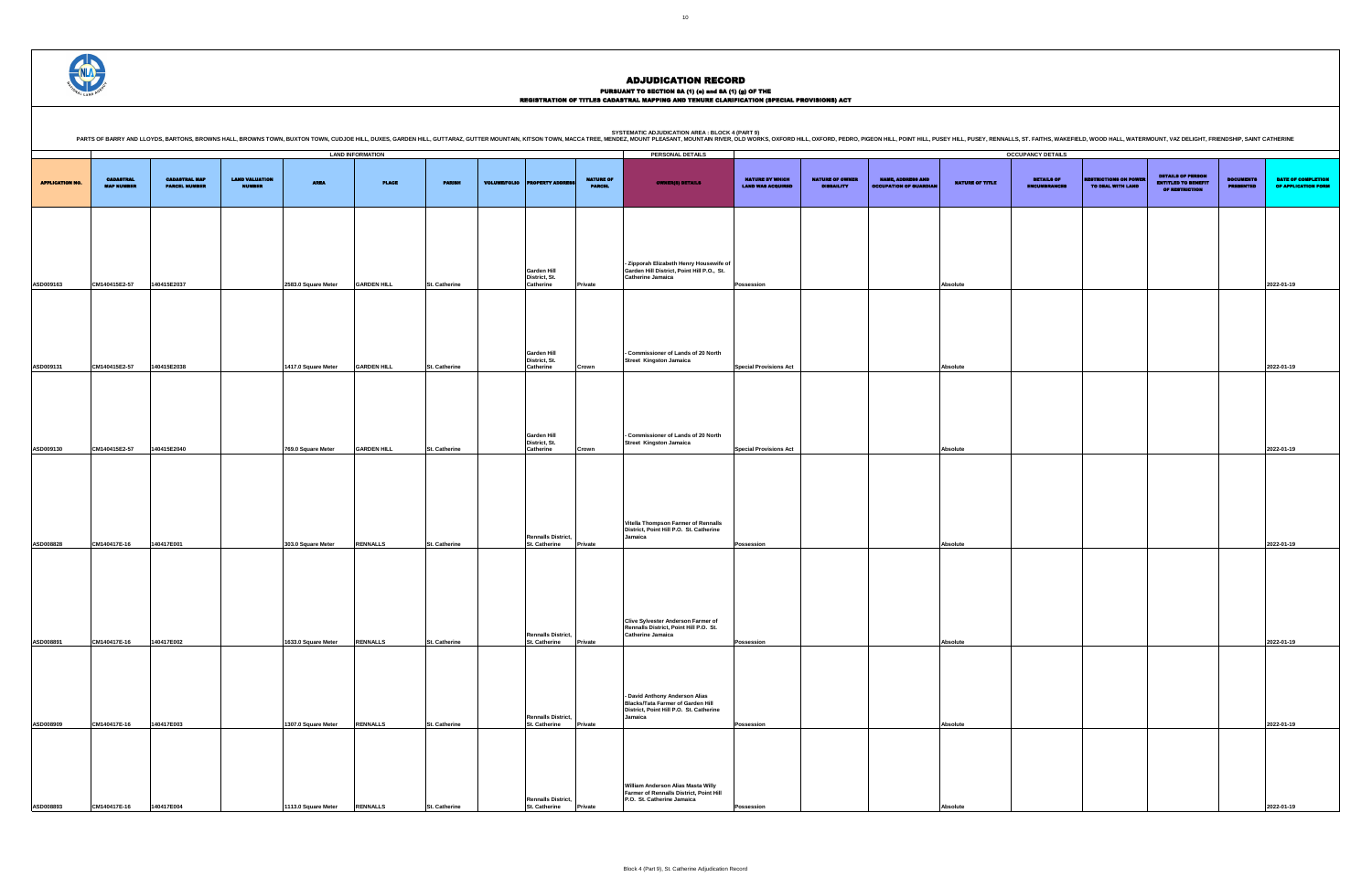PURSUANT TO SECTION 8A (1) (0) and 8A (1) (g) OF THE<br>REGISTRATION OF TITLES CADASTRAL MAPPING AND TENURE CLARIFICATION (SPECIAL PROVISIONS) ACT

|                        |                                       |                                              |                                        |                                           | <b>LAND INFORMATION</b>            |                                       |                     |                                                                    |                                   | PERSONAL DETAILS                                                                                                                 |                                                    |                                             |                                                           |                        | <b>OCCUPANCY DETAILS</b>                 |                                                   |                                                                                 |                                      |                                                  |
|------------------------|---------------------------------------|----------------------------------------------|----------------------------------------|-------------------------------------------|------------------------------------|---------------------------------------|---------------------|--------------------------------------------------------------------|-----------------------------------|----------------------------------------------------------------------------------------------------------------------------------|----------------------------------------------------|---------------------------------------------|-----------------------------------------------------------|------------------------|------------------------------------------|---------------------------------------------------|---------------------------------------------------------------------------------|--------------------------------------|--------------------------------------------------|
| <b>APPLICATION NO.</b> | <b>CADASTRAL</b><br><b>MAP NUMBER</b> | <b>CADASTRAL MAP</b><br><b>PARCEL NUMBER</b> | <b>LAND VALUATION</b><br><b>NUMBER</b> | <b>AREA</b>                               | <b>PLACE</b>                       | <b>PARISH</b>                         | <b>VOLUME/FOLIO</b> | <b>PROPERTY ADDRESS</b>                                            | <b>NATURE OF</b><br><b>PARCEL</b> | <b>OWNER(8) DETAILS</b>                                                                                                          | <b>NATURE BY WHICH</b><br><b>LAND WAS ACQUIRED</b> | <b>NATURE OF OWNER</b><br><b>DISBAILITY</b> | <b>NAME, ADDRESS AND</b><br><b>OCCUPATION OF GUARDIAN</b> | <b>NATURE OF TITLE</b> | <b>DETAILS OF</b><br><b>ENCUMBRANCES</b> | <b>RESTRICTIONS ON POWER</b><br>TO DEAL WITH LAND | <b>DETAILS OF PERSON</b><br><b>ENTITLED TO BENEFIT</b><br><b>OF RESTRICTION</b> | <b>DOCUMENTS</b><br><b>PRESENTED</b> | <b>DATE OF COMPLETION</b><br>OF APPLICATION FORM |
| ASD009163              | CM140415E2-57                         | 140415E2037                                  |                                        | 2583.0 Square Meter                       | <b>GARDEN HILL</b>                 | St. Catherine                         |                     | Garden Hill<br>District, St.<br>Catherine                          | <b>Private</b>                    | - Zipporah Elizabeth Henry Housewife of<br>Garden Hill District, Point Hill P.O., St.<br><b>Catherine Jamaica</b>                | Possession                                         |                                             |                                                           | Absolute               |                                          |                                                   |                                                                                 |                                      | 2022-01-19                                       |
|                        |                                       | 140415E2038                                  |                                        |                                           | <b>GARDEN HILL</b>                 | <b>St. Catherine</b>                  |                     | Garden Hill<br>District, St.<br><b>Catherine</b>                   |                                   | - Commissioner of Lands of 20 North<br><b>Street Kingston Jamaica</b>                                                            | <b>Special Provisions Act</b>                      |                                             |                                                           | Absolute               |                                          |                                                   |                                                                                 |                                      | 2022-01-19                                       |
| ASD009131              | CM140415E2-57                         |                                              |                                        | 1417.0 Square Meter                       |                                    |                                       |                     | Garden Hill<br>District, St.                                       | Crown                             | - Commissioner of Lands of 20 North<br><b>Street Kingston Jamaica</b>                                                            |                                                    |                                             |                                                           |                        |                                          |                                                   |                                                                                 |                                      |                                                  |
| ASD009130              | CM140415E2-57                         | 140415E2040                                  |                                        | 769.0 Square Meter                        | <b>GARDEN HILL</b>                 | St. Catherine                         |                     | <b>Catherine</b><br><b>Rennalls District,</b>                      | Crown                             | Vitella Thompson Farmer of Rennalls<br>District, Point Hill P.O. St. Catherine<br>Jamaica                                        | <b>Special Provisions Act</b>                      |                                             |                                                           | Absolute               |                                          |                                                   |                                                                                 |                                      | 2022-01-19                                       |
| ASD008828<br>ASD008891 | CM140417E-16<br>CM140417E-16          | 140417E001<br>140417E002                     |                                        | 303.0 Square Meter<br>1633.0 Square Meter | <b>RENNALLS</b><br><b>RENNALLS</b> | St. Catherine<br><b>St. Catherine</b> |                     | St. Catherine<br><b>Rennalls District,</b><br><b>St. Catherine</b> | Private<br>Private                | Clive Sylvester Anderson Farmer of<br>Rennalls District, Point Hill P.O. St.<br><b>Catherine Jamaica</b>                         | Possession<br>Possession                           |                                             |                                                           | Absolute<br>Absolute   |                                          |                                                   |                                                                                 |                                      | 2022-01-19<br>2022-01-19                         |
| ASD008909              | CM140417E-16                          | 140417E003                                   |                                        | 1307.0 Square Meter                       | <b>RENNALLS</b>                    | St. Catherine                         |                     | <b>Rennalls District,</b><br><b>St. Catherine</b>                  | Private                           | - David Anthony Anderson Alias<br><b>Blacks/Tata Farmer of Garden Hill</b><br>District, Point Hill P.O. St. Catherine<br>Jamaica | <b>Possession</b>                                  |                                             |                                                           | Absolute               |                                          |                                                   |                                                                                 |                                      | 2022-01-19                                       |
| ASD008893              | CM140417E-16                          | 140417E004                                   |                                        | 1113.0 Square Meter RENNALLS              |                                    | <b>St. Catherine</b>                  |                     | <b>Rennalls District,</b><br>St. Catherine                         | <b>Private</b>                    | William Anderson Alias Masta Willy<br>Farmer of Rennalls District, Point Hill<br>P.O. St. Catherine Jamaica                      | Possession                                         |                                             |                                                           | Absolute               |                                          |                                                   |                                                                                 |                                      | 2022-01-19                                       |



### ADJUDICATION RECORD

**SYSTEMATIC ADJUDICATION AREA : BLOCK 4 (PART 9)**

| STSTEINATIC ADJUDICATION AREA . BLOCK 4 (PART 3)                                                                                                                                                                               |
|--------------------------------------------------------------------------------------------------------------------------------------------------------------------------------------------------------------------------------|
| PARTS OF BARRY AND LLOYDS, BARTONS, BROWNS HALL, BROWNS TOWN, BUXTON TOWN, CUDJOE HILL, DUXES, GARDEN HILL, GUTTARAZ, GUTTER MOUNTAN, KITSON TOWN, MACCA TREE, MENDEZ, MOUNT PLEASANT, MOUNTAIN RIVER, OLD WORKS, OXFORD HILL, |
|                                                                                                                                                                                                                                |

.<br>NALLS, ST. FAITHS, WAKEFIELD, WOOD HALL, WATERMOUNT, VAZ DELIGHT, FRIENDSHIP, SAINT CATHERINE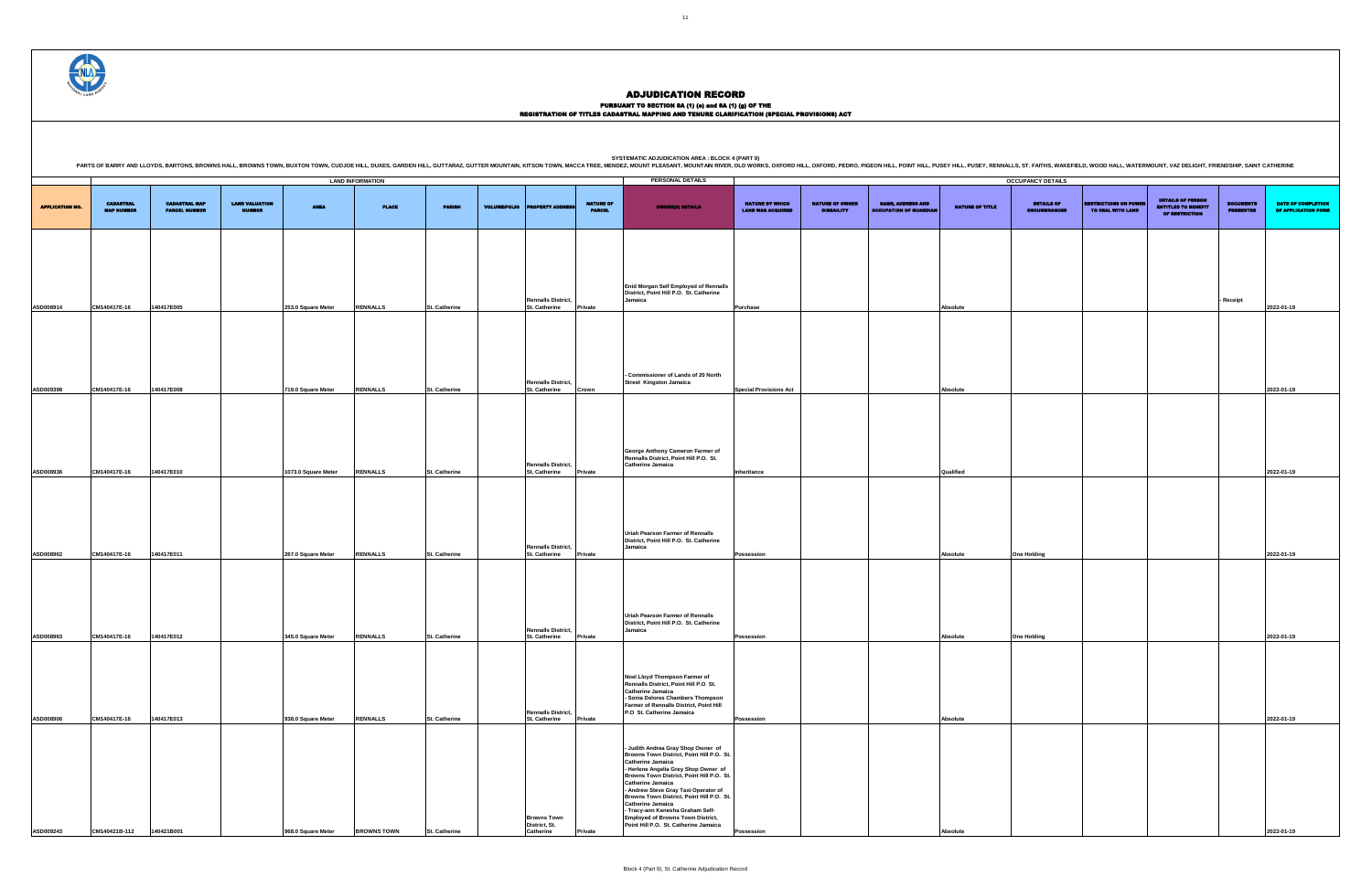### PURSUANT TO SECTION 8A (1) (0) and 8A (1) (g) OF THE<br>REGISTRATION OF TITLES CADASTRAL MAPPING AND TENURE CLARIFICATION (SPECIAL PROVISIONS) ACT

**PERSONAL DETAILS APPLICATION NO** CADASTRAL MAP NUMBER CADASTRAL MAP PARCEL NUMBER LAND VALUATION NUMBER AREA PLACE PARISH VOLUME/FOLIO PROPERTY ADDRESS NATURE OF PARCEL OWNER(S) DETAILS NATURE BY WHICH LAND WAS ACQUIRED NATURE OF OWNER DISBAILITY NAME, ADDRESS AND OCCUPATION OF GUARDIAN NATURE OF TITLE **ASD008914 CM140417E-16 140417E005 253.0 Square Meter RENNALLS St. Catherine Rennalls District, St. Catherine Enid Morgan Self Employed of Rennalls District, Point Hill P.O. St. Catherine Jamaica Purchase Absolute ASD009398 CM140417E-16 140417E008 719.0 Square Meter RENNALLS St. Catherine Rennalls District, St. Catherine Crown - Commissioner of Lands of 20 North Street Kingston Jamaica ASD008936 CM140417E-16 140417E010 1073.0 Square Meter RENNALLS St. Catherine Rennalls District, St. Catherine Private George Anthony Cameron Farmer of Rennalls District, Point Hill P.O. St. Catherine Jamaica ASD008962 CM140417E-16 140417E011 267.0 Square Meter RENNALLS St. Catherine Rennalls District, St. Catherine Private Uriah Pearson Farmer of Rennalls District, Point Hill P.O. St. Catherine Jamaica ASD008963 CM140417E-16 140417E012 345.0 Square Meter RENNALLS St. Catherine Rennalls District, St. Catherine Private Uriah Pearson Farmer of Rennalls District, Point Hill P.O. St. Catherine Jamaica ASD008906 CM140417E-16 140417E013 938.0 Square Meter RENNALLS St. Catherine Rennalls District, St. Catherine Private Noel Lloyd Thompson Farmer of Rennalls District, Point Hill P.O St. Catherine Jamaica - Sonia Delores Chambers Thompson Farmer of Rennalls District, Point Hill P.O St. Catherine Jamaica ASD009243 CM140421B-112 140421B001 968.0 Square Meter BROWNS TOWN St. Catherine Browns Town District, St. Catherine Private - Judith Andrea Gray Shop Owner of Browns Town District, Point Hill P.O. St. Catherine Jamaica - Herlene Angelia Grey Shop Owner of Browns Town District, Point Hill P.O. St. Catherine Jamaica - Andrew Steve Gray Taxi Operator of Browns Town District, Point Hill P.O. St. Catherine Jamaica - Tracy-ann Kenesha Graham Self-Employed of Browns Town District, Point Hill P.O. St. Catherine Jamaica LAND INFORMATION OCCUPANCY DETAILS**

SYSTEMATIC ADJUDICATION AREA : BLOCK 4 (PART 9)<br>PARTS OF BARRY AND LLOYDS, BARTONS, BROWNS HALL, BROWNS HALL, BROWNS TOWN, BUXTON TOWN, CUDJOE HILL, DUXES, GARDEN HILL, GUTTARAZ, GUTTER MOUNTAIN, KITSON TOWN, MACCA TREE, M

|                                                    |                                             |                                                           |                 | <b>OCCUPANCY DETAILS</b>          |                                                   |                                                                          |                                      |                                           |
|----------------------------------------------------|---------------------------------------------|-----------------------------------------------------------|-----------------|-----------------------------------|---------------------------------------------------|--------------------------------------------------------------------------|--------------------------------------|-------------------------------------------|
| <b>NATURE BY WHICH</b><br><b>LAND WAS ACQUIRED</b> | <b>NATURE OF OWNER</b><br><b>DISBAILITY</b> | <b>NAME, ADDRESS AND</b><br><b>OCCUPATION OF GUARDIAN</b> | NATURE OF TITLE | DETAILS OF<br><b>ENCUMBRANCES</b> | <b>RESTRICTIONS ON POWER</b><br>TO DEAL WITH LAND | <b>DETAILS OF PERSON</b><br><b>ENTITLED TO BENEFIT</b><br>OF RESTRICTION | <b>DOCUMENTS</b><br><b>PRESENTED</b> | DATE OF COMPLETION<br>OF APPLICATION FORM |
|                                                    |                                             |                                                           |                 |                                   |                                                   |                                                                          |                                      |                                           |
|                                                    |                                             |                                                           |                 |                                   |                                                   |                                                                          |                                      |                                           |
| Purchase                                           |                                             |                                                           | Absolute        |                                   |                                                   |                                                                          | Receipt                              | 2022-01-19                                |
|                                                    |                                             |                                                           |                 |                                   |                                                   |                                                                          |                                      |                                           |
|                                                    |                                             |                                                           |                 |                                   |                                                   |                                                                          |                                      |                                           |
| <b>Special Provisions Act</b>                      |                                             |                                                           | Absolute        |                                   |                                                   |                                                                          |                                      | 2022-01-19                                |
|                                                    |                                             |                                                           |                 |                                   |                                                   |                                                                          |                                      |                                           |
| Inheritance                                        |                                             |                                                           | Qualified       |                                   |                                                   |                                                                          |                                      | 2022-01-19                                |
|                                                    |                                             |                                                           |                 |                                   |                                                   |                                                                          |                                      |                                           |
|                                                    |                                             |                                                           |                 |                                   |                                                   |                                                                          |                                      |                                           |
| Possession                                         |                                             |                                                           | Absolute        | <b>One Holding</b>                |                                                   |                                                                          |                                      | 2022-01-19                                |
|                                                    |                                             |                                                           |                 |                                   |                                                   |                                                                          |                                      |                                           |
| Possession                                         |                                             |                                                           | Absolute        | <b>One Holding</b>                |                                                   |                                                                          |                                      | 2022-01-19                                |
|                                                    |                                             |                                                           |                 |                                   |                                                   |                                                                          |                                      |                                           |
| Possession                                         |                                             |                                                           | Absolute        |                                   |                                                   |                                                                          |                                      | 2022-01-19                                |
|                                                    |                                             |                                                           |                 |                                   |                                                   |                                                                          |                                      |                                           |
| Possession                                         |                                             |                                                           | Absolute        |                                   |                                                   |                                                                          |                                      | 2022-01-19                                |

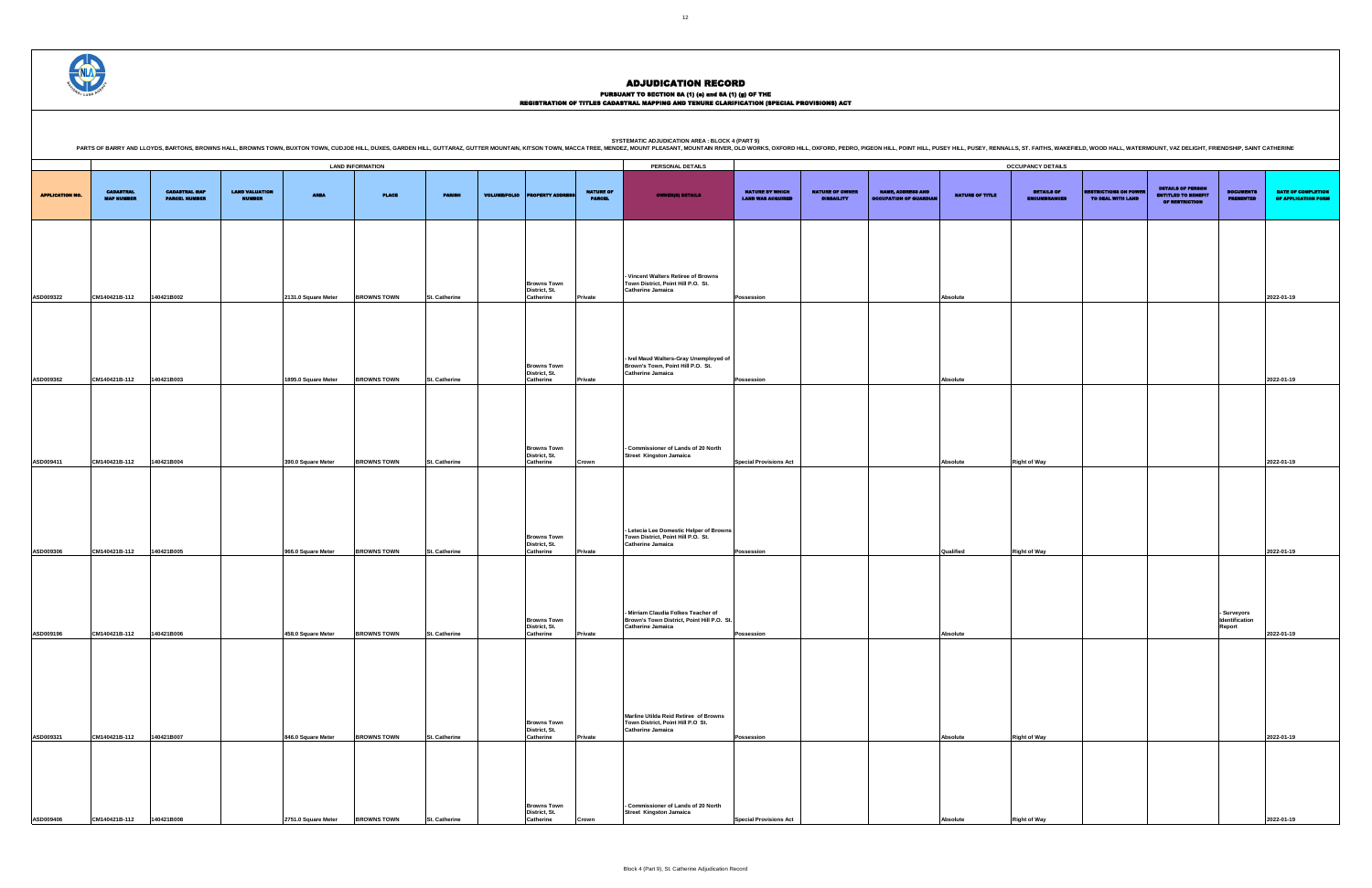PURSUANT TO SECTION 8A (1) (0) and 8A (1) (g) OF THE<br>REGISTRATION OF TITLES CADASTRAL MAPPING AND TENURE CLARIFICATION (SPECIAL PROVISIONS) ACT

SYSTEMATIC ADJUDICATION AREA : BLOCK 4 (PART 9)<br>PARTS OF BARRY AND LLOYDS, BARTONS, BROWNS HALL, BROWNS HALL, BROWNS TOWN, BUXTON TOWN, CUDJOE HILL, DUXES, GARDEN HILL, GUTTARAZ, GUTTER MOUNTAIN, KITSON TOWN, MACCA TREE, M

DETAILS OF ENCUMBRANCES RESTRICTIONS ON POWER TO DEAL WITH LAND DETAILS OF PERSON ENTITLED TO BENEFIT OF RESTRICTION DOCUMENTS PRESENTED DATE OF COMPLETION OF APPLICATION FORM **Possession Absolute 2022-01-19 Possession Absolute 2022-01-19 Special Provisions Act Absolute Right of Way 2022-01-19 Possession Qualified Right of Way 2022-01-19 - Surveyors Identification Report 2022-01-19 Possession Absolute Right of Way 2022-01-19**

|                        |                                       |                                              |                                        |                     | <b>LAND INFORMATION</b> |               |                                                         |                                   | PERSONAL DETAILS                                                                                              |                                                    |                                             |                                                           |                        | <b>OCCUPANCY DETAILS</b>                 |                                                   |                                                                                 |                                         |                                 |
|------------------------|---------------------------------------|----------------------------------------------|----------------------------------------|---------------------|-------------------------|---------------|---------------------------------------------------------|-----------------------------------|---------------------------------------------------------------------------------------------------------------|----------------------------------------------------|---------------------------------------------|-----------------------------------------------------------|------------------------|------------------------------------------|---------------------------------------------------|---------------------------------------------------------------------------------|-----------------------------------------|---------------------------------|
| <b>APPLICATION NO.</b> | <b>CADASTRAL</b><br><b>MAP NUMBER</b> | <b>CADASTRAL MAP</b><br><b>PARCEL NUMBER</b> | <b>LAND VALUATION</b><br><b>NUMBER</b> | <b>AREA</b>         | <b>PLACE</b>            | <b>PARISH</b> | <b>VOLUME/FOLIO PROPERTY ADDRESS</b>                    | <b>NATURE OF</b><br><b>PARCEL</b> | <b>OWNER(8) DETAILS</b>                                                                                       | <b>NATURE BY WHICH</b><br><b>LAND WAS ACQUIRED</b> | <b>NATURE OF OWNER</b><br><b>DISBAILITY</b> | <b>NAME, ADDRESS AND</b><br><b>OCCUPATION OF GUARDIAL</b> | <b>NATURE OF TITLE</b> | <b>DETAILS OF</b><br><b>ENCUMBRANCES</b> | <b>RESTRICTIONS ON POWER</b><br>TO DEAL WITH LAND | <b>DETAILS OF PERSON</b><br><b>ENTITLED TO BENEFIT</b><br><b>OF RESTRICTION</b> | <b>DOCUMENTS</b><br><b>PRESENTED</b>    | <b>DATE O</b><br><b>OF APPL</b> |
|                        |                                       |                                              |                                        |                     |                         |               | <b>Browns Town</b><br>District, St.                     |                                   | - Vincent Walters Retiree of Browns<br>Town District, Point Hill P.O. St.<br><b>Catherine Jamaica</b>         |                                                    |                                             |                                                           |                        |                                          |                                                   |                                                                                 |                                         |                                 |
| ASD009322              | CM140421B-112                         | 140421B002                                   |                                        | 2131.0 Square Meter | <b>BROWNS TOWN</b>      | St. Catherine | Catherine                                               | Private                           |                                                                                                               | Possession                                         |                                             |                                                           | Absolute               |                                          |                                                   |                                                                                 |                                         | 2022-01-19                      |
| ASD009362              | CM140421B-112                         | 140421B003                                   |                                        | 1895.0 Square Meter | <b>BROWNS TOWN</b>      | St. Catherine | <b>Browns Town</b><br>District, St.<br>Catherine        | Private                           | - Ivel Maud Walters-Gray Unemployed of<br>Brown's Town, Point Hill P.O. St.<br><b>Catherine Jamaica</b>       | Possession                                         |                                             |                                                           | Absolute               |                                          |                                                   |                                                                                 |                                         | 2022-01-19                      |
|                        |                                       |                                              |                                        |                     |                         |               |                                                         |                                   |                                                                                                               |                                                    |                                             |                                                           |                        |                                          |                                                   |                                                                                 |                                         |                                 |
| ASD009411              | CM140421B-112                         | 140421B004                                   |                                        | 390.0 Square Meter  | <b>BROWNS TOWN</b>      | St. Catherine | <b>Browns Town</b><br>District, St.<br>Catherine        | Crown                             | - Commissioner of Lands of 20 North<br><b>Street Kingston Jamaica</b>                                         | <b>Special Provisions Act</b>                      |                                             |                                                           | Absolute               | <b>Right of Way</b>                      |                                                   |                                                                                 |                                         | 2022-01-19                      |
| ASD009306              | CM140421B-112                         | 140421B005                                   |                                        | 966.0 Square Meter  | <b>BROWNS TOWN</b>      | St. Catherine | <b>Browns Town</b><br>District, St.<br>Catherine        | Private                           | - Letecia Lee Domestic Helper of Browns<br>Town District, Point Hill P.O. St.<br><b>Catherine Jamaica</b>     | Possession                                         |                                             |                                                           | Qualified              | <b>Right of Way</b>                      |                                                   |                                                                                 |                                         | 2022-01-19                      |
| ASD009196              | CM140421B-112                         | 140421B006                                   |                                        | 458.0 Square Meter  | <b>BROWNS TOWN</b>      | St. Catherine | <b>Browns Town</b><br>District, St.<br><b>Catherine</b> | Private                           | - Mirriam Claudia Folkes Teacher of<br>Brown's Town District, Point Hill P.O. St.<br><b>Catherine Jamaica</b> | Possession                                         |                                             |                                                           | Absolute               |                                          |                                                   |                                                                                 | Surveyors -<br>Identification<br>Report | 2022-01-19                      |
| ASD009321              | CM140421B-112                         | 140421B007                                   |                                        | 846.0 Square Meter  | <b>BROWNS TOWN</b>      | St. Catherine | Browns Town<br>District, St.<br>Catherine               | Private                           | Marline Utilda Reid Retiree of Browns<br>Town District, Point Hill P.O St.<br><b>Catherine Jamaica</b>        | Possession                                         |                                             |                                                           | Absolute               | <b>Right of Way</b>                      |                                                   |                                                                                 |                                         | 2022-01-19                      |
|                        |                                       |                                              |                                        |                     |                         |               | <b>Browns Town</b><br>District, St.                     |                                   | - Commissioner of Lands of 20 North<br><b>Street Kingston Jamaica</b>                                         |                                                    |                                             |                                                           |                        |                                          |                                                   |                                                                                 |                                         |                                 |
| ASD009406              | CM140421B-112                         | 140421B008                                   |                                        | 2751.0 Square Meter | <b>BROWNS TOWN</b>      | St. Catherine | Catherine                                               | Crown                             |                                                                                                               | <b>Special Provisions Act</b>                      |                                             |                                                           | Absolute               | <b>Right of Way</b>                      |                                                   |                                                                                 |                                         | 2022-01-19                      |

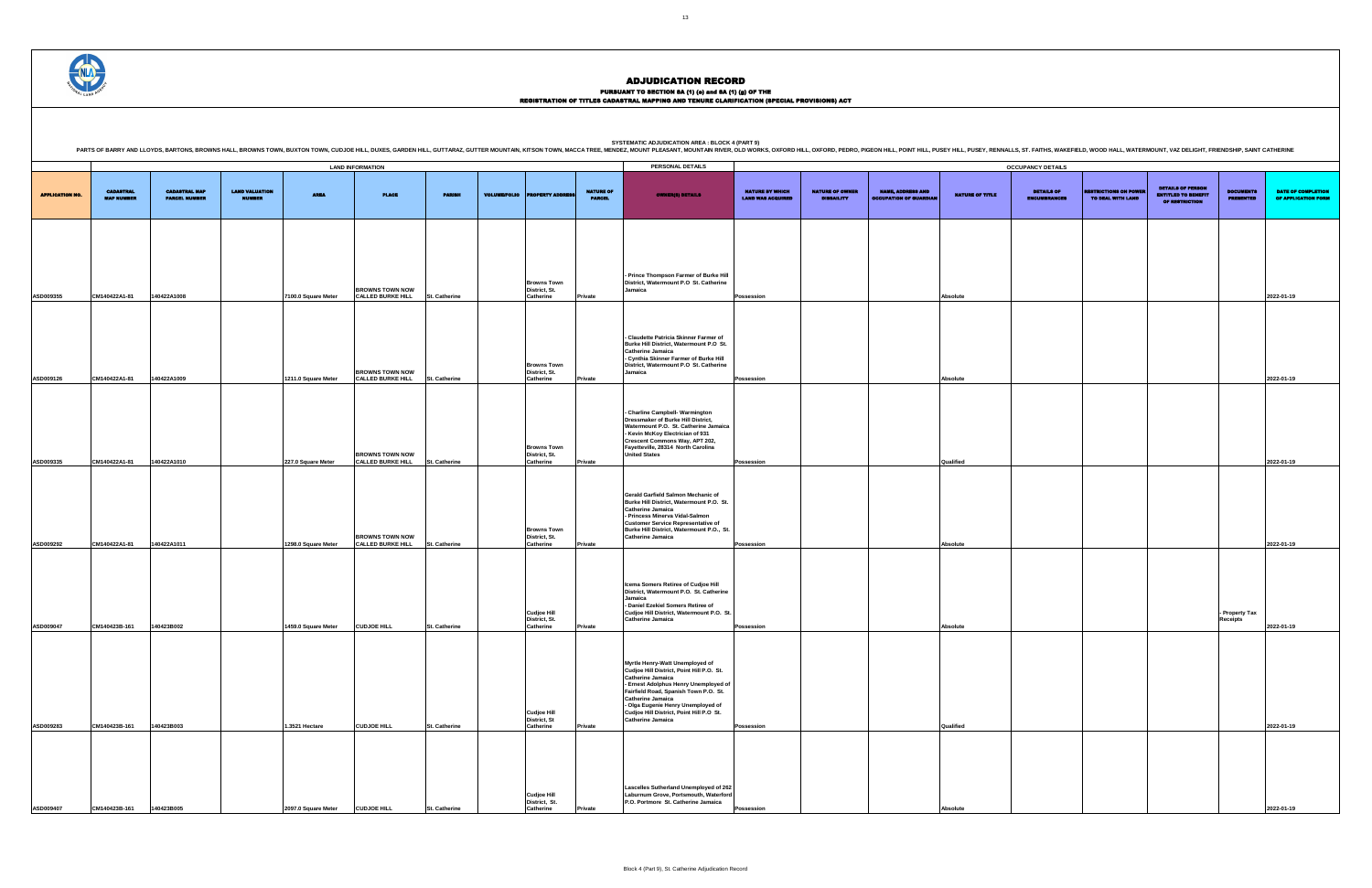PURSUANT TO SECTION 8A (1) (0) and 8A (1) (g) OF THE<br>REGISTRATION OF TITLES CADASTRAL MAPPING AND TENURE CLARIFICATION (SPECIAL PROVISIONS) ACT

**SYSTEMATIC ADJUDICATION AREA : BLOCK 4 (PART 9)** PARTS OF BARRY AND LLOYDS, BARTONS, BROWNS HALL, BROWNS TOWN, BUXTON TOWN, CUDJOE HILL, DUXES, GARDEN HILL, GUITARAZ, GUITTER MOUNTAIN, KITSON TOWN, MACCA TREE, MENDEZ, MOUNTAIN RIVER, OLD WORKS, OXFORD HILL, OXFORD HILL,

|                        |                                       |                                              |                                        |                     |                                                    |                      |                     |                                                  |                                   | PARTS OF BARRY AND LLOYDS, BARTONS, BROWNS HALL, BROWNS TOWN, BUXTON TOWN, CUDJOE HILL, DUXES, GARDEN HILL, DUXTS, GARDEN HILL, GUTTARAZ, GUTTER MOUNTAIN, KITSON TOWN, MACCA TREE, MENDEZ, MOUNTAIN RIVER, OLD WORKS, OXFORD                                                                                                 |                                                    |                                             |                                                           |                 |                                          |                                                   |                                                                                 |                                      |                                                  |
|------------------------|---------------------------------------|----------------------------------------------|----------------------------------------|---------------------|----------------------------------------------------|----------------------|---------------------|--------------------------------------------------|-----------------------------------|-------------------------------------------------------------------------------------------------------------------------------------------------------------------------------------------------------------------------------------------------------------------------------------------------------------------------------|----------------------------------------------------|---------------------------------------------|-----------------------------------------------------------|-----------------|------------------------------------------|---------------------------------------------------|---------------------------------------------------------------------------------|--------------------------------------|--------------------------------------------------|
|                        |                                       |                                              |                                        |                     | <b>LAND INFORMATION</b>                            |                      |                     |                                                  |                                   | PERSONAL DETAILS                                                                                                                                                                                                                                                                                                              |                                                    |                                             |                                                           |                 | <b>OCCUPANCY DETAILS</b>                 |                                                   |                                                                                 |                                      |                                                  |
| <b>APPLICATION NO.</b> | <b>CADASTRAL</b><br><b>MAP NUMBER</b> | <b>CADASTRAL MAP</b><br><b>PARCEL NUMBER</b> | <b>LAND VALUATION</b><br><b>NUMBER</b> | <b>AREA</b>         | <b>PLACE</b>                                       | <b>PARISH</b>        | <b>VOLUME/FOLIO</b> | <b>PERTY ADDRE</b>                               | <b>NATURE OF</b><br><b>PARCEL</b> | <b>OWNER(8) DETAILS</b>                                                                                                                                                                                                                                                                                                       | <b>NATURE BY WHICH</b><br><b>LAND WAS ACQUIRED</b> | <b>NATURE OF OWNER</b><br><b>DISBAILITY</b> | <b>NAME, ADDRESS AND</b><br><b>OCCUPATION OF GUARDIAN</b> | NATURE OF TITLE | <b>DETAILS OF</b><br><b>ENCUMBRANCES</b> | <b>RESTRICTIONS ON POWER</b><br>TO DEAL WITH LAND | <b>DETAILS OF PERSON</b><br><b>ENTITLED TO BENEFIT</b><br><b>OF RESTRICTION</b> | <b>DOCUMENTS</b><br><b>PRESENTED</b> | <b>DATE OF COMPLETION</b><br>OF APPLICATION FORM |
|                        |                                       |                                              |                                        |                     |                                                    |                      |                     |                                                  |                                   |                                                                                                                                                                                                                                                                                                                               |                                                    |                                             |                                                           |                 |                                          |                                                   |                                                                                 |                                      |                                                  |
| ASD009355              | CM140422A1-81                         | 140422A1008                                  |                                        | 7100.0 Square Meter | <b>BROWNS TOWN NOW</b><br><b>CALLED BURKE HILL</b> | <b>St. Catherine</b> |                     | <b>Browns Town</b><br>District, St.<br>Catherine | Private                           | - Prince Thompson Farmer of Burke Hill<br>District, Watermount P.O St. Catherine<br>Jamaica                                                                                                                                                                                                                                   | <b>Possession</b>                                  |                                             |                                                           | Absolute        |                                          |                                                   |                                                                                 |                                      | 2022-01-19                                       |
| ASD009126              | CM140422A1-81                         | 140422A1009                                  |                                        | 1211.0 Square Meter | <b>BROWNS TOWN NOW</b><br><b>CALLED BURKE HILL</b> | <b>St. Catherine</b> |                     | <b>Browns Town</b><br>District, St.<br>Catherine | Private                           | - Claudette Patricia Skinner Farmer of<br>Burke Hill District, Watermount P.O St.<br><b>Catherine Jamaica</b><br>- Cynthia Skinner Farmer of Burke Hill<br>District, Watermount P.O St. Catherine<br>Jamaica                                                                                                                  | <b>Possession</b>                                  |                                             |                                                           | Absolute        |                                          |                                                   |                                                                                 |                                      | 2022-01-19                                       |
|                        |                                       |                                              |                                        |                     | <b>BROWNS TOWN NOW</b>                             |                      |                     | <b>Browns Town</b><br>District, St.              |                                   | - Charline Campbell- Warmington<br>Dressmaker of Burke Hill District,<br>Watermount P.O. St. Catherine Jamaica<br>- Kevin McKoy Electrician of 931<br>Crescent Commons Way, APT 202,<br>Fayetteville, 28314 North Carolina<br><b>United States</b>                                                                            |                                                    |                                             |                                                           |                 |                                          |                                                   |                                                                                 |                                      |                                                  |
| ASD009335              | CM140422A1-81                         | 140422A1010                                  |                                        | 227.0 Square Meter  | <b>CALLED BURKE HILL</b>                           | St. Catherine        |                     | Catherine                                        | Private                           | Gerald Garfield Salmon Mechanic of                                                                                                                                                                                                                                                                                            | <b>Possession</b>                                  |                                             |                                                           | Qualified       |                                          |                                                   |                                                                                 |                                      | 2022-01-19                                       |
| ASD009292              | CM140422A1-81                         | 140422A1011                                  |                                        | 1298.0 Square Meter | <b>BROWNS TOWN NOW</b><br><b>CALLED BURKE HILL</b> | St. Catherine        |                     | <b>Browns Town</b><br>District, St.<br>Catherine | Private                           | Burke Hill District, Watermount P.O. St.<br><b>Catherine Jamaica</b><br>- Princess Minerva Vidal-Salmon<br><b>Customer Service Representative of</b><br>Burke Hill District, Watermount P.O., St.<br><b>Catherine Jamaica</b>                                                                                                 | <b>Possession</b>                                  |                                             |                                                           | Absolute        |                                          |                                                   |                                                                                 |                                      | 2022-01-19                                       |
| ASD009047              | CM140423B-161                         | 140423B002                                   |                                        | 1459.0 Square Meter | <b>CUDJOE HILL</b>                                 | St. Catherine        |                     | <b>Cudjoe Hill</b><br>District, St.<br>Catherine | Private                           | Icema Somers Retiree of Cudjoe Hill<br>District, Watermount P.O. St. Catherine<br>Jamaica<br>- Daniel Ezekiel Somers Retiree of<br>Cudjoe Hill District, Watermount P.O. St.<br><b>Catherine Jamaica</b>                                                                                                                      | <b>Possession</b>                                  |                                             |                                                           | Absolute        |                                          |                                                   |                                                                                 | - Property Tax<br><b>Receipts</b>    | 2022-01-19                                       |
|                        |                                       |                                              |                                        |                     |                                                    |                      |                     | <b>Cudjoe Hill</b><br>District, St               |                                   | Myrtle Henry-Watt Unemployed of<br>Cudioe Hill District, Point Hill P.O. St.<br><b>Catherine Jamaica</b><br>- Ernest Adolphus Henry Unemployed of<br>Fairfield Road, Spanish Town P.O. St.<br><b>Catherine Jamaica</b><br>- Olga Eugenie Henry Unemployed of<br>Cudjoe Hill District, Point Hill P.O St.<br>Catherine Jamaica |                                                    |                                             |                                                           |                 |                                          |                                                   |                                                                                 |                                      |                                                  |
| ASD009283              | CM140423B-161                         | 140423B003                                   |                                        | 1.3521 Hectare      | <b>CUDJOE HILL</b>                                 | <b>St. Catherine</b> |                     | Catherine<br><b>Cudjoe Hill</b><br>District, St. | Private                           | Lascelles Sutherland Unemployed of 262<br>Laburnum Grove, Portsmouth, Waterford<br>P.O. Portmore St. Catherine Jamaica                                                                                                                                                                                                        | Possession                                         |                                             |                                                           | Qualified       |                                          |                                                   |                                                                                 |                                      | 2022-01-19                                       |
| ASD009407              | CM140423B-161                         | 140423B005                                   |                                        | 2097.0 Square Meter | <b>CUDJOE HILL</b>                                 | <b>St. Catherine</b> |                     | Catherine                                        | Private                           |                                                                                                                                                                                                                                                                                                                               | <b>Possession</b>                                  |                                             |                                                           | Absolute        |                                          |                                                   |                                                                                 |                                      | 2022-01-19                                       |

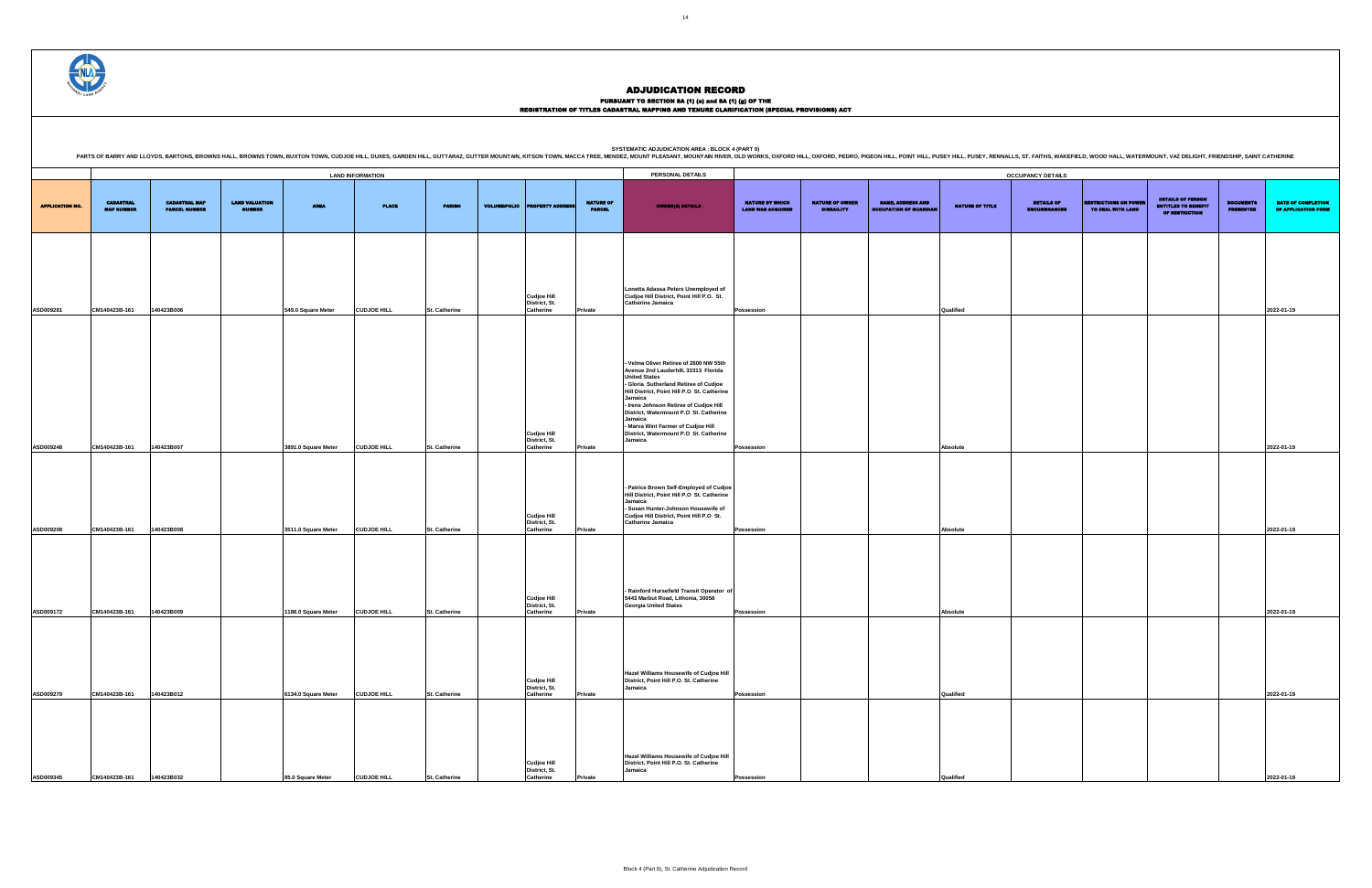### PURSUANT TO SECTION 8A (1) (0) and 8A (1) (g) OF THE<br>REGISTRATION OF TITLES CADASTRAL MAPPING AND TENURE CLARIFICATION (SPECIAL PROVISIONS) ACT

|                        |                                       |                                              |                                        |                                           | <b>LAND INFORMATION</b>                  |                                       |                     |                                                               |                                   | PERSONAL DETAILS                                                                                                                                                                                                                                                                                                                                                                                    |                                                    |                                             |                                                           |                       | <b>OCCUPANCY DETAILS</b>                 |
|------------------------|---------------------------------------|----------------------------------------------|----------------------------------------|-------------------------------------------|------------------------------------------|---------------------------------------|---------------------|---------------------------------------------------------------|-----------------------------------|-----------------------------------------------------------------------------------------------------------------------------------------------------------------------------------------------------------------------------------------------------------------------------------------------------------------------------------------------------------------------------------------------------|----------------------------------------------------|---------------------------------------------|-----------------------------------------------------------|-----------------------|------------------------------------------|
| <b>APPLICATION NO.</b> | <b>CADASTRAL</b><br><b>MAP NUMBER</b> | <b>CADASTRAL MAP</b><br><b>PARCEL NUMBER</b> | <b>LAND VALUATION</b><br><b>NUMBER</b> | <b>AREA</b>                               | <b>PLACE</b>                             | <b>PARISH</b>                         | <b>VOLUME/FOLIO</b> | <b>PROPERTY ADDRESS</b>                                       | <b>NATURE OF</b><br><b>PARCEL</b> | <b>OWNER(8) DETAILS</b>                                                                                                                                                                                                                                                                                                                                                                             | <b>NATURE BY WHICH</b><br><b>LAND WAS ACQUIRED</b> | <b>NATURE OF OWNER</b><br><b>DISBAILITY</b> | <b>NAME, ADDRESS AND</b><br><b>OCCUPATION OF GUARDIAN</b> | NATURE OF TITLE       | <b>DETAILS OF</b><br><b>ENCUMBRANCES</b> |
|                        |                                       |                                              |                                        |                                           |                                          |                                       |                     | <b>Cudjoe Hill</b><br>District, St.                           |                                   | Lonetta Adassa Peters Unemployed of<br>Cudjoe Hill District, Point Hill P.O. St.<br>Catherine Jamaica                                                                                                                                                                                                                                                                                               |                                                    |                                             |                                                           |                       |                                          |
| ASD009281<br>ASD009248 | CM140423B-161<br>CM140423B-161        | 140423B006<br>140423B007                     |                                        | 549.0 Square Meter<br>3891.0 Square Meter | <b>CUDJOE HILL</b><br><b>CUDJOE HILL</b> | <b>St. Catherine</b><br>St. Catherine |                     | Catherine<br><b>Cudjoe Hill</b><br>District, St.<br>Catherine | Private<br>Private                | - Velma Oliver Retiree of 2800 NW 55th<br>Avenue 2nd Lauderhill, 33313 Florida<br><b>United States</b><br>- Gloria Sutherland Retiree of Cudjoe<br>Hill District, Point Hill P.O St. Catherine<br>Jamaica<br>- Irene Johnson Retiree of Cudjoe Hill<br>District, Watermount P.O St. Catherine<br>Jamaica<br>- Marva Wint Farmer of Cudjoe Hill<br>District, Watermount P.O St. Catherine<br>Jamaica | Possession<br>Possession                           |                                             |                                                           | Qualified<br>Absolute |                                          |
| ASD009208              | CM140423B-161                         | 140423B008                                   |                                        | 3511.0 Square Meter                       | <b>CUDJOE HILL</b>                       | St. Catherine                         |                     | <b>Cudjoe Hill</b><br>District, St.<br>Catherine              | Private                           | - Patrice Brown Self-Employed of Cudjoe<br>Hill District, Point Hill P.O St. Catherine<br>Jamaica<br>- Susan Hunter-Johnson Housewife of<br>Cudjoe Hill District, Point Hill P.O St.<br><b>Catherine Jamaica</b>                                                                                                                                                                                    | Possession                                         |                                             |                                                           | Absolute              |                                          |
| ASD009172              | CM140423B-161                         | 140423B009                                   |                                        | 1186.0 Square Meter                       | <b>CUDJOE HILL</b>                       | St. Catherine                         |                     | <b>Cudjoe Hill</b><br>District, St.<br>Catherine              | Private                           | - Rainford Hursefield Transit Operator of<br>5443 Marbut Road, Lithonia, 30058<br><b>Georgia United States</b>                                                                                                                                                                                                                                                                                      | Possession                                         |                                             |                                                           | Absolute              |                                          |
| ASD009279              | CM140423B-161                         | 140423B012                                   |                                        | 6134.0 Square Meter                       | <b>CUDJOE HILL</b>                       | <b>St. Catherine</b>                  |                     | Cudjoe Hill<br>District, St.<br>Catherine                     | Private                           | Hazel Williams Housewife of Cudjoe Hill<br>District, Point Hill P.O. St. Catherine<br>Jamaica                                                                                                                                                                                                                                                                                                       | Possession                                         |                                             |                                                           | Qualified             |                                          |
| ASD009345              | CM140423B-161                         | 140423B032                                   |                                        | 85.0 Square Meter                         | <b>CUDJOE HILL</b>                       | St. Catherine                         |                     | <b>Cudjoe Hill</b><br>District, St.<br>Catherine              | Private                           | Hazel Williams Housewife of Cudjoe Hill<br>District, Point Hill P.O. St. Catherine<br>Jamaica                                                                                                                                                                                                                                                                                                       | Possession                                         |                                             |                                                           | Qualified             |                                          |

SYSTEMATIC ADJUDICATION AREA : BLOCK 4 (PART 9)<br>PARTS OF BARRY AND LLOYDS, BARTONS, BROWNS HALL, BROWNS HALL, BROWNS TOWN, BUXTON TOWN, CUDJOE HILL, DUXES, GARDEN HILL, GUTTARAZ, GUTTER MOUNTAIN, KITSON TOWN, MACCA TREE, M

|                                                    |                                             |                                                           |                 | <b>OCCUPANCY DETAILS</b>                 |                                                   |                                                                          |                                      |                                                  |
|----------------------------------------------------|---------------------------------------------|-----------------------------------------------------------|-----------------|------------------------------------------|---------------------------------------------------|--------------------------------------------------------------------------|--------------------------------------|--------------------------------------------------|
| <b>NATURE BY WHICH</b><br><b>LAND WAS ACQUIRED</b> | <b>NATURE OF OWNER</b><br><b>DISBAILITY</b> | <b>NAME, ADDRESS AND</b><br><b>OCCUPATION OF GUARDIAN</b> | NATURE OF TITLE | <b>DETAILS OF</b><br><b>ENCUMBRANCES</b> | <b>RESTRICTIONS ON POWER</b><br>TO DEAL WITH LAND | <b>DETAILS OF PERSON</b><br><b>ENTITLED TO BENEFIT</b><br>OF RESTRICTION | <b>DOCUMENTS</b><br><b>PRESENTED</b> | <b>DATE OF COMPLETION</b><br>OF APPLICATION FORM |
|                                                    |                                             |                                                           |                 |                                          |                                                   |                                                                          |                                      |                                                  |
| Possession                                         |                                             |                                                           | Qualified       |                                          |                                                   |                                                                          |                                      | 2022-01-19                                       |
|                                                    |                                             |                                                           |                 |                                          |                                                   |                                                                          |                                      |                                                  |
|                                                    |                                             |                                                           |                 |                                          |                                                   |                                                                          |                                      |                                                  |
| Possession                                         |                                             |                                                           | Absolute        |                                          |                                                   |                                                                          |                                      | 2022-01-19                                       |
|                                                    |                                             |                                                           |                 |                                          |                                                   |                                                                          |                                      |                                                  |
| Possession                                         |                                             |                                                           | Absolute        |                                          |                                                   |                                                                          |                                      | 2022-01-19                                       |
|                                                    |                                             |                                                           |                 |                                          |                                                   |                                                                          |                                      |                                                  |
| Possession                                         |                                             |                                                           | Absolute        |                                          |                                                   |                                                                          |                                      | 2022-01-19                                       |
|                                                    |                                             |                                                           |                 |                                          |                                                   |                                                                          |                                      |                                                  |
| Possession                                         |                                             |                                                           | Qualified       |                                          |                                                   |                                                                          |                                      | 2022-01-19                                       |
|                                                    |                                             |                                                           |                 |                                          |                                                   |                                                                          |                                      |                                                  |
| Possession                                         |                                             |                                                           | Qualified       |                                          |                                                   |                                                                          |                                      | 2022-01-19                                       |

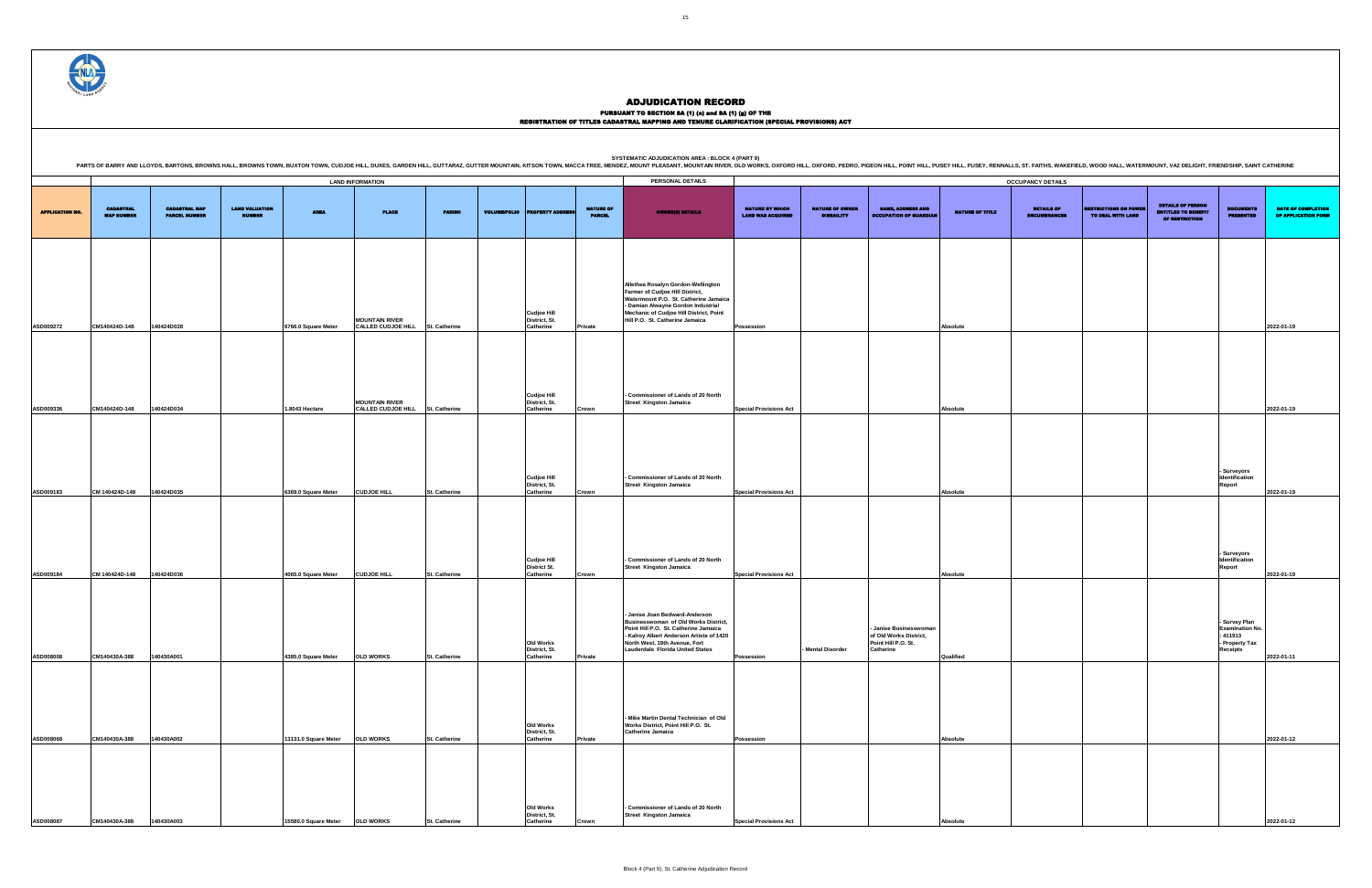|                        |                                       |                                              |                                        |                                |                                                           |                      |                     |                                                  |                                   | PARTS OF BARRY AND LLOYDS, BARTONS, BROWNS HALL, BROWNS TOWN, BUXTON TOWN, OUDJOE HILL, DUXES, GARDEN HILL, GUITTARAZ, GUITTER MOUNTAIN, KITSON TOWN, MACCA TREE, MENDEZ, MOUNTAIN RIVER, OLD WORKS, OXFORD HILL, OXFORD HILL,          |                                                    |                                             |                                                                                      |                        |                                          |                                                   |                                                                                 |                                                                                          |                                                  |
|------------------------|---------------------------------------|----------------------------------------------|----------------------------------------|--------------------------------|-----------------------------------------------------------|----------------------|---------------------|--------------------------------------------------|-----------------------------------|-----------------------------------------------------------------------------------------------------------------------------------------------------------------------------------------------------------------------------------------|----------------------------------------------------|---------------------------------------------|--------------------------------------------------------------------------------------|------------------------|------------------------------------------|---------------------------------------------------|---------------------------------------------------------------------------------|------------------------------------------------------------------------------------------|--------------------------------------------------|
|                        |                                       |                                              |                                        |                                | <b>LAND INFORMATION</b>                                   |                      |                     |                                                  |                                   | PERSONAL DETAILS                                                                                                                                                                                                                        |                                                    |                                             |                                                                                      |                        | <b>OCCUPANCY DETAILS</b>                 |                                                   |                                                                                 |                                                                                          |                                                  |
| <b>APPLICATION NO.</b> | <b>CADASTRAL</b><br><b>MAP NUMBER</b> | <b>CADASTRAL MAP</b><br><b>PARCEL NUMBER</b> | <b>LAND VALUATION</b><br><b>NUMBER</b> | <b>AREA</b>                    | <b>PLACE</b>                                              | <b>PARISH</b>        | <b>VOLUME/FOLIO</b> | <b>OPERTY ADDRES</b>                             | <b>NATURE OF</b><br><b>PARCEL</b> | OWNER(8) DETAILS                                                                                                                                                                                                                        | <b>NATURE BY WHICH</b><br><b>LAND WAS ACQUIRED</b> | <b>NATURE OF OWNER</b><br><b>DISBAILITY</b> | <b>NAME, ADDRESS AND</b><br><b>OCCUPATION OF GUARDIAL</b>                            | <b>NATURE OF TITLE</b> | <b>DETAILS OF</b><br><b>ENCUMBRANCES</b> | <b>RESTRICTIONS ON POWER</b><br>TO DEAL WITH LAND | <b>DETAILS OF PERSON</b><br><b>ENTITLED TO BENEFIT</b><br><b>OF RESTRICTION</b> | <b>DOCUMENTS</b><br><b>PRESENTED</b>                                                     | <b>DATE OF COMPLETION</b><br>OF APPLICATION FORM |
| ASD009272              | CM140424D-148                         | 140424D028                                   |                                        | 6766.0 Square Meter            | <b>MOUNTAIN RIVER</b><br>CALLED CUDJOE HILL St. Catherine |                      |                     | <b>Cudjoe Hill</b><br>District, St.<br>Catherine | Private                           | Allethea Rosalyn Gordon-Wellington<br>Farmer of Cudjoe Hill District,<br>Watermount P.O. St. Catherine Jamaica<br>- Damian Alwayne Gordon Industrial<br>Mechanic of Cudjoe Hill District, Point<br>Hill P.O. St. Catherine Jamaica      | <b>Possession</b>                                  |                                             |                                                                                      | Absolute               |                                          |                                                   |                                                                                 |                                                                                          | 2022-01-19                                       |
| ASD009336              | CM140424D-148                         | 140424D034                                   |                                        | 1.8043 Hectare                 | <b>MOUNTAIN RIVER</b><br>CALLED CUDJOE HILL St. Catherine |                      |                     | <b>Cudjoe Hill</b><br>District, St.<br>Catherine | Crown                             | - Commissioner of Lands of 20 North<br><b>Street Kingston Jamaica</b>                                                                                                                                                                   | <b>Special Provisions Act</b>                      |                                             |                                                                                      | Absolute               |                                          |                                                   |                                                                                 |                                                                                          | 2022-01-19                                       |
| ASD009183              | CM 140424D-148                        | 140424D035                                   |                                        | 6369.0 Square Meter            | <b>CUDJOE HILL</b>                                        | St. Catherine        |                     | <b>Cudjoe Hill</b><br>District, St.<br>Catherine | Crown                             | - Commissioner of Lands of 20 North<br><b>Street Kingston Jamaica</b>                                                                                                                                                                   | <b>Special Provisions Act</b>                      |                                             |                                                                                      | Absolute               |                                          |                                                   |                                                                                 | - Surveyors<br>Identification<br>Report                                                  | 2022-01-19                                       |
| ASD009184              | CM 140424D-148                        | 140424D036                                   |                                        | 4065.0 Square Meter            | <b>CUDJOE HILL</b>                                        | St. Catherine        |                     | <b>Cudjoe Hill</b><br>District St.<br>Catherine  | Crown                             | - Commissioner of Lands of 20 North<br><b>Street Kingston Jamaica</b>                                                                                                                                                                   | <b>Special Provisions Act</b>                      |                                             |                                                                                      | Absolute               |                                          |                                                   |                                                                                 | - Surveyors<br>Identification<br><b>Report</b>                                           | 2022-01-19                                       |
| ASD008008              | CM140430A-388                         | 140430A001                                   |                                        | 4385.0 Square Meter            | <b>OLD WORKS</b>                                          | St. Catherine        |                     | Old Works<br>District, St.<br>Catherine          | Private                           | - Janise Joan Bedward-Anderson<br>Businesswoman of Old Works District,<br>Point Hill P.O. St. Catherine Jamaica<br>- Kalrov Albert Anderson Artiste of 1420<br>North West, 19th Avenue, Fort<br><b>Lauderdale Florida United States</b> | Possession                                         | - Mental Disorder                           | - Janise Businesswoman<br>of Old Works District,<br>Point Hill P.O. St.<br>Catherine | Qualified              |                                          |                                                   |                                                                                 | - Survey Plan<br><b>Examination No.</b><br>: 411913<br>- Property Tax<br><b>Receipts</b> | 2022-01-11                                       |
| ASD008068              | CM140430A-388                         | 140430A002                                   |                                        | 13131.0 Square Meter OLD WORKS |                                                           | St. Catherine        |                     | Old Works<br>District, St.<br>Catherine          | Private                           | - Mike Martin Dental Technician of Old<br>Works District, Point Hill P.O. St.<br><b>Catherine Jamaica</b>                                                                                                                               | Possession                                         |                                             |                                                                                      | Absolute               |                                          |                                                   |                                                                                 |                                                                                          | 2022-01-12                                       |
| ASD008087              | CM140430A-388                         | 140430A003                                   |                                        | 15580.0 Square Meter OLD WORKS |                                                           | <b>St. Catherine</b> |                     | Old Works<br>District, St.<br>Catherine          | Crowi                             | - Commissioner of Lands of 20 North<br><b>Street Kingston Jamaica</b>                                                                                                                                                                   | <b>Special Provisions Act</b>                      |                                             |                                                                                      | Absolute               |                                          |                                                   |                                                                                 |                                                                                          | 2022-01-12                                       |

ADJUDICATION RECORD

PURSUANT TO SECTION 8A (1) (0) and 8A (1) (g) OF THE<br>REGISTRATION OF TITLES CADASTRAL MAPPING AND TENURE CLARIFICATION (SPECIAL PROVISIONS) ACT



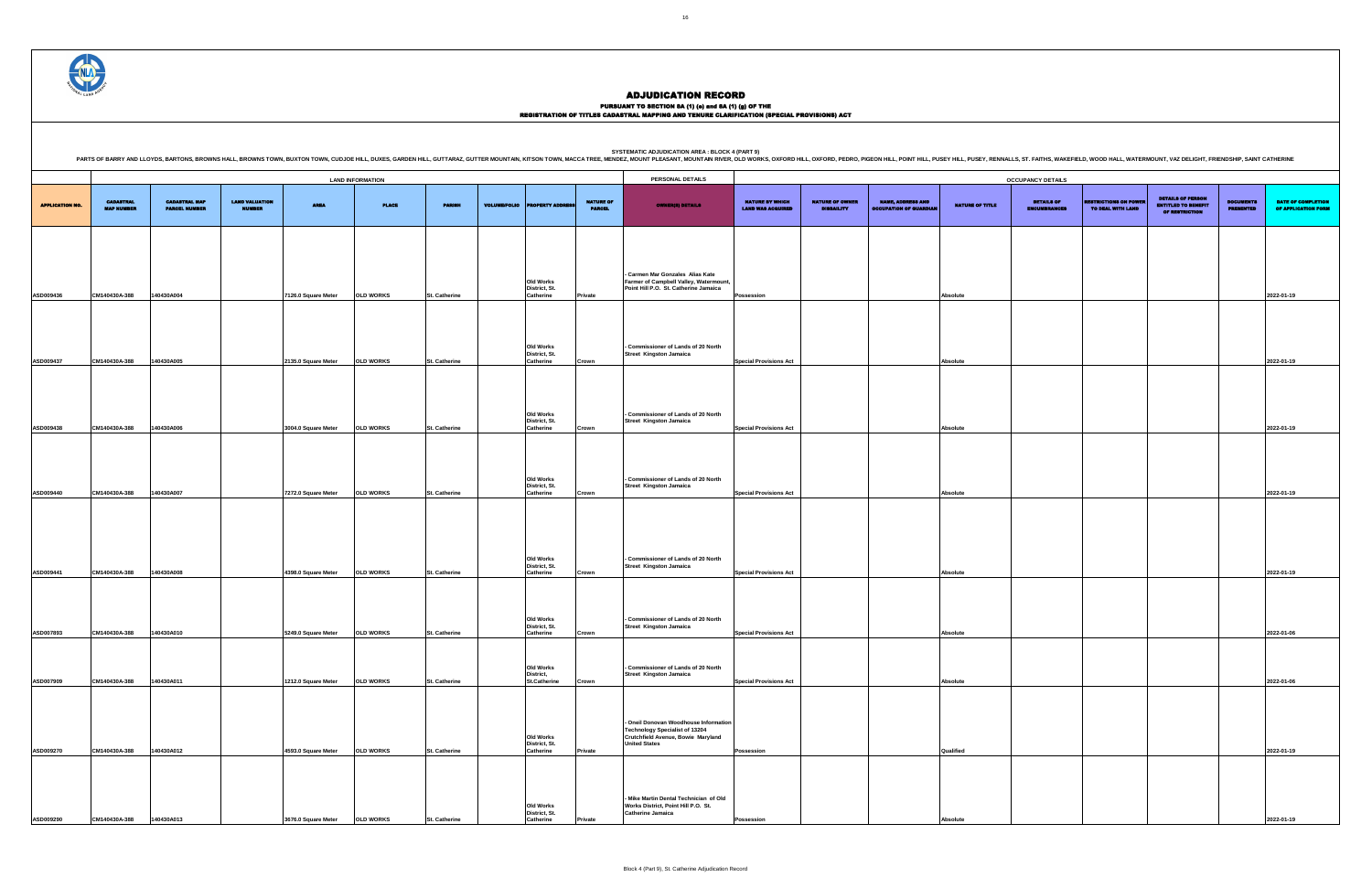|                                       |                                              |                                        |                     |                         |                      |                     |                                                |                                   | <b>SYSTEMATIC ADJUDICATION AREA : BLOCK 4 (PART 9)</b><br>PARTS OF BARRY AND LLOYDS, BARTONS, BROWNS HALL, BROWNS TOWN, BUXTON TOWN, CUDJOE HILL, DUXES, GARDEN HILL, GUITARAZ, GUITTER MOUNTAIN, KITSON TOWN, MACCA TREE, MENDEZ, MOUNTAIN, KITSON TOWN, MACCA TREE, MENDEZ, MOUNTAIN R |                                                    |                                             |                                                           |                        |                                   |                                              |                                                                                 |                                      |                                                  |
|---------------------------------------|----------------------------------------------|----------------------------------------|---------------------|-------------------------|----------------------|---------------------|------------------------------------------------|-----------------------------------|------------------------------------------------------------------------------------------------------------------------------------------------------------------------------------------------------------------------------------------------------------------------------------------|----------------------------------------------------|---------------------------------------------|-----------------------------------------------------------|------------------------|-----------------------------------|----------------------------------------------|---------------------------------------------------------------------------------|--------------------------------------|--------------------------------------------------|
|                                       |                                              |                                        |                     | <b>LAND INFORMATION</b> |                      |                     |                                                |                                   | PERSONAL DETAILS                                                                                                                                                                                                                                                                         |                                                    |                                             |                                                           |                        | <b>OCCUPANCY DETAILS</b>          |                                              |                                                                                 |                                      |                                                  |
| <b>CADASTRAL</b><br><b>MAP NUMBER</b> | <b>CADASTRAL MAP</b><br><b>PARCEL NUMBER</b> | <b>LAND VALUATION</b><br><b>NUMBER</b> | <b>AREA</b>         | <b>PLACE</b>            | <b>PARISH</b>        | <b>VOLUME/FOLIO</b> | OPERTY ADDRI                                   | <b>NATURE OF</b><br><b>PARCEL</b> | <b>OWNER(8) DETAILS</b>                                                                                                                                                                                                                                                                  | <b>NATURE BY WHICH</b><br><b>LAND WAS ACQUIRED</b> | <b>NATURE OF OWNER</b><br><b>DISBAILITY</b> | <b>NAME, ADDRESS AND</b><br><b>OCCUPATION OF GUARDIAL</b> | <b>NATURE OF TITLE</b> | DETAILS OF<br><b>ENCUMBRANCES</b> | <b>STRICTIONS ON PO</b><br>TO DEAL WITH LAND | <b>DETAILS OF PERSON</b><br><b>ENTITLED TO BENEFIT</b><br><b>OF RESTRICTION</b> | <b>DOCUMENTS</b><br><b>PRESENTED</b> | <b>DATE OF COMPLETION</b><br>OF APPLICATION FORM |
|                                       |                                              |                                        |                     |                         |                      |                     |                                                |                                   |                                                                                                                                                                                                                                                                                          |                                                    |                                             |                                                           |                        |                                   |                                              |                                                                                 |                                      |                                                  |
| CM140430A-388                         | 140430A004                                   |                                        | 7126.0 Square Meter | <b>OLD WORKS</b>        | St. Catherine        |                     | Old Works<br>District, St.<br>Catherine        | Private                           | - Carmen Mar Gonzales Alias Kate<br>Farmer of Campbell Valley, Watermount,<br>Point Hill P.O. St. Catherine Jamaica                                                                                                                                                                      | Possession                                         |                                             |                                                           | Absolute               |                                   |                                              |                                                                                 |                                      | 2022-01-19                                       |
|                                       |                                              |                                        |                     |                         |                      |                     |                                                |                                   |                                                                                                                                                                                                                                                                                          |                                                    |                                             |                                                           |                        |                                   |                                              |                                                                                 |                                      |                                                  |
| CM140430A-388                         | 140430A005                                   |                                        | 2135.0 Square Meter | <b>OLD WORKS</b>        | <b>St. Catherine</b> |                     | Old Works<br>District, St.<br>Catherine        | Crown                             | - Commissioner of Lands of 20 North<br><b>Street Kingston Jamaica</b>                                                                                                                                                                                                                    | <b>Special Provisions Act</b>                      |                                             |                                                           | Absolute               |                                   |                                              |                                                                                 |                                      | 2022-01-19                                       |
|                                       |                                              |                                        |                     |                         |                      |                     |                                                |                                   |                                                                                                                                                                                                                                                                                          |                                                    |                                             |                                                           |                        |                                   |                                              |                                                                                 |                                      |                                                  |
| CM140430A-388                         | 140430A006                                   |                                        | 3004.0 Square Meter | <b>OLD WORKS</b>        | <b>St. Catherine</b> |                     | Old Works<br>District, St.<br><b>Catherine</b> | Crown                             | - Commissioner of Lands of 20 North<br><b>Street Kingston Jamaica</b>                                                                                                                                                                                                                    | <b>Special Provisions Act</b>                      |                                             |                                                           | Absolute               |                                   |                                              |                                                                                 |                                      | 2022-01-19                                       |
|                                       |                                              |                                        |                     |                         |                      |                     |                                                |                                   |                                                                                                                                                                                                                                                                                          |                                                    |                                             |                                                           |                        |                                   |                                              |                                                                                 |                                      |                                                  |
|                                       |                                              |                                        |                     |                         |                      |                     | <b>Old Works</b><br>District, St.              |                                   | - Commissioner of Lands of 20 North<br><b>Street Kingston Jamaica</b>                                                                                                                                                                                                                    |                                                    |                                             |                                                           |                        |                                   |                                              |                                                                                 |                                      |                                                  |
| CM140430A-388                         | 140430A007                                   |                                        | 7272.0 Square Meter | <b>OLD WORKS</b>        | St. Catherine        |                     | <b>Catherine</b>                               | Crown                             |                                                                                                                                                                                                                                                                                          | <b>Special Provisions Act</b>                      |                                             |                                                           | Absolute               |                                   |                                              |                                                                                 |                                      | 2022-01-19                                       |
|                                       |                                              |                                        |                     |                         |                      |                     | <b>Old Works</b>                               |                                   | - Commissioner of Lands of 20 North                                                                                                                                                                                                                                                      |                                                    |                                             |                                                           |                        |                                   |                                              |                                                                                 |                                      |                                                  |
| CM140430A-388                         | 140430A008                                   |                                        | 4398.0 Square Meter | <b>OLD WORKS</b>        | <b>St. Catherine</b> |                     | District, St.<br><b>Catherine</b>              | Crown                             | <b>Street Kingston Jamaica</b>                                                                                                                                                                                                                                                           | <b>Special Provisions Act</b>                      |                                             |                                                           | Absolute               |                                   |                                              |                                                                                 |                                      | 2022-01-19                                       |
|                                       |                                              |                                        |                     |                         |                      |                     |                                                |                                   |                                                                                                                                                                                                                                                                                          |                                                    |                                             |                                                           |                        |                                   |                                              |                                                                                 |                                      |                                                  |
| CM140430A-388                         | 140430A010                                   |                                        | 5249.0 Square Meter | <b>OLD WORKS</b>        | <b>St. Catherine</b> |                     | Old Works<br>District, St.<br><b>Catherine</b> | Crown                             | - Commissioner of Lands of 20 North<br><b>Street Kingston Jamaica</b>                                                                                                                                                                                                                    | <b>Special Provisions Act</b>                      |                                             |                                                           | Absolute               |                                   |                                              |                                                                                 |                                      | 2022-01-06                                       |
|                                       |                                              |                                        |                     |                         |                      |                     | Old Works                                      |                                   | - Commissioner of Lands of 20 North                                                                                                                                                                                                                                                      |                                                    |                                             |                                                           |                        |                                   |                                              |                                                                                 |                                      |                                                  |
| CM140430A-388                         | 140430A011                                   |                                        | 1212.0 Square Meter | <b>OLD WORKS</b>        | <b>St. Catherine</b> |                     | District,<br><b>St.Catherine</b>               | Crown                             | <b>Street Kingston Jamaica</b>                                                                                                                                                                                                                                                           | <b>Special Provisions Act</b>                      |                                             |                                                           | Absolute               |                                   |                                              |                                                                                 |                                      | 2022-01-06                                       |
|                                       |                                              |                                        |                     |                         |                      |                     |                                                |                                   | - Oneil Donovan Woodhouse Information                                                                                                                                                                                                                                                    |                                                    |                                             |                                                           |                        |                                   |                                              |                                                                                 |                                      |                                                  |
| CM140430A-388                         | 140430A012                                   |                                        | 4593.0 Square Meter | <b>OLD WORKS</b>        | <b>St. Catherine</b> |                     | Old Works<br>District, St.<br><b>Catherine</b> | <b>Private</b>                    | <b>Technology Specialist of 13204</b><br>Crutchfield Avenue, Bowie Maryland<br><b>United States</b>                                                                                                                                                                                      | Possession                                         |                                             |                                                           | Qualified              |                                   |                                              |                                                                                 |                                      | 2022-01-19                                       |
|                                       |                                              |                                        |                     |                         |                      |                     |                                                |                                   |                                                                                                                                                                                                                                                                                          |                                                    |                                             |                                                           |                        |                                   |                                              |                                                                                 |                                      |                                                  |
| CM140430A-388                         | 140430A013                                   |                                        | 3676.0 Square Meter | <b>OLD WORKS</b>        | <b>St. Catherine</b> |                     | Old Works<br>District, St.<br><b>Catherine</b> | Private                           | - Mike Martin Dental Technician of Old<br>Works District, Point Hill P.O. St.<br><b>Catherine Jamaica</b>                                                                                                                                                                                | <b>Possession</b>                                  |                                             |                                                           | Absolute               |                                   |                                              |                                                                                 |                                      | 2022-01-19                                       |



#### ADJUDICATION RECORD

#### PURSUANT TO SECTION 8A (1) (e) and 8A (1) (g) OF THE REGISTRATION OF TITLES CADASTRAL MAPPING AND TENURE CLARIFICATION (SPECIAL PROVISIONS) ACT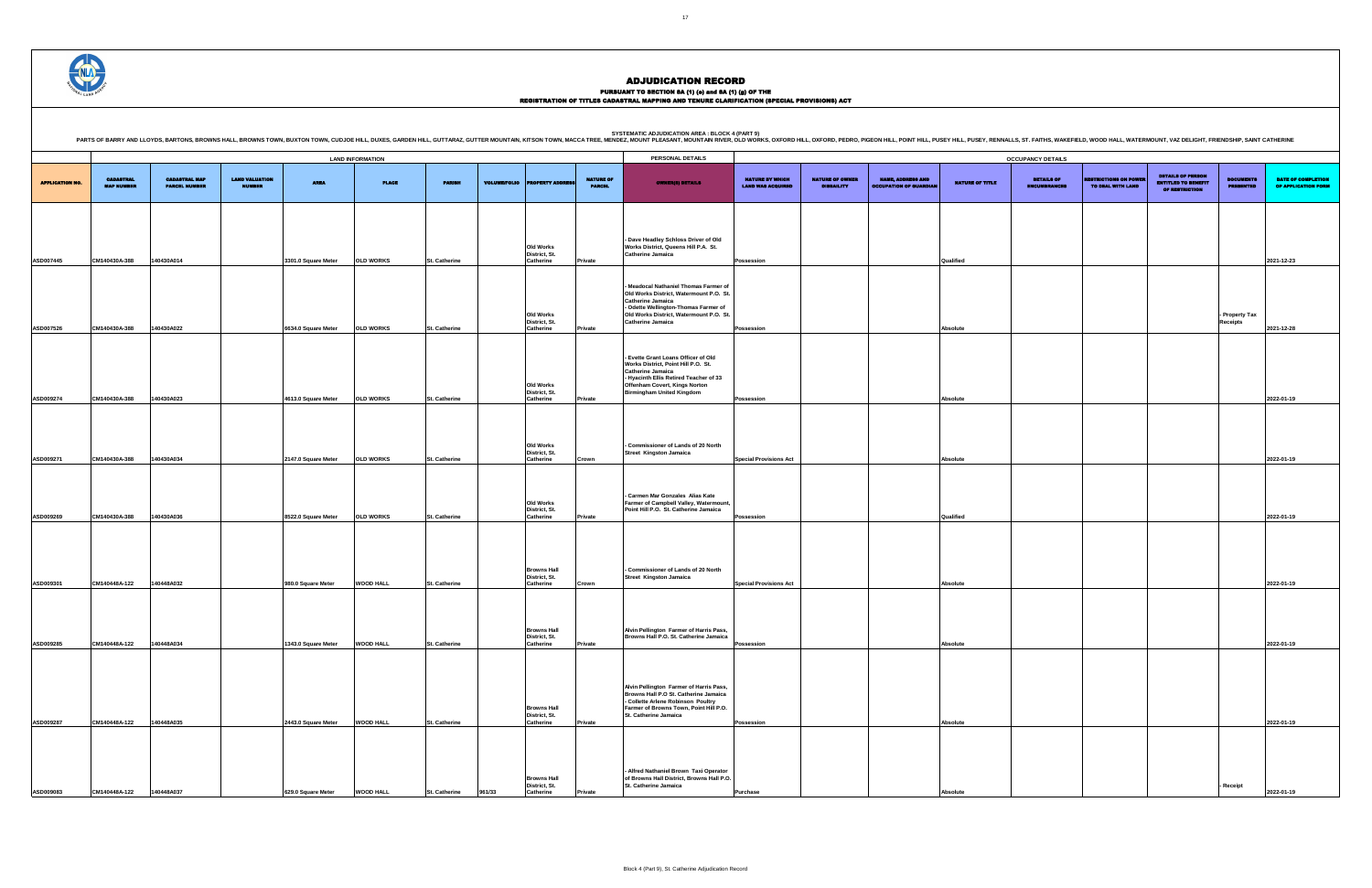PURSUANT TO SECTION 8A (1) (0) and 8A (1) (g) OF THE<br>REGISTRATION OF TITLES CADASTRAL MAPPING AND TENURE CLARIFICATION (SPECIAL PROVISIONS) ACT

|                        |                                       |                                              |                                        |                     |                         |                      |                     |                                                  |                                   | <b>SYSTEMATIC ADJUDICATION AREA : BLOCK 4 (PART 9)</b><br>PARTS OF BARRY AND LLOYDS, BARTONS, BROWNS HALL, BROWNS TOWN, BUXTON TOWN, CUDJOE HILL, DUXES, GARDEN HILL, DUXTS, GARDEN HILL, GUTTARAZ, GUITTER MOUNTAIN, KITSON TOWN, MACCA TREE, MENDEZ, MOUNT PLEASANT, MOUNTAIN RIVER, O |                                                    |                                             |                                                           |                 |                                          |                                                 |                                                                                 |                                      |                                                  |
|------------------------|---------------------------------------|----------------------------------------------|----------------------------------------|---------------------|-------------------------|----------------------|---------------------|--------------------------------------------------|-----------------------------------|------------------------------------------------------------------------------------------------------------------------------------------------------------------------------------------------------------------------------------------------------------------------------------------|----------------------------------------------------|---------------------------------------------|-----------------------------------------------------------|-----------------|------------------------------------------|-------------------------------------------------|---------------------------------------------------------------------------------|--------------------------------------|--------------------------------------------------|
|                        |                                       |                                              |                                        |                     | <b>LAND INFORMATION</b> |                      |                     |                                                  |                                   | PERSONAL DETAILS                                                                                                                                                                                                                                                                         |                                                    |                                             |                                                           |                 | <b>OCCUPANCY DETAILS</b>                 |                                                 |                                                                                 |                                      |                                                  |
| <b>APPLICATION NO.</b> | <b>CADASTRAL</b><br><b>MAP NUMBER</b> | <b>CADASTRAL MAP</b><br><b>PARCEL NUMBER</b> | <b>LAND VALUATION</b><br><b>NUMBER</b> | <b>AREA</b>         | <b>PLACE</b>            | <b>PARISH</b>        | <b>VOLUME/FOLIO</b> | <b>PROPERTY ADDR</b>                             | <b>NATURE OF</b><br><b>PARCEL</b> | <b>OWNER(8) DETAILS</b>                                                                                                                                                                                                                                                                  | <b>NATURE BY WHICH</b><br><b>LAND WAS ACQUIRED</b> | <b>NATURE OF OWNER</b><br><b>DISBAILITY</b> | <b>NAME, ADDRESS AND</b><br><b>OCCUPATION OF GUARDIAL</b> | NATURE OF TITLE | <b>DETAILS OF</b><br><b>ENCUMBRANCES</b> | <b>ESTRICTIONS ON POWE</b><br>TO DEAL WITH LAND | <b>DETAILS OF PERSON</b><br><b>ENTITLED TO BENEFIT</b><br><b>OF RESTRICTION</b> | <b>DOCUMENTS</b><br><b>PRESENTED</b> | <b>DATE OF COMPLETION</b><br>OF APPLICATION FORM |
|                        |                                       |                                              |                                        |                     |                         |                      |                     |                                                  |                                   |                                                                                                                                                                                                                                                                                          |                                                    |                                             |                                                           |                 |                                          |                                                 |                                                                                 |                                      |                                                  |
| <b>ASD007445</b>       | CM140430A-388                         | 140430A014                                   |                                        | 3301.0 Square Meter | <b>OLD WORKS</b>        | <b>St. Catherine</b> |                     | Old Works<br>District, St.<br>Catherine          | Private                           | - Dave Headley Schloss Driver of Old<br>Works District, Queens Hill P.A. St.<br><b>Catherine Jamaica</b>                                                                                                                                                                                 | Possession                                         |                                             |                                                           | Qualified       |                                          |                                                 |                                                                                 |                                      | 2021-12-23                                       |
| <b>ASD007526</b>       | CM140430A-388                         | 140430A022                                   |                                        | 6634.0 Square Meter | <b>OLD WORKS</b>        | St. Catherine        |                     | Old Works<br>District, St.<br>Catherine          | Private                           | Meadocal Nathaniel Thomas Farmer of<br>Old Works District, Watermount P.O. St.<br><b>Catherine Jamaica</b><br>- Odette Wellington-Thomas Farmer of<br>Old Works District, Watermount P.O. St.<br><b>Catherine Jamaica</b>                                                                | Possession                                         |                                             |                                                           | Absolute        |                                          |                                                 |                                                                                 | - Property Tax<br><b>Receipts</b>    | 2021-12-28                                       |
| <b>ASD009274</b>       | CM140430A-388                         | 140430A023                                   |                                        | 4613.0 Square Meter | <b>OLD WORKS</b>        | <b>St. Catherine</b> |                     | Old Works<br>District, St.<br>Catherine          | Private                           | - Evette Grant Loans Officer of Old<br>Works District, Point Hill P.O. St.<br><b>Catherine Jamaica</b><br>- Hyacinth Ellis Retired Teacher of 33<br>Offenham Covert, Kings Norton<br><b>Birmingham United Kingdom</b>                                                                    | Possession                                         |                                             |                                                           | Absolute        |                                          |                                                 |                                                                                 |                                      | 2022-01-19                                       |
| <b>ASD009271</b>       | CM140430A-388                         | 140430A034                                   |                                        | 2147.0 Square Meter | <b>OLD WORKS</b>        | St. Catherine        |                     | Old Works<br>District, St.<br>Catherine          | Crown                             | - Commissioner of Lands of 20 North<br><b>Street Kingston Jamaica</b>                                                                                                                                                                                                                    | <b>Special Provisions Act</b>                      |                                             |                                                           | Absolute        |                                          |                                                 |                                                                                 |                                      | 2022-01-19                                       |
| <b>ASD009269</b>       | CM140430A-388                         | 140430A036                                   |                                        | 8522.0 Square Meter | <b>OLD WORKS</b>        | <b>St. Catherine</b> |                     | Old Works<br>District, St.<br>Catherine          | Private                           | - Carmen Mar Gonzales Alias Kate<br>Farmer of Campbell Valley, Watermount,<br>Point Hill P.O. St. Catherine Jamaica                                                                                                                                                                      | Possession                                         |                                             |                                                           | Qualified       |                                          |                                                 |                                                                                 |                                      | 2022-01-19                                       |
| <b>ASD009301</b>       | CM140448A-122                         | 140448A032                                   |                                        | 980.0 Square Meter  | <b>WOOD HALL</b>        | St. Catherine        |                     | <b>Browns Hall</b><br>District, St.<br>Catherine | Crown                             | - Commissioner of Lands of 20 North<br><b>Street Kingston Jamaica</b>                                                                                                                                                                                                                    | <b>Special Provisions Act</b>                      |                                             |                                                           | Absolute        |                                          |                                                 |                                                                                 |                                      | 2022-01-19                                       |
| <b>ASD009285</b>       | CM140448A-122                         | 140448A034                                   |                                        | 1343.0 Square Meter | <b>WOOD HALL</b>        | <b>St. Catherine</b> |                     | <b>Browns Hall</b><br>District, St.<br>Catherine | Private                           | Alvin Pellington Farmer of Harris Pass,<br>Browns Hall P.O. St. Catherine Jamaica                                                                                                                                                                                                        | Possession                                         |                                             |                                                           | <b>Absolute</b> |                                          |                                                 |                                                                                 |                                      | 2022-01-19                                       |
| ASD009287              | CM140448A-122                         | 140448A035                                   |                                        | 2443.0 Square Meter | <b>WOOD HALL</b>        | St. Catherine        |                     | <b>Browns Hall</b><br>District, St.<br>Catherine | Private                           | Alvin Pellington Farmer of Harris Pass,<br>Browns Hall P.O St. Catherine Jamaica<br>- Collette Arlene Robinson Poultry<br>Farmer of Browns Town, Point Hill P.O.<br>St. Catherine Jamaica                                                                                                | <b>Possession</b>                                  |                                             |                                                           | Absolute        |                                          |                                                 |                                                                                 |                                      | 2022-01-19                                       |
| <b>ASD009083</b>       | CM140448A-122                         | 140448A037                                   |                                        | 629.0 Square Meter  | <b>WOOD HALL</b>        | <b>St. Catherine</b> | 961/33              | <b>Browns Hall</b><br>District, St.<br>Catherine |                                   | - Alfred Nathaniel Brown Taxi Operator<br>of Browns Hall District, Browns Hall P.O.<br>St. Catherine Jamaica                                                                                                                                                                             | <b>Purchase</b>                                    |                                             |                                                           | Absolute        |                                          |                                                 |                                                                                 | - Receipt                            | 2022-01-19                                       |

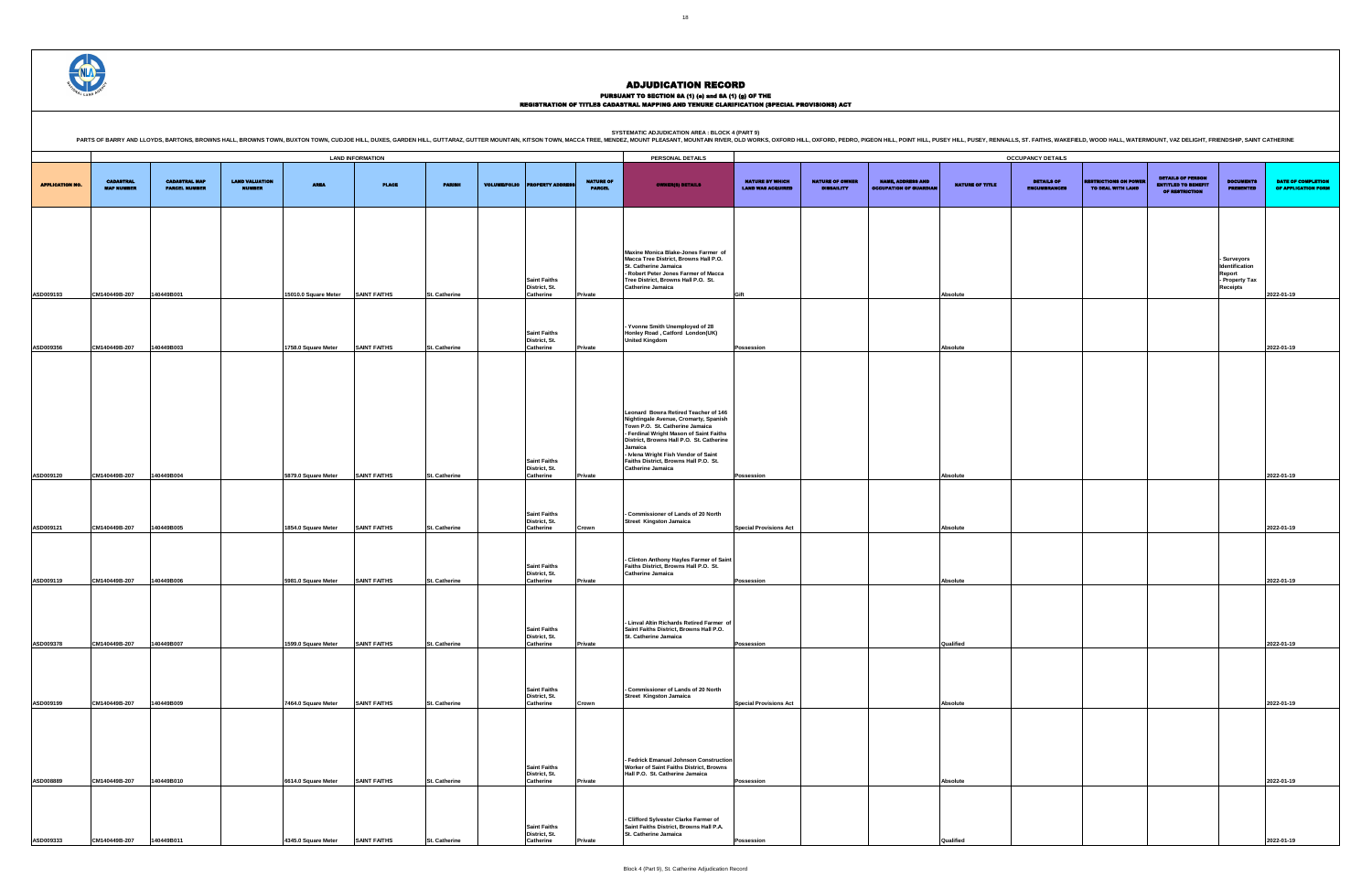DETAILS OF ENCUMBRANCES RESTRICTIONS ON POWER TO DEAL WITH LAND DETAILS OF PERSON ENTITLED TO BENEFIT OF RESTRICTION DOCUMENTS PRESENTED DATE OF COMPLETION OF APPLICATION FORM **- Surveyors Identification Report - Property Tax Receipts 2022-01-19 Possession Absolute 2022-01-19 Possession Absolute 2022-01-19 Special Provisions Act Absolute 2022-01-19 Possession Absolute 2022-01-19 Possession Qualified 2022-01-19 Special Provisions Act Absolute 2022-01-19 Possession Absolute 2022-01-19 Possession Qualified 2022-01-19**



### ADJUDICATION RECORD

### PURSUANT TO SECTION 8A (1) (0) and 8A (1) (g) OF THE<br>REGISTRATION OF TITLES CADASTRAL MAPPING AND TENURE CLARIFICATION (SPECIAL PROVISIONS) ACT

|                        |                                       |                                              |                                        |                      |                         |                      |                     |                                                   |                                   | PARTS OF BARRY AND LLOYDS, BARTONS, BROWNS HALL, BROWNS TOWN, BUXTON TOWN, CUDJOE HILL, DUXES, GARDEN HILL, DUXTS, GARDEN HILL, GUTTARAZ, GUTTER MOUNTAIN, KITSON TOWN, MACCA TREE, MENDEZ, MOUNT PLEASANT, MOUNTAIN RIVER, OL                                                                                                  |                                                    |                                             |                                                           |                        |                                          |                                                  |                                                                          |                                                                            |                                   |
|------------------------|---------------------------------------|----------------------------------------------|----------------------------------------|----------------------|-------------------------|----------------------|---------------------|---------------------------------------------------|-----------------------------------|---------------------------------------------------------------------------------------------------------------------------------------------------------------------------------------------------------------------------------------------------------------------------------------------------------------------------------|----------------------------------------------------|---------------------------------------------|-----------------------------------------------------------|------------------------|------------------------------------------|--------------------------------------------------|--------------------------------------------------------------------------|----------------------------------------------------------------------------|-----------------------------------|
|                        |                                       |                                              |                                        |                      | <b>LAND INFORMATION</b> |                      |                     |                                                   |                                   | PERSONAL DETAILS                                                                                                                                                                                                                                                                                                                |                                                    |                                             |                                                           |                        | <b>OCCUPANCY DETAILS</b>                 |                                                  |                                                                          |                                                                            |                                   |
| <b>APPLICATION NO.</b> | <b>CADASTRAL</b><br><b>MAP NUMBER</b> | <b>CADASTRAL MAP</b><br><b>PARCEL NUMBER</b> | <b>LAND VALUATION</b><br><b>NUMBER</b> | <b>AREA</b>          | <b>PLACE</b>            | <b>PARISH</b>        | <b>VOLUME/FOLIO</b> | <b>PERTY ADDRI</b>                                | <b>NATURE OF</b><br><b>PARCEL</b> | <b>OWNER(8) DETAILS</b>                                                                                                                                                                                                                                                                                                         | <b>NATURE BY WHICH</b><br><b>LAND WAS ACQUIRED</b> | <b>NATURE OF OWNER</b><br><b>DISBAILITY</b> | <b>NAME, ADDRESS AND</b><br><b>OCCUPATION OF GUARDIAN</b> | <b>NATURE OF TITLE</b> | <b>DETAILS OF</b><br><b>ENCUMBRANCES</b> | <b>ESTRICTIONS ON POWER</b><br>TO DEAL WITH LAND | <b>DETAILS OF PERSON</b><br><b>ENTITLED TO BENEFIT</b><br>OF RESTRICTION | <b>DOCUMENTS</b><br><b>PRESENTED</b>                                       | <b>DATE OF</b><br><b>OF APPLI</b> |
|                        |                                       |                                              |                                        |                      |                         |                      |                     |                                                   |                                   |                                                                                                                                                                                                                                                                                                                                 |                                                    |                                             |                                                           |                        |                                          |                                                  |                                                                          |                                                                            |                                   |
|                        |                                       |                                              |                                        |                      |                         |                      |                     | <b>Saint Faiths</b><br>District, St.              |                                   | Maxine Monica Blake-Jones Farmer of<br>Macca Tree District, Browns Hall P.O.<br>St. Catherine Jamaica<br>- Robert Peter Jones Farmer of Macca<br>Tree District, Browns Hall P.O. St.<br><b>Catherine Jamaica</b>                                                                                                                |                                                    |                                             |                                                           |                        |                                          |                                                  |                                                                          | Surveyors<br>Identification<br><b>Report</b><br>- Property Tax<br>Receipts |                                   |
| ASD009193              | CM140449B-207                         | 140449B001                                   |                                        | 15010.0 Square Meter | <b>SAINT FAITHS</b>     | St. Catherine        |                     | Catherine                                         | Private                           |                                                                                                                                                                                                                                                                                                                                 | Gift                                               |                                             |                                                           | Absolute               |                                          |                                                  |                                                                          |                                                                            | 2022-01-19                        |
|                        |                                       |                                              |                                        |                      |                         |                      |                     | <b>Saint Faiths</b><br>District, St.              |                                   | Yvonne Smith Unemployed of 28<br>Honley Road, Catford London(UK)<br><b>United Kingdom</b>                                                                                                                                                                                                                                       |                                                    |                                             |                                                           |                        |                                          |                                                  |                                                                          |                                                                            |                                   |
| ASD009356              | CM140449B-207                         | 140449B003                                   |                                        | 1758.0 Square Meter  | <b>SAINT FAITHS</b>     | <b>St. Catherine</b> |                     | Catherine                                         | Private                           |                                                                                                                                                                                                                                                                                                                                 | Possession                                         |                                             |                                                           | Absolute               |                                          |                                                  |                                                                          |                                                                            | 2022-01-19                        |
|                        |                                       |                                              |                                        |                      |                         |                      |                     | <b>Saint Faiths</b><br>District, St.              |                                   | Leonard Bowra Retired Teacher of 146<br>Nightingale Avenue, Cromarty, Spanish<br>Town P.O. St. Catherine Jamaica<br>- Ferdinal Wright Mason of Saint Faiths<br>District, Browns Hall P.O. St. Catherine<br>Jamaica<br>- Ivlena Wright Fish Vendor of Saint<br>Faiths District, Browns Hall P.O. St.<br><b>Catherine Jamaica</b> |                                                    |                                             |                                                           |                        |                                          |                                                  |                                                                          |                                                                            |                                   |
| ASD009120              | CM140449B-207                         | 140449B004                                   |                                        | 5879.0 Square Meter  | <b>SAINT FAITHS</b>     | <b>St. Catherine</b> |                     | Catherine                                         | Private                           |                                                                                                                                                                                                                                                                                                                                 | Possession                                         |                                             |                                                           | Absolute               |                                          |                                                  |                                                                          |                                                                            | 2022-01-19                        |
| ASD009121              | CM140449B-207                         | 140449B005                                   |                                        | 1854.0 Square Meter  | <b>SAINT FAITHS</b>     | St. Catherine        |                     | <b>Saint Faiths</b><br>District, St.<br>Catherine | Crown                             | - Commissioner of Lands of 20 North<br><b>Street Kingston Jamaica</b>                                                                                                                                                                                                                                                           | <b>Special Provisions Act</b>                      |                                             |                                                           | Absolute               |                                          |                                                  |                                                                          |                                                                            | 2022-01-19                        |
|                        |                                       |                                              |                                        |                      |                         |                      |                     |                                                   |                                   |                                                                                                                                                                                                                                                                                                                                 |                                                    |                                             |                                                           |                        |                                          |                                                  |                                                                          |                                                                            |                                   |
| ASD009119              | CM140449B-207                         | 140449B006                                   |                                        | 5981.0 Square Meter  | <b>SAINT FAITHS</b>     | St. Catherine        |                     | <b>Saint Faiths</b><br>District, St.<br>Catherine | Private                           | - Clinton Anthony Hayles Farmer of Saint<br>Faiths District, Browns Hall P.O. St.<br><b>Catherine Jamaica</b>                                                                                                                                                                                                                   | Possession                                         |                                             |                                                           | Absolute               |                                          |                                                  |                                                                          |                                                                            | 2022-01-19                        |
|                        |                                       |                                              |                                        |                      |                         |                      |                     |                                                   |                                   |                                                                                                                                                                                                                                                                                                                                 |                                                    |                                             |                                                           |                        |                                          |                                                  |                                                                          |                                                                            |                                   |
| ASD009378              | CM140449B-207                         | 140449B007                                   |                                        | 1599.0 Square Meter  | <b>SAINT FAITHS</b>     | St. Catherine        |                     | <b>Saint Faiths</b><br>District, St.<br>Catherine | Private                           | - Linval Altin Richards Retired Farmer of<br>Saint Faiths District, Browns Hall P.O.<br>St. Catherine Jamaica                                                                                                                                                                                                                   | Possession                                         |                                             |                                                           | Qualified              |                                          |                                                  |                                                                          |                                                                            | 2022-01-19                        |
|                        |                                       |                                              |                                        |                      |                         |                      |                     |                                                   |                                   |                                                                                                                                                                                                                                                                                                                                 |                                                    |                                             |                                                           |                        |                                          |                                                  |                                                                          |                                                                            |                                   |
| ASD009199              | CM140449B-207                         | 140449B009                                   |                                        | 7464.0 Square Meter  | <b>SAINT FAITHS</b>     | St. Catherine        |                     | <b>Saint Faiths</b><br>District, St.<br>Catherine | Crown                             | - Commissioner of Lands of 20 North<br><b>Street Kingston Jamaica</b>                                                                                                                                                                                                                                                           | <b>Special Provisions Act</b>                      |                                             |                                                           | Absolute               |                                          |                                                  |                                                                          |                                                                            | 2022-01-19                        |
|                        |                                       |                                              |                                        |                      |                         |                      |                     |                                                   |                                   |                                                                                                                                                                                                                                                                                                                                 |                                                    |                                             |                                                           |                        |                                          |                                                  |                                                                          |                                                                            |                                   |
| ASD008889              | CM140449B-207                         | 140449B010                                   |                                        | 6614.0 Square Meter  | <b>SAINT FAITHS</b>     | St. Catherine        |                     | <b>Saint Faiths</b><br>District, St.<br>Catherine | Private                           | - Fedrick Emanuel Johnson Construction<br>Worker of Saint Faiths District, Browns<br>Hall P.O. St. Catherine Jamaica                                                                                                                                                                                                            | Possession                                         |                                             |                                                           | Absolute               |                                          |                                                  |                                                                          |                                                                            | 2022-01-19                        |
|                        |                                       |                                              |                                        |                      |                         |                      |                     | <b>Saint Faiths</b><br>District, St.              |                                   | - Clifford Sylvester Clarke Farmer of<br>Saint Faiths District, Browns Hall P.A.<br>St. Catherine Jamaica                                                                                                                                                                                                                       |                                                    |                                             |                                                           |                        |                                          |                                                  |                                                                          |                                                                            |                                   |
| ASD009333              | CM140449B-207                         | 140449B011                                   |                                        | 4345.0 Square Meter  | <b>SAINT FAITHS</b>     | St. Catherine        |                     | <b>Catherine</b>                                  |                                   |                                                                                                                                                                                                                                                                                                                                 | Possession                                         |                                             |                                                           |                        |                                          |                                                  |                                                                          |                                                                            | 2022-01-19                        |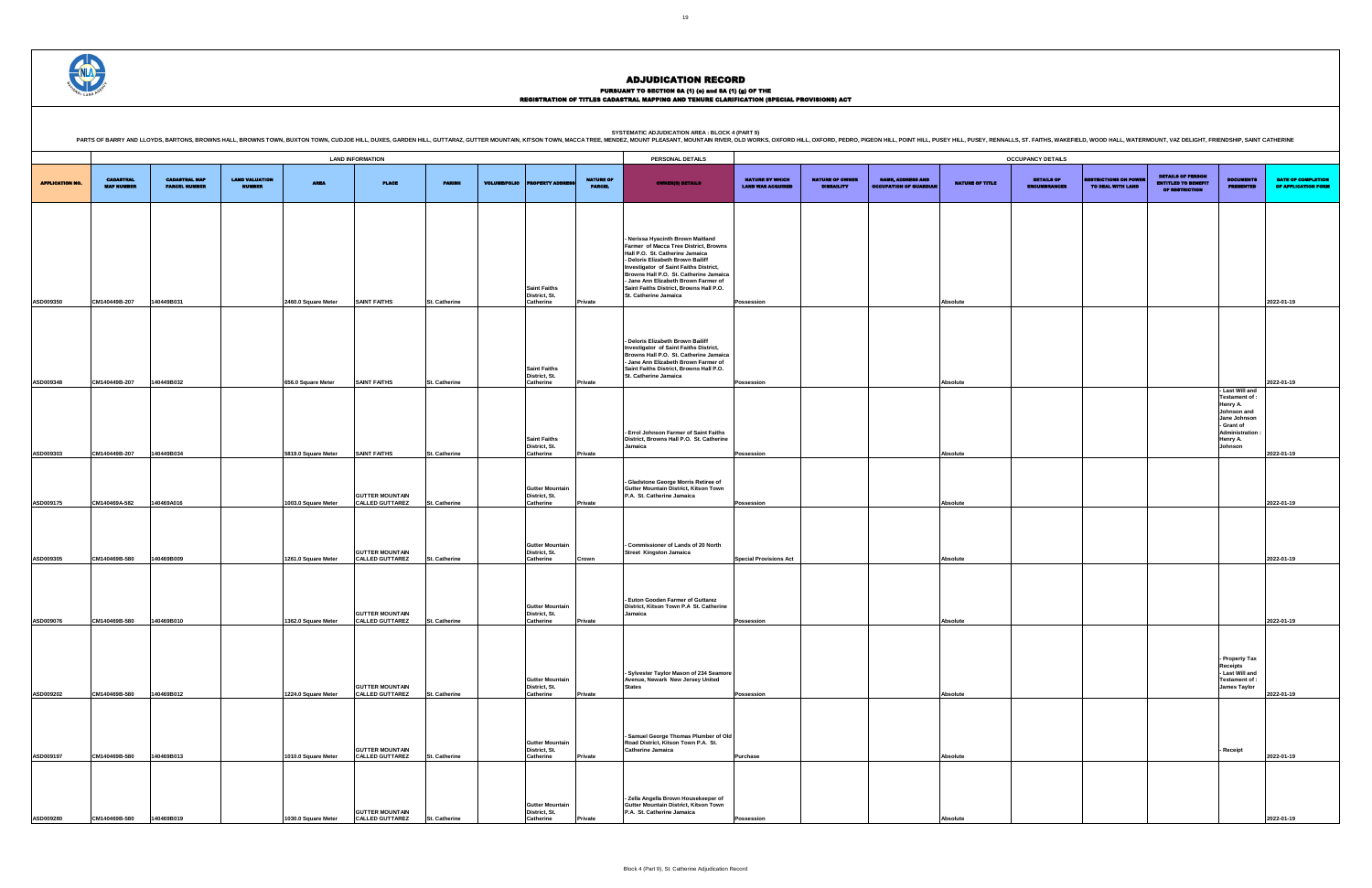

### ADJUDICATION RECORD PURSUANT TO SECTION 8A (1) (0) and 8A (1) (g) OF THE<br>REGISTRATION OF TITLES CADASTRAL MAPPING AND TENURE CLARIFICATION (SPECIAL PROVISIONS) ACT

|                        |                                       |                                              |                                        |                     |                                                  |                      |                     |                                                          |                                   | PARTS OF BARRY AND LLOYDS, BARTONS, BROWNS HALL, BROWNS TOWN, BUXTON TOWN, CUDJOE HILL, DUXES, GARDEN HILL, DUTTARAZ, GUTTER MOUNTAIN, KITSON TOWN, MACCA TREE, MENDEZ, MOUNT PLEASANT, MOUNTAIN RIVER, OLD WORKS, OXFORD HILL                                                                                                                     |                                                    |                                             |                                                           |                 |                                   |                                                 |                                                                                 |                                                                                                             |                                                  |
|------------------------|---------------------------------------|----------------------------------------------|----------------------------------------|---------------------|--------------------------------------------------|----------------------|---------------------|----------------------------------------------------------|-----------------------------------|----------------------------------------------------------------------------------------------------------------------------------------------------------------------------------------------------------------------------------------------------------------------------------------------------------------------------------------------------|----------------------------------------------------|---------------------------------------------|-----------------------------------------------------------|-----------------|-----------------------------------|-------------------------------------------------|---------------------------------------------------------------------------------|-------------------------------------------------------------------------------------------------------------|--------------------------------------------------|
|                        |                                       |                                              |                                        |                     | <b>LAND INFORMATION</b>                          |                      |                     |                                                          |                                   | PERSONAL DETAILS                                                                                                                                                                                                                                                                                                                                   |                                                    |                                             |                                                           |                 | <b>OCCUPANCY DETAILS</b>          |                                                 |                                                                                 |                                                                                                             |                                                  |
| <b>APPLICATION NO.</b> | <b>CADASTRAL</b><br><b>MAP NUMBER</b> | <b>CADASTRAL MAP</b><br><b>PARCEL NUMBER</b> | <b>LAND VALUATION</b><br><b>NUMBER</b> | <b>AREA</b>         | <b>PLACE</b>                                     | <b>PARISH</b>        | <b>VOLUME/FOLIO</b> | <b>PERTY ADDR</b>                                        | <b>NATURE OF</b><br><b>PARCEL</b> | <b>OWNER(8) DETAILS</b>                                                                                                                                                                                                                                                                                                                            | <b>NATURE BY WHICH</b><br><b>LAND WAS ACQUIRED</b> | <b>NATURE OF OWNER</b><br><b>DISBAILITY</b> | <b>NAME, ADDRESS AND</b><br><b>OCCUPATION OF GUARDIAN</b> | NATURE OF TITLE | <b>DETAILS OF</b><br>ENCUMBRANCES | <b>ESTRICTIONS ON POWE</b><br>TO DEAL WITH LAND | <b>DETAILS OF PERSON</b><br><b>ENTITLED TO BENEFIT</b><br><b>OF RESTRICTION</b> | <b>DOCUMENTS</b><br><b>PRESENTED</b>                                                                        | <b>DATE OF COMPLETION</b><br>OF APPLICATION FORM |
|                        |                                       |                                              |                                        |                     |                                                  |                      |                     |                                                          |                                   |                                                                                                                                                                                                                                                                                                                                                    |                                                    |                                             |                                                           |                 |                                   |                                                 |                                                                                 |                                                                                                             |                                                  |
|                        |                                       |                                              |                                        |                     |                                                  |                      |                     | <b>Saint Faiths</b><br>District, St.                     |                                   | - Nerissa Hyacinth Brown Maitland<br>Farmer of Macca Tree District, Browns<br>Hall P.O. St. Catherine Jamaica<br>- Deloris Elizabeth Brown Bailiff<br>Investigator of Saint Faiths District,<br>Browns Hall P.O. St. Catherine Jamaica<br>- Jane Ann Elizabeth Brown Farmer of<br>Saint Faiths District, Browns Hall P.O.<br>St. Catherine Jamaica |                                                    |                                             |                                                           |                 |                                   |                                                 |                                                                                 |                                                                                                             |                                                  |
| ASD009350              | CM140449B-207                         | 140449B031                                   |                                        | 2460.0 Square Meter | <b>SAINT FAITHS</b>                              | St. Catherine        |                     | Catherine                                                | Private                           |                                                                                                                                                                                                                                                                                                                                                    | <b>Possession</b>                                  |                                             |                                                           | Absolute        |                                   |                                                 |                                                                                 |                                                                                                             | 2022-01-19                                       |
| ASD009348              | CM140449B-207                         | 140449B032                                   |                                        | 656.0 Square Meter  | <b>SAINT FAITHS</b>                              | St. Catherine        |                     | <b>Saint Faiths</b><br>District, St.<br><b>Catherine</b> | Private                           | - Deloris Elizabeth Brown Bailiff<br>Investigator of Saint Faiths District,<br>Browns Hall P.O. St. Catherine Jamaica<br>- Jane Ann Elizabeth Brown Farmer of<br>Saint Faiths District, Browns Hall P.O.<br>St. Catherine Jamaica                                                                                                                  | <b>Possession</b>                                  |                                             |                                                           | Absolute        |                                   |                                                 |                                                                                 |                                                                                                             | 2022-01-19                                       |
|                        |                                       |                                              |                                        |                     |                                                  |                      |                     | <b>Saint Faiths</b>                                      |                                   | - Errol Johnson Farmer of Saint Faiths<br>District, Browns Hall P.O. St. Catherine                                                                                                                                                                                                                                                                 |                                                    |                                             |                                                           |                 |                                   |                                                 |                                                                                 | - Last Will and<br>Testament of:<br>Henry A.<br>Johnson and<br>Jane Johnson<br>- Grant of<br>Administration |                                                  |
| ASD009303              | CM140449B-207                         | 140449B034                                   |                                        | 5819.0 Square Meter | <b>SAINT FAITHS</b>                              | St. Catherine        |                     | District, St.<br><b>Catherine</b>                        | Private                           | Jamaica                                                                                                                                                                                                                                                                                                                                            | <b>Possession</b>                                  |                                             |                                                           | Absolute        |                                   |                                                 |                                                                                 | Henry A.<br>Johnson                                                                                         | 2022-01-19                                       |
|                        |                                       |                                              |                                        |                     | <b>GUTTER MOUNTAIN</b>                           |                      |                     | <b>Gutter Mountair</b><br>District, St.                  |                                   | - Gladstone George Morris Retiree of<br>Gutter Mountain District, Kitson Town<br>P.A. St. Catherine Jamaica                                                                                                                                                                                                                                        |                                                    |                                             |                                                           |                 |                                   |                                                 |                                                                                 |                                                                                                             |                                                  |
| ASD009175              | CM140469A-582                         | 140469A016                                   |                                        | 1003.0 Square Meter | <b>CALLED GUTTAREZ</b>                           | <b>St. Catherine</b> |                     | Catherine                                                | Private                           |                                                                                                                                                                                                                                                                                                                                                    | <b>Possession</b>                                  |                                             |                                                           | Absolute        |                                   |                                                 |                                                                                 |                                                                                                             | 2022-01-19                                       |
|                        |                                       |                                              |                                        |                     | <b>GUTTER MOUNTAIN</b>                           |                      |                     | <b>Gutter Mountain</b><br>District, St.                  |                                   | - Commissioner of Lands of 20 North<br><b>Street Kingston Jamaica</b>                                                                                                                                                                                                                                                                              |                                                    |                                             |                                                           |                 |                                   |                                                 |                                                                                 |                                                                                                             |                                                  |
| ASD009305              | CM140469B-580                         | 140469B009                                   |                                        | 1261.0 Square Meter | <b>CALLED GUTTAREZ</b>                           | <b>St. Catherine</b> |                     | Catherine                                                | Crown                             |                                                                                                                                                                                                                                                                                                                                                    | <b>Special Provisions Act</b>                      |                                             |                                                           | Absolute        |                                   |                                                 |                                                                                 |                                                                                                             | 2022-01-19                                       |
| ASD009076              | CM140469B-580                         | 140469B010                                   |                                        | 1362.0 Square Meter | <b>GUTTER MOUNTAIN</b><br><b>CALLED GUTTAREZ</b> | St. Catherine        |                     | <b>Gutter Mountair</b><br>District, St.<br>Catherine     | Private                           | - Euton Gooden Farmer of Guttarez<br>District, Kitson Town P.A St. Catherine<br>Jamaica                                                                                                                                                                                                                                                            | <b>Possession</b>                                  |                                             |                                                           | Absolute        |                                   |                                                 |                                                                                 |                                                                                                             | 2022-01-19                                       |
| ASD009202              | CM140469B-580                         | 140469B012                                   |                                        | 1224.0 Square Meter | <b>GUTTER MOUNTAIN</b><br><b>CALLED GUTTAREZ</b> | St. Catherine        |                     | <b>Gutter Mountain</b><br>District, St.<br>Catherine     | Private                           | - Sylvester Taylor Mason of 234 Seamore<br>Avenue, Newark New Jersey United<br><b>States</b>                                                                                                                                                                                                                                                       | <b>Possession</b>                                  |                                             |                                                           | Absolute        |                                   |                                                 |                                                                                 | Property Tax<br><b>Receipts</b><br>- Last Will and<br>Testament of :<br>James Taylor                        | 2022-01-19                                       |
|                        |                                       |                                              |                                        |                     | <b>GUTTER MOUNTAIN</b>                           |                      |                     | <b>Gutter Mountain</b><br>District, St.                  |                                   | - Samuel George Thomas Plumber of Old<br>Road District, Kitson Town P.A. St.<br>Catherine Jamaica                                                                                                                                                                                                                                                  |                                                    |                                             |                                                           |                 |                                   |                                                 |                                                                                 | - Receipt                                                                                                   |                                                  |
| ASD009197              | CM140469B-580                         | 140469B013                                   |                                        | 1010.0 Square Meter | <b>CALLED GUTTAREZ</b>                           | <b>St. Catherine</b> |                     | Catherine                                                | Private                           |                                                                                                                                                                                                                                                                                                                                                    | Purchase                                           |                                             |                                                           | Absolute        |                                   |                                                 |                                                                                 |                                                                                                             | 2022-01-19                                       |
| ASD009280              | CM140469B-580                         | 140469B019                                   |                                        | 1030.0 Square Meter | <b>GUTTER MOUNTAIN</b><br><b>CALLED GUTTAREZ</b> | <b>St. Catherine</b> |                     | <b>Gutter Mountain</b><br>District, St.<br>Catherine     | Private                           | - Zella Angella Brown Housekeeper of<br>Gutter Mountain District, Kitson Town<br>P.A. St. Catherine Jamaica                                                                                                                                                                                                                                        | Possession                                         |                                             |                                                           | Absolute        |                                   |                                                 |                                                                                 |                                                                                                             | 2022-01-19                                       |
|                        |                                       |                                              |                                        |                     |                                                  |                      |                     |                                                          |                                   |                                                                                                                                                                                                                                                                                                                                                    |                                                    |                                             |                                                           |                 |                                   |                                                 |                                                                                 |                                                                                                             |                                                  |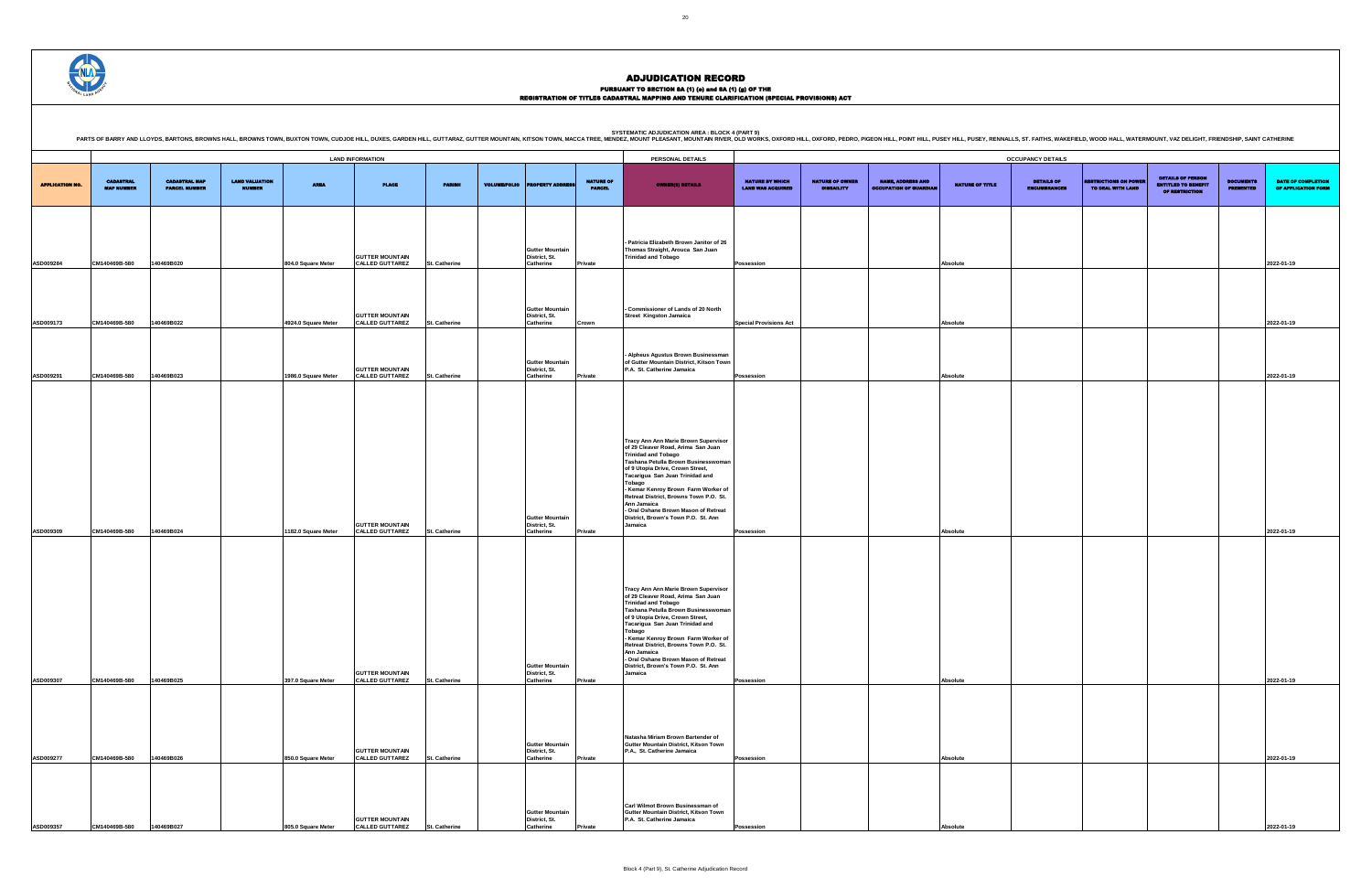PURSUANT TO SECTION 8A (1) (0) and 8A (1) (g) OF THE<br>REGISTRATION OF TITLES CADASTRAL MAPPING AND TENURE CLARIFICATION (SPECIAL PROVISIONS) ACT

DETAILS OF ENCUMBRANCES RESTRICTIONS ON POWER TO DEAL WITH LAND DETAILS OF PERSON ENTITLED TO BENEFIT OF RESTRICTION DOCUMENTS PRESENTED DATE OF COMPLETION OF APPLICATION FORM **Possession Absolute 2022-01-19 Special Provisions Act Absolute 2022-01-19 Possession Absolute 2022-01-19 Possession Absolute 2022-01-19 Possession Absolute 2022-01-19 Possession Absolute 2022-01-19 Possession Absolute 2022-01-19**

|                        |                                       |                                              |                                        |                     |                                                  |                      |                     |                                                             |                                   | PERSONAL DETAILS                                                                                                                                                                                                                                                                                                                                                                                                           |                                                    |                                             |                                                           |                 |                                                                      |                                                  |                                                        |                                      |                                   |
|------------------------|---------------------------------------|----------------------------------------------|----------------------------------------|---------------------|--------------------------------------------------|----------------------|---------------------|-------------------------------------------------------------|-----------------------------------|----------------------------------------------------------------------------------------------------------------------------------------------------------------------------------------------------------------------------------------------------------------------------------------------------------------------------------------------------------------------------------------------------------------------------|----------------------------------------------------|---------------------------------------------|-----------------------------------------------------------|-----------------|----------------------------------------------------------------------|--------------------------------------------------|--------------------------------------------------------|--------------------------------------|-----------------------------------|
| <b>APPLICATION NO.</b> | <b>CADASTRAL</b><br><b>MAP NUMBER</b> | <b>CADASTRAL MAP</b><br><b>PARCEL NUMBER</b> | <b>LAND VALUATION</b><br><b>NUMBER</b> | <b>AREA</b>         | <b>LAND INFORMATION</b><br><b>PLACE</b>          | <b>PARISH</b>        | <b>VOLUME/FOLIO</b> | <b>PERTY ADI</b>                                            | <b>NATURE OF</b><br><b>PARCEL</b> | <b>OWNER(8) DETAILS</b>                                                                                                                                                                                                                                                                                                                                                                                                    | <b>NATURE BY WHICH</b><br><b>LAND WAS ACQUIRED</b> | <b>NATURE OF OWNER</b><br><b>DISBAILITY</b> | <b>NAME, ADDRESS AND</b><br><b>OCCUPATION OF GUARDIAN</b> | NATURE OF TITLE | <b>OCCUPANCY DETAILS</b><br><b>DETAILS OF</b><br><b>ENCUMBRANCES</b> | <b>ESTRICTIONS ON POWER</b><br>TO DEAL WITH LAND | <b>DETAILS OF PERSON</b><br><b>ENTITLED TO BENEFIT</b> | <b>DOCUMENTS</b><br><b>PRESENTED</b> | <b>DATE OF</b><br><b>OF APPLI</b> |
|                        |                                       |                                              |                                        |                     |                                                  |                      |                     |                                                             |                                   |                                                                                                                                                                                                                                                                                                                                                                                                                            |                                                    |                                             |                                                           |                 |                                                                      |                                                  | OF RESTRICTION                                         |                                      |                                   |
| ASD009284              | CM140469B-580                         | 140469B020                                   |                                        | 804.0 Square Meter  | <b>GUTTER MOUNTAIN</b><br><b>CALLED GUTTAREZ</b> | St. Catherine        |                     | <b>Gutter Mountain</b><br>District, St.<br>Catherine        | Private                           | Patricia Elizabeth Brown Janitor of 26<br>Thomas Straight, Arouca San Juan<br>Trinidad and Tobago                                                                                                                                                                                                                                                                                                                          | Possession                                         |                                             |                                                           | Absolute        |                                                                      |                                                  |                                                        |                                      | 2022-01-19                        |
|                        | CM140469B-580                         | 140469B022                                   |                                        | 4924.0 Square Meter | <b>GUTTER MOUNTAIN</b>                           |                      |                     | <b>Gutter Mountain</b><br>District, St.<br><b>Catherine</b> |                                   | - Commissioner of Lands of 20 North<br><b>Street Kingston Jamaica</b>                                                                                                                                                                                                                                                                                                                                                      |                                                    |                                             |                                                           |                 |                                                                      |                                                  |                                                        |                                      |                                   |
| ASD009173              |                                       |                                              |                                        |                     | <b>CALLED GUTTAREZ</b><br><b>GUTTER MOUNTAIN</b> | St. Catherine        |                     | <b>Gutter Mountain</b><br>District, St.                     | Crown                             | - Alpheus Agustus Brown Businessman<br>of Gutter Mountain District, Kitson Town<br>P.A. St. Catherine Jamaica                                                                                                                                                                                                                                                                                                              | <b>Special Provisions Act</b>                      |                                             |                                                           | Absolute        |                                                                      |                                                  |                                                        |                                      | 2022-01-19                        |
| ASD009291              | CM140469B-580                         | 140469B023                                   |                                        | 1986.0 Square Meter | <b>CALLED GUTTAREZ</b>                           | <b>St. Catherine</b> |                     | <b>Catherine</b>                                            | Private                           |                                                                                                                                                                                                                                                                                                                                                                                                                            | Possession                                         |                                             |                                                           | Absolute        |                                                                      |                                                  |                                                        |                                      | 2022-01-19                        |
| ASD009309              | CM140469B-580                         | 140469B024                                   |                                        | 1182.0 Square Meter | <b>GUTTER MOUNTAIN</b><br><b>CALLED GUTTAREZ</b> | <b>St. Catherine</b> |                     | <b>Gutter Mountain</b><br>District, St.<br>Catherine        | Private                           | Tracy Ann Ann Marie Brown Supervisor<br>of 29 Cleaver Road, Arima San Juan<br><b>Trinidad and Tobago</b><br>Tashana Petulla Brown Businesswoman<br>of 9 Utopia Drive, Crown Street,<br>Tacarigua San Juan Trinidad and<br>Tobago<br>- Kemar Kenroy Brown Farm Worker of<br>Retreat District, Browns Town P.O. St.<br>Ann Jamaica<br>- Oral Oshane Brown Mason of Retreat<br>District, Brown's Town P.O. St. Ann<br>Jamaica | Possession                                         |                                             |                                                           | Absolute        |                                                                      |                                                  |                                                        |                                      | 2022-01-19                        |
|                        | CM140469B-580                         | 140469B025                                   |                                        |                     | <b>GUTTER MOUNTAIN</b><br><b>CALLED GUTTAREZ</b> |                      |                     | <b>Gutter Mountain</b><br>District, St.<br>Catherine        |                                   | Tracy Ann Ann Marie Brown Supervisor<br>of 29 Cleaver Road, Arima San Juan<br><b>Trinidad and Tobago</b><br>Tashana Petulla Brown Businesswoman<br>of 9 Utopia Drive, Crown Street,<br>Tacarigua San Juan Trinidad and<br>Tobago<br>- Kemar Kenroy Brown Farm Worker of<br>Retreat District, Browns Town P.O. St.<br>Ann Jamaica<br>- Oral Oshane Brown Mason of Retreat<br>District, Brown's Town P.O. St. Ann<br>Jamaica |                                                    |                                             |                                                           |                 |                                                                      |                                                  |                                                        |                                      |                                   |
| ASD009307              |                                       |                                              |                                        | 397.0 Square Meter  |                                                  | <b>St. Catherine</b> |                     |                                                             | Private                           |                                                                                                                                                                                                                                                                                                                                                                                                                            | Possession                                         |                                             |                                                           | Absolute        |                                                                      |                                                  |                                                        |                                      | 2022-01-19                        |
| ASD009277              | CM140469B-580                         | 140469B026                                   |                                        | 850.0 Square Meter  | <b>GUTTER MOUNTAIN</b><br><b>CALLED GUTTAREZ</b> | St. Catherine        |                     | <b>Gutter Mountain</b><br>District, St.<br>Catherine        | Private                           | Natasha Miriam Brown Bartender of<br>Gutter Mountain District, Kitson Town<br>P.A., St. Catherine Jamaica                                                                                                                                                                                                                                                                                                                  | Possession                                         |                                             |                                                           | Absolute        |                                                                      |                                                  |                                                        |                                      | 2022-01-19                        |
| <b>ASD009357</b>       | CM140469B-580                         | 140469B027                                   |                                        | 805.0 Square Meter  | <b>GUTTER MOUNTAIN</b><br><b>CALLED GUTTAREZ</b> | <b>St. Catherine</b> |                     | <b>Gutter Mountain</b><br>District, St.<br>Catherine        | rivate                            | Carl Wilmot Brown Businessman of<br>Gutter Mountain District, Kitson Town<br>P.A. St. Catherine Jamaica                                                                                                                                                                                                                                                                                                                    | Possession                                         |                                             |                                                           | Absolut         |                                                                      |                                                  |                                                        |                                      | 2022-01-19                        |



**ASD009357 CM140469B-580 140469B027 805.0 Square Meter**

#### ADJUDICATION RECORD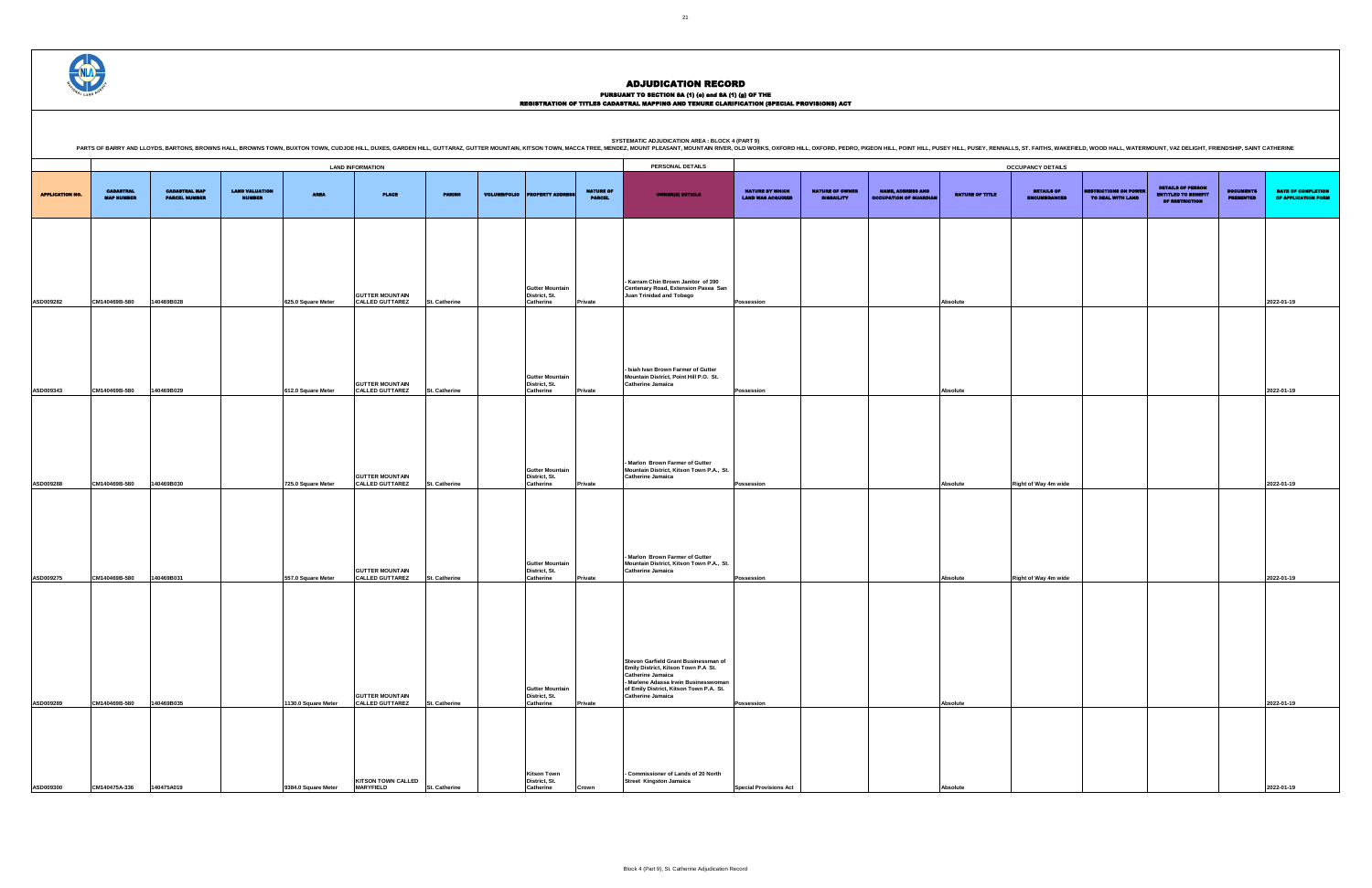PURSUANT TO SECTION 8A (1) (0) and 8A (1) (g) OF THE<br>REGISTRATION OF TITLES CADASTRAL MAPPING AND TENURE CLARIFICATION (SPECIAL PROVISIONS) ACT

SYSTEMATIC ADJUDICATION AREA : BLOCK 4 (PART 9)<br>PARTS OF BARRY AND LLOYDS, BARTONS, BROWNS HALL, BROWNS HALL, BROWNS TOWN, BUXTON TOWN, CUDJOE HILL, DUXES, GARDEN HILL, GUTTARAZ, GUTTER MOUNTAIN, KITSON TOWN, MACCA TREE, M

|                        | <b>LAND INFORMATION</b>               |                                              |                                        |                     |                                                  |                      |  |                                                      |                                   |                                                                                                                                                                         | <b>OCCUPANCY DETAILS</b>                           |                                             |                                                           |                 |                                          |                                                   |                                                                                 |                                      |                                    |
|------------------------|---------------------------------------|----------------------------------------------|----------------------------------------|---------------------|--------------------------------------------------|----------------------|--|------------------------------------------------------|-----------------------------------|-------------------------------------------------------------------------------------------------------------------------------------------------------------------------|----------------------------------------------------|---------------------------------------------|-----------------------------------------------------------|-----------------|------------------------------------------|---------------------------------------------------|---------------------------------------------------------------------------------|--------------------------------------|------------------------------------|
| <b>APPLICATION NO.</b> | <b>CADASTRAL</b><br><b>MAP NUMBER</b> | <b>CADASTRAL MAP</b><br><b>PARCEL NUMBER</b> | <b>LAND VALUATION</b><br><b>NUMBER</b> | <b>AREA</b>         | <b>PLACE</b>                                     | <b>PARISH</b>        |  | <b>VOLUME/FOLIO</b> PROPERTY ADDRE                   | <b>NATURE OF</b><br><b>PARCEL</b> | <b>OWNER(8) DETAILS</b>                                                                                                                                                 | <b>NATURE BY WHICH</b><br><b>LAND WAS ACQUIRED</b> | <b>NATURE OF OWNER</b><br><b>DISBAILITY</b> | <b>NAME, ADDRESS AND</b><br><b>OCCUPATION OF GUARDIAN</b> | NATURE OF TITLE | <b>DETAILS OF</b><br><b>ENCUMBRANCES</b> | <b>RESTRICTIONS ON POWER</b><br>TO DEAL WITH LAND | <b>DETAILS OF PERSON</b><br><b>ENTITLED TO BENEFIT</b><br><b>OF RESTRICTION</b> | <b>DOCUMENTS</b><br><b>PRESENTED</b> | <b>DATE OF</b><br><b>OF APPLIC</b> |
|                        |                                       |                                              |                                        |                     |                                                  |                      |  |                                                      |                                   |                                                                                                                                                                         |                                                    |                                             |                                                           |                 |                                          |                                                   |                                                                                 |                                      |                                    |
| ASD009282              | CM140469B-580                         | 140469B028                                   |                                        | 625.0 Square Meter  | <b>GUTTER MOUNTAIN</b><br><b>CALLED GUTTAREZ</b> | <b>St. Catherine</b> |  | <b>Gutter Mountain</b><br>District, St.<br>Catherine | Private                           | - Karram Chin Brown Janitor of 390<br>Centenary Road, Extension Pasea San<br><b>Juan Trinidad and Tobago</b>                                                            | Possession                                         |                                             |                                                           | Absolute        |                                          |                                                   |                                                                                 |                                      | 2022-01-19                         |
|                        |                                       |                                              |                                        |                     |                                                  |                      |  |                                                      |                                   |                                                                                                                                                                         |                                                    |                                             |                                                           |                 |                                          |                                                   |                                                                                 |                                      |                                    |
| ASD009343              | CM140469B-580                         | 140469B029                                   |                                        | 612.0 Square Meter  | <b>GUTTER MOUNTAIN</b><br><b>CALLED GUTTAREZ</b> | St. Catherine        |  | <b>Gutter Mountain</b><br>District, St.<br>Catherine | Private                           | - Isiah Ivan Brown Farmer of Gutter<br>Mountain District, Point Hill P.O. St.<br><b>Catherine Jamaica</b>                                                               | Possession                                         |                                             |                                                           | Absolute        |                                          |                                                   |                                                                                 |                                      | 2022-01-19                         |
|                        |                                       |                                              |                                        |                     |                                                  |                      |  |                                                      |                                   |                                                                                                                                                                         |                                                    |                                             |                                                           |                 |                                          |                                                   |                                                                                 |                                      |                                    |
| ASD009288              | CM140469B-580                         | 140469B030                                   |                                        | 725.0 Square Meter  | <b>GUTTER MOUNTAIN</b><br><b>CALLED GUTTAREZ</b> | St. Catherine        |  | <b>Gutter Mountain</b><br>District, St.<br>Catherine | Private                           | - Marlon Brown Farmer of Gutter<br>Mountain District, Kitson Town P.A., St.<br><b>Catherine Jamaica</b>                                                                 | Possession                                         |                                             |                                                           | Absolute        | Right of Way 4m wide                     |                                                   |                                                                                 |                                      | 2022-01-19                         |
|                        |                                       |                                              |                                        |                     |                                                  |                      |  |                                                      |                                   |                                                                                                                                                                         |                                                    |                                             |                                                           |                 |                                          |                                                   |                                                                                 |                                      |                                    |
|                        |                                       |                                              |                                        |                     | <b>GUTTER MOUNTAIN</b>                           |                      |  | Gutter Mountain<br>District, St.                     |                                   | - Marlon Brown Farmer of Gutter<br>Mountain District, Kitson Town P.A., St.<br><b>Catherine Jamaica</b>                                                                 |                                                    |                                             |                                                           |                 |                                          |                                                   |                                                                                 |                                      |                                    |
| ASD009275              | CM140469B-580                         | 140469B031                                   |                                        | 557.0 Square Meter  | <b>CALLED GUTTAREZ</b>                           | St. Catherine        |  | Catherine                                            | Private                           |                                                                                                                                                                         | Possession                                         |                                             |                                                           | Absolute        | Right of Way 4m wide                     |                                                   |                                                                                 |                                      | 2022-01-19                         |
|                        |                                       |                                              |                                        |                     |                                                  |                      |  |                                                      |                                   | Stevon Garfield Grant Businessman of                                                                                                                                    |                                                    |                                             |                                                           |                 |                                          |                                                   |                                                                                 |                                      |                                    |
| ASD009289              | CM140469B-580                         | 140469B035                                   |                                        | 1130.0 Square Meter | <b>GUTTER MOUNTAIN</b><br><b>CALLED GUTTAREZ</b> | St. Catherine        |  | Gutter Mountain<br>District, St.<br>Catherine        | Private                           | Emily District, Kitson Town P.A St.<br>Catherine Jamaica<br>- Marlene Adassa Irwin Businesswoman<br>of Emily District, Kitson Town P.A. St.<br><b>Catherine Jamaica</b> | Possession                                         |                                             |                                                           | Absolute        |                                          |                                                   |                                                                                 |                                      | 2022-01-19                         |
|                        |                                       |                                              |                                        |                     |                                                  |                      |  |                                                      |                                   |                                                                                                                                                                         |                                                    |                                             |                                                           |                 |                                          |                                                   |                                                                                 |                                      |                                    |
| ASD009300              | CM140475A-336                         | 140475A019                                   |                                        | 9384.0 Square Meter | <b>KITSON TOWN CALLED</b><br><b>MARYFIELD</b>    | St. Catherine        |  | Kitson Town<br>District, St.<br>Catherine            | Crown                             | - Commissioner of Lands of 20 North<br><b>Street Kingston Jamaica</b>                                                                                                   | <b>Special Provisions Act</b>                      |                                             |                                                           | Absolute        |                                          |                                                   |                                                                                 |                                      | 2022-01-19                         |

DETAILS OF ENCUMBRANCES RESTRICTIONS ON POWER TO DEAL WITH LAND DETAILS OF PERSON ENTITLED TO BENEFIT OF RESTRICTION DOCUMENTS PRESENTED DATE OF COMPLETION OF APPLICATION FORM **Possession Absolute 2022-01-19 Possession Absolute 2022-01-19 Possession Absolute Right of Way 4m wide Absolute 1 2022-01-19 Possession Right of Way 4m wide Absolute Right of Way 4m wide 2022-01-19 Possession Absolute 2022-01-19**

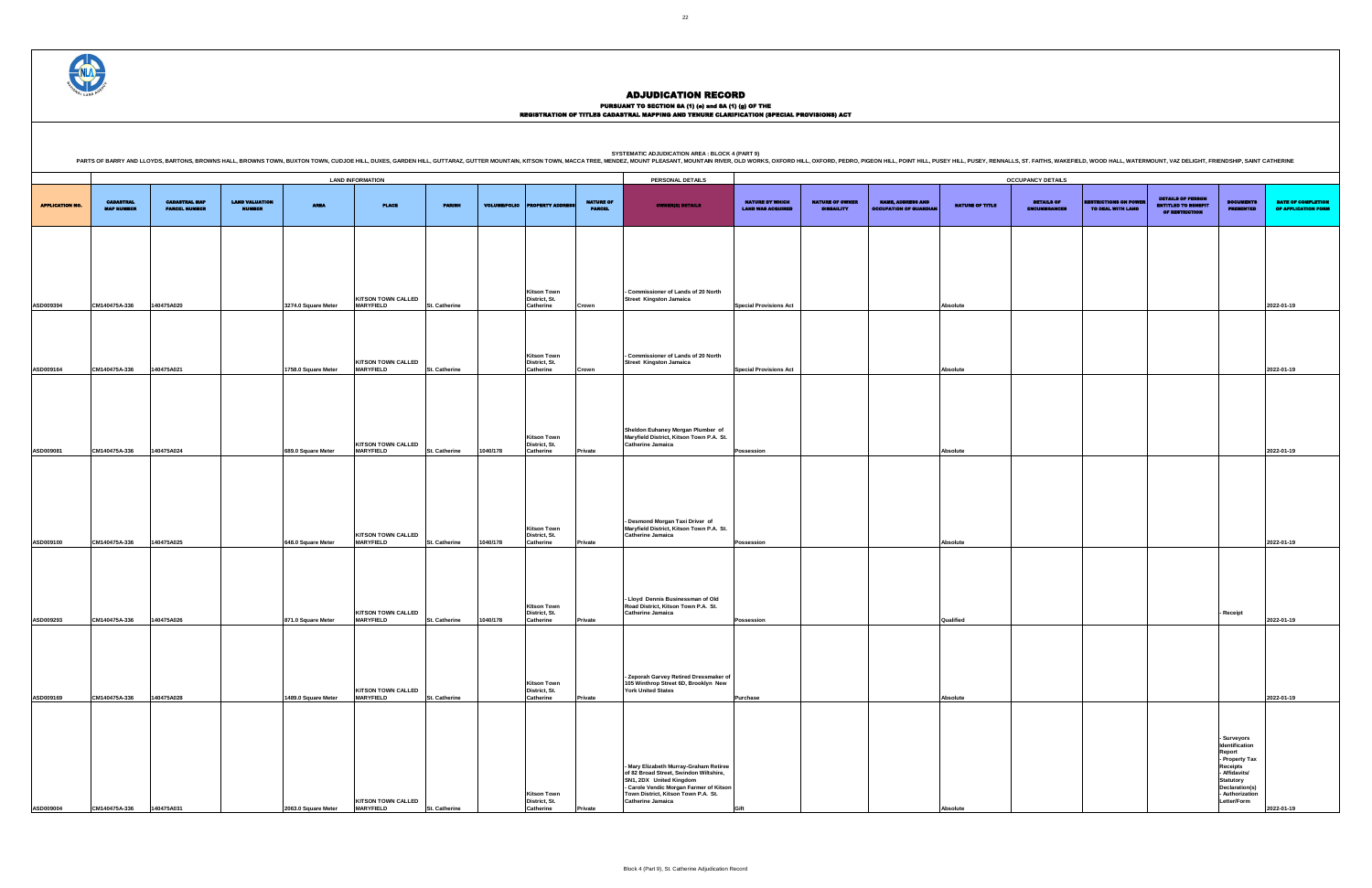|                                                    | <b>OCCUPANCY DETAILS</b>                    |                                                           |                        |                                          |                                                   |                                                                          |                                                                                                            |                                           |  |  |  |  |  |  |
|----------------------------------------------------|---------------------------------------------|-----------------------------------------------------------|------------------------|------------------------------------------|---------------------------------------------------|--------------------------------------------------------------------------|------------------------------------------------------------------------------------------------------------|-------------------------------------------|--|--|--|--|--|--|
| <b>NATURE BY WHICH</b><br><b>LAND WAS ACQUIRED</b> | <b>NATURE OF OWNER</b><br><b>DISBAILITY</b> | <b>NAME, ADDRESS AND</b><br><b>OCCUPATION OF GUARDIAN</b> | <b>NATURE OF TITLE</b> | <b>DETAILS OF</b><br><b>ENCUMBRANCES</b> | <b>RESTRICTIONS ON POWER</b><br>TO DEAL WITH LAND | <b>DETAILS OF PERSON</b><br><b>ENTITLED TO BENEFIT</b><br>OF RESTRICTION | <b>DOCUMENTS</b><br><b>PRESENTED</b>                                                                       | DATE OF COMPLETION<br>OF APPLICATION FORM |  |  |  |  |  |  |
|                                                    |                                             |                                                           |                        |                                          |                                                   |                                                                          |                                                                                                            |                                           |  |  |  |  |  |  |
|                                                    |                                             |                                                           |                        |                                          |                                                   |                                                                          |                                                                                                            |                                           |  |  |  |  |  |  |
| <b>Special Provisions Act</b>                      |                                             |                                                           | Absolute               |                                          |                                                   |                                                                          |                                                                                                            | 2022-01-19                                |  |  |  |  |  |  |
|                                                    |                                             |                                                           |                        |                                          |                                                   |                                                                          |                                                                                                            |                                           |  |  |  |  |  |  |
| <b>Special Provisions Act</b>                      |                                             |                                                           | Absolute               |                                          |                                                   |                                                                          |                                                                                                            | 2022-01-19                                |  |  |  |  |  |  |
|                                                    |                                             |                                                           |                        |                                          |                                                   |                                                                          |                                                                                                            |                                           |  |  |  |  |  |  |
|                                                    |                                             |                                                           |                        |                                          |                                                   |                                                                          |                                                                                                            |                                           |  |  |  |  |  |  |
| Possession                                         |                                             |                                                           | Absolute               |                                          |                                                   |                                                                          |                                                                                                            | 2022-01-19                                |  |  |  |  |  |  |
|                                                    |                                             |                                                           |                        |                                          |                                                   |                                                                          |                                                                                                            |                                           |  |  |  |  |  |  |
|                                                    |                                             |                                                           |                        |                                          |                                                   |                                                                          |                                                                                                            |                                           |  |  |  |  |  |  |
|                                                    |                                             |                                                           |                        |                                          |                                                   |                                                                          |                                                                                                            |                                           |  |  |  |  |  |  |
| Possession                                         |                                             |                                                           | Absolute               |                                          |                                                   |                                                                          |                                                                                                            | 2022-01-19                                |  |  |  |  |  |  |
|                                                    |                                             |                                                           |                        |                                          |                                                   |                                                                          |                                                                                                            |                                           |  |  |  |  |  |  |
|                                                    |                                             |                                                           |                        |                                          |                                                   |                                                                          | Receipt                                                                                                    |                                           |  |  |  |  |  |  |
| Possession                                         |                                             |                                                           | Qualified              |                                          |                                                   |                                                                          |                                                                                                            | 2022-01-19                                |  |  |  |  |  |  |
|                                                    |                                             |                                                           |                        |                                          |                                                   |                                                                          |                                                                                                            |                                           |  |  |  |  |  |  |
| Purchase                                           |                                             |                                                           | Absolute               |                                          |                                                   |                                                                          |                                                                                                            | 2022-01-19                                |  |  |  |  |  |  |
|                                                    |                                             |                                                           |                        |                                          |                                                   |                                                                          |                                                                                                            |                                           |  |  |  |  |  |  |
|                                                    |                                             |                                                           |                        |                                          |                                                   |                                                                          | - Surveyors<br>Identification<br>Report<br>- Property Tax<br>Receipts<br>- Affidavits/<br><b>Statutory</b> |                                           |  |  |  |  |  |  |
| Gift                                               |                                             |                                                           | Absolute               |                                          |                                                   |                                                                          | Declaration(s)<br>- Authorization<br>Letter/Form                                                           | 2022-01-19                                |  |  |  |  |  |  |

**PERSONAL DETAILS** APPLICATION NO. CADASTRAL MAP NUMBER CADASTRAL MAP PARCEL NUMBER LAND VALUATION NUMBER AREA PLACE PARISH VOLUME/FOLIO PROPERTY ADDRESS NATURE OF PARCEL OWNER(S) DETAILS NATURE BY WHICH LAND WAS ACQUIRED NATURE OF OWNER DISBAILITY NAME, ADDRESS AND OCCUPATION OF GUARDIAN NATURE OF TITLE **ASD009394 CM140475A-336 140475A020 3274.0 Square Meter KITSON TOWN CALLED MARYFIELD St. Catherine Kitson Town District, St. Catherine Crown - Commissioner of Lands of 20 North Street Kingston Jamaica ASD009164 CM140475A-336 140475A021 1758.0 Square Meter KITSON TOWN CALLED MARYFIELD St. Catherine Kitson Town District, St. Catherine Crown - Commissioner of Lands of 20 North Street Kingston Jamaica Special Provisions Act 2022-01-2023-01-1999 2022-01-2023-01-1999 2022-01-2023-01-1999 2023-01-1999 ASD009081 CM140475A-336 140475A024 689.0 Square Meter KITSON TOWN CALLED MARYFIELD St. Catherine 1040/178 Kitson Town District, St. Catherine Sheldon Euhaney Morgan Plumber of Maryfield District, Kitson Town P.A. St. Catherine Jamaica ASD009100 CM140475A-336 140475A025 648.0 Square Meter KITSON TOWN CALLED MARYFIELD St. Catherine 1040/178 Kitson Town District, St. Catherine - Desmond Morgan Taxi Driver of Maryfield District, Kitson Town P.A. St. Catherine Jamaica ASD009293 CM140475A-336 140475A026 871.0 Square Meter KITSON TOWN CALLED MARYFIELD St. Catherine 1040/178 KItson Town District, St.**   $C$ atherine **- Lloyd Dennis Businessman of Old Road District, Kitson Town P.A. St. Catherine Jamaica Possession Qualified ASD009169 CM140475A-336 140475A028 1489.0 Square Meter KITSON TOWN CALLED MARYFIELD** St. Catherine **Kitson Town District, St. Catherine Private - Zeporah Garvey Retired Dressmaker of 105 Winthrop Street 6D, Brooklyn New York United States ASD009004 CM140475A-336 140475A031 2063.0 Square Meter KITSON TOWN CALLED MARYFIELD St. Catherine Kitson Town District, St. - Mary Elizabeth Murray-Graham Retiree of 82 Broad Street, Swindon Wiltshire, SN1, 2DX United Kingdom - Carole Vendic Morgan Farmer of Kitson Town District, Kitson Town P.A. St. Catherine Jamaica LAND INFORMATION OCCUPANCY DETAILS**

**Catherine Private**

SYSTEMATIC ADJUDICATION AREA : BLOCK 4 (PART 9)<br>PARTS OF BARRY AND LLOYDS, BARTONS, BROWNS HALL, BROWNS HALL, BROWNS TOWN, BUXTON TOWN, CUDJOE HILL, DUXES, GARDEN HILL, GUTTARAZ, GUTTER MOUNTAIN, KITSON TOWN, MACCA TREE, M



#### ADJUDICATION RECORD

#### PURSUANT TO SECTION 8A (1) (e) and 8A (1) (g) OF THE REGISTRATION OF TITLES CADASTRAL MAPPING AND TENURE CLARIFICATION (SPECIAL PROVISIONS) ACT